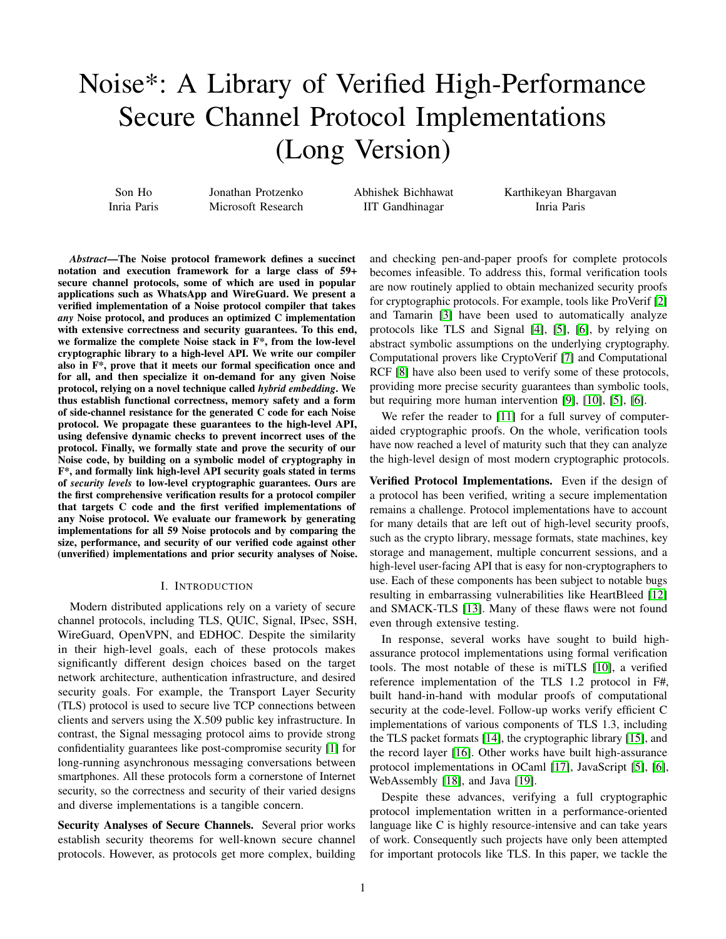# Noise\*: A Library of Verified High-Performance Secure Channel Protocol Implementations (Long Version)

Son Ho Inria Paris Jonathan Protzenko Microsoft Research

Abhishek Bichhawat IIT Gandhinagar

Karthikeyan Bhargavan Inria Paris

*Abstract*—The Noise protocol framework defines a succinct notation and execution framework for a large class of 59+ secure channel protocols, some of which are used in popular applications such as WhatsApp and WireGuard. We present a verified implementation of a Noise protocol compiler that takes *any* Noise protocol, and produces an optimized C implementation with extensive correctness and security guarantees. To this end, we formalize the complete Noise stack in F\*, from the low-level cryptographic library to a high-level API. We write our compiler also in F\*, prove that it meets our formal specification once and for all, and then specialize it on-demand for any given Noise protocol, relying on a novel technique called *hybrid embedding*. We thus establish functional correctness, memory safety and a form of side-channel resistance for the generated C code for each Noise protocol. We propagate these guarantees to the high-level API, using defensive dynamic checks to prevent incorrect uses of the protocol. Finally, we formally state and prove the security of our Noise code, by building on a symbolic model of cryptography in F\*, and formally link high-level API security goals stated in terms of *security levels* to low-level cryptographic guarantees. Ours are the first comprehensive verification results for a protocol compiler that targets C code and the first verified implementations of any Noise protocol. We evaluate our framework by generating implementations for all 59 Noise protocols and by comparing the size, performance, and security of our verified code against other (unverified) implementations and prior security analyses of Noise.

## I. INTRODUCTION

Modern distributed applications rely on a variety of secure channel protocols, including TLS, QUIC, Signal, IPsec, SSH, WireGuard, OpenVPN, and EDHOC. Despite the similarity in their high-level goals, each of these protocols makes significantly different design choices based on the target network architecture, authentication infrastructure, and desired security goals. For example, the Transport Layer Security (TLS) protocol is used to secure live TCP connections between clients and servers using the X.509 public key infrastructure. In contrast, the Signal messaging protocol aims to provide strong confidentiality guarantees like post-compromise security [\[1\]](#page-19-0) for long-running asynchronous messaging conversations between smartphones. All these protocols form a cornerstone of Internet security, so the correctness and security of their varied designs and diverse implementations is a tangible concern.

Security Analyses of Secure Channels. Several prior works establish security theorems for well-known secure channel protocols. However, as protocols get more complex, building and checking pen-and-paper proofs for complete protocols becomes infeasible. To address this, formal verification tools are now routinely applied to obtain mechanized security proofs for cryptographic protocols. For example, tools like ProVerif [\[2\]](#page-19-1) and Tamarin [\[3\]](#page-19-2) have been used to automatically analyze protocols like TLS and Signal [\[4\]](#page-19-3), [\[5\]](#page-19-4), [\[6\]](#page-19-5), by relying on abstract symbolic assumptions on the underlying cryptography. Computational provers like CryptoVerif [\[7\]](#page-19-6) and Computational RCF [\[8\]](#page-19-7) have also been used to verify some of these protocols, providing more precise security guarantees than symbolic tools, but requiring more human intervention [\[9\]](#page-19-8), [\[10\]](#page-19-9), [\[5\]](#page-19-4), [\[6\]](#page-19-5).

We refer the reader to [\[11\]](#page-19-10) for a full survey of computeraided cryptographic proofs. On the whole, verification tools have now reached a level of maturity such that they can analyze the high-level design of most modern cryptographic protocols.

Verified Protocol Implementations. Even if the design of a protocol has been verified, writing a secure implementation remains a challenge. Protocol implementations have to account for many details that are left out of high-level security proofs, such as the crypto library, message formats, state machines, key storage and management, multiple concurrent sessions, and a high-level user-facing API that is easy for non-cryptographers to use. Each of these components has been subject to notable bugs resulting in embarrassing vulnerabilities like HeartBleed [\[12\]](#page-19-11) and SMACK-TLS [\[13\]](#page-19-12). Many of these flaws were not found even through extensive testing.

In response, several works have sought to build highassurance protocol implementations using formal verification tools. The most notable of these is miTLS [\[10\]](#page-19-9), a verified reference implementation of the TLS 1.2 protocol in F#, built hand-in-hand with modular proofs of computational security at the code-level. Follow-up works verify efficient C implementations of various components of TLS 1.3, including the TLS packet formats [\[14\]](#page-19-13), the cryptographic library [\[15\]](#page-19-14), and the record layer [\[16\]](#page-19-15). Other works have built high-assurance protocol implementations in OCaml [\[17\]](#page-19-16), JavaScript [\[5\]](#page-19-4), [\[6\]](#page-19-5), WebAssembly [\[18\]](#page-19-17), and Java [\[19\]](#page-19-18).

Despite these advances, verifying a full cryptographic protocol implementation written in a performance-oriented language like C is highly resource-intensive and can take years of work. Consequently such projects have only been attempted for important protocols like TLS. In this paper, we tackle the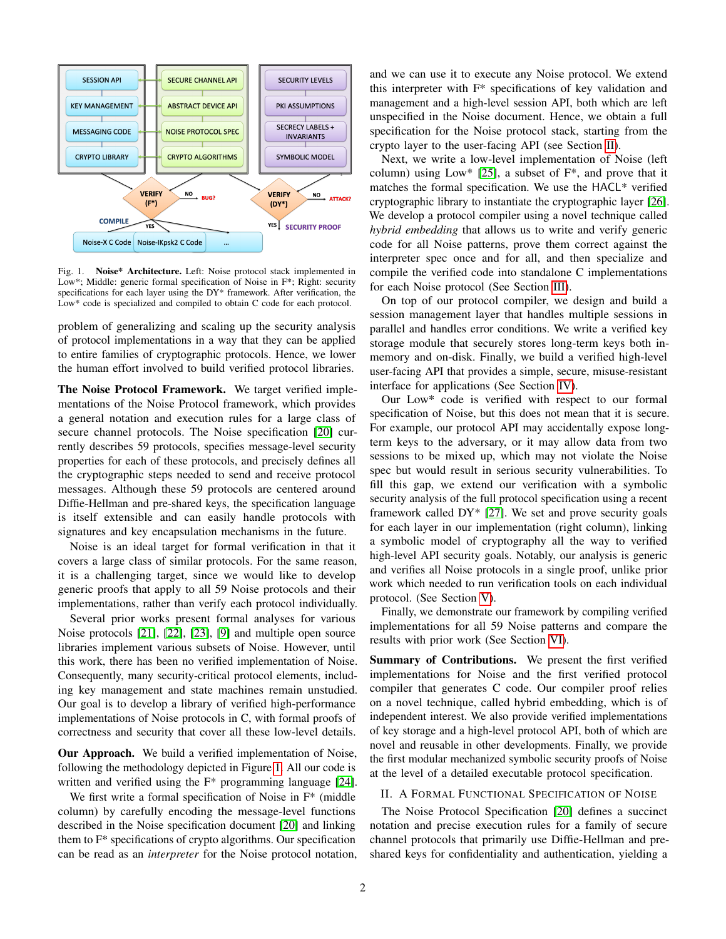

<span id="page-1-0"></span>Fig. 1. Noise\* Architecture. Left: Noise protocol stack implemented in Low\*; Middle: generic formal specification of Noise in F\*; Right: security specifications for each layer using the DY\* framework. After verification, the Low\* code is specialized and compiled to obtain C code for each protocol.

problem of generalizing and scaling up the security analysis of protocol implementations in a way that they can be applied to entire families of cryptographic protocols. Hence, we lower the human effort involved to build verified protocol libraries.

The Noise Protocol Framework. We target verified implementations of the Noise Protocol framework, which provides a general notation and execution rules for a large class of secure channel protocols. The Noise specification [\[20\]](#page-19-19) currently describes 59 protocols, specifies message-level security properties for each of these protocols, and precisely defines all the cryptographic steps needed to send and receive protocol messages. Although these 59 protocols are centered around Diffie-Hellman and pre-shared keys, the specification language is itself extensible and can easily handle protocols with signatures and key encapsulation mechanisms in the future.

Noise is an ideal target for formal verification in that it covers a large class of similar protocols. For the same reason, it is a challenging target, since we would like to develop generic proofs that apply to all 59 Noise protocols and their implementations, rather than verify each protocol individually.

Several prior works present formal analyses for various Noise protocols [\[21\]](#page-19-20), [\[22\]](#page-19-21), [\[23\]](#page-19-22), [\[9\]](#page-19-8) and multiple open source libraries implement various subsets of Noise. However, until this work, there has been no verified implementation of Noise. Consequently, many security-critical protocol elements, including key management and state machines remain unstudied. Our goal is to develop a library of verified high-performance implementations of Noise protocols in C, with formal proofs of correctness and security that cover all these low-level details.

Our Approach. We build a verified implementation of Noise, following the methodology depicted in Figure [1.](#page-1-0) All our code is written and verified using the F\* programming language [\[24\]](#page-19-23).

We first write a formal specification of Noise in  $F^*$  (middle column) by carefully encoding the message-level functions described in the Noise specification document [\[20\]](#page-19-19) and linking them to F\* specifications of crypto algorithms. Our specification can be read as an *interpreter* for the Noise protocol notation, and we can use it to execute any Noise protocol. We extend this interpreter with F\* specifications of key validation and management and a high-level session API, both which are left unspecified in the Noise document. Hence, we obtain a full specification for the Noise protocol stack, starting from the crypto layer to the user-facing API (see Section [II\)](#page-1-1).

Next, we write a low-level implementation of Noise (left column) using Low\* [\[25\]](#page-19-24), a subset of  $F^*$ , and prove that it matches the formal specification. We use the HACL\* verified cryptographic library to instantiate the cryptographic layer [\[26\]](#page-19-25). We develop a protocol compiler using a novel technique called *hybrid embedding* that allows us to write and verify generic code for all Noise patterns, prove them correct against the interpreter spec once and for all, and then specialize and compile the verified code into standalone C implementations for each Noise protocol (See Section [III\)](#page-5-0).

On top of our protocol compiler, we design and build a session management layer that handles multiple sessions in parallel and handles error conditions. We write a verified key storage module that securely stores long-term keys both inmemory and on-disk. Finally, we build a verified high-level user-facing API that provides a simple, secure, misuse-resistant interface for applications (See Section [IV\)](#page-7-0).

Our Low\* code is verified with respect to our formal specification of Noise, but this does not mean that it is secure. For example, our protocol API may accidentally expose longterm keys to the adversary, or it may allow data from two sessions to be mixed up, which may not violate the Noise spec but would result in serious security vulnerabilities. To fill this gap, we extend our verification with a symbolic security analysis of the full protocol specification using a recent framework called DY\* [\[27\]](#page-19-26). We set and prove security goals for each layer in our implementation (right column), linking a symbolic model of cryptography all the way to verified high-level API security goals. Notably, our analysis is generic and verifies all Noise protocols in a single proof, unlike prior work which needed to run verification tools on each individual protocol. (See Section [V\)](#page-9-0).

Finally, we demonstrate our framework by compiling verified implementations for all 59 Noise patterns and compare the results with prior work (See Section [VI\)](#page-17-0).

Summary of Contributions. We present the first verified implementations for Noise and the first verified protocol compiler that generates C code. Our compiler proof relies on a novel technique, called hybrid embedding, which is of independent interest. We also provide verified implementations of key storage and a high-level protocol API, both of which are novel and reusable in other developments. Finally, we provide the first modular mechanized symbolic security proofs of Noise at the level of a detailed executable protocol specification.

## <span id="page-1-1"></span>II. A FORMAL FUNCTIONAL SPECIFICATION OF NOISE

The Noise Protocol Specification [\[20\]](#page-19-19) defines a succinct notation and precise execution rules for a family of secure channel protocols that primarily use Diffie-Hellman and preshared keys for confidentiality and authentication, yielding a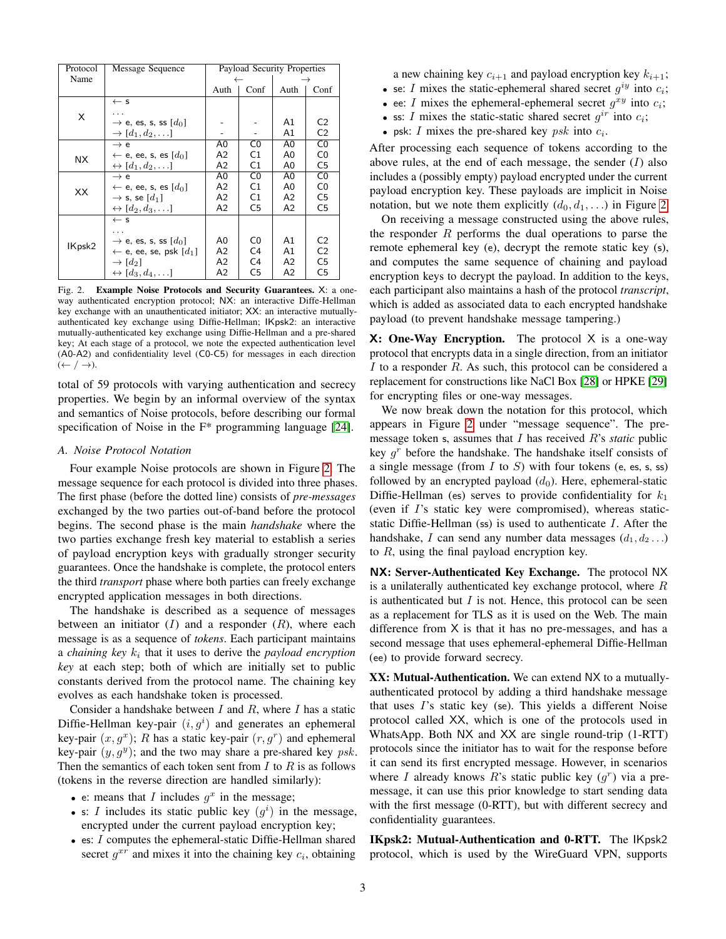| Protocol | Message Sequence                                       | Payload Security Properties |                |                |                |
|----------|--------------------------------------------------------|-----------------------------|----------------|----------------|----------------|
| Name     |                                                        |                             |                |                |                |
|          |                                                        | Auth                        | Conf           | Auth           | Conf           |
|          | $\leftarrow$ s                                         |                             |                |                |                |
| X        |                                                        |                             |                |                |                |
|          | $\rightarrow$ e, es, s, ss $[d_0]$                     |                             |                | A1             | C <sub>2</sub> |
|          | $\rightarrow$ [d <sub>1</sub> , d <sub>2</sub> , ]     |                             |                | A1             | C <sub>2</sub> |
|          | $\rightarrow$ e                                        | A0                          | C <sub>0</sub> | A0             | C <sub>0</sub> |
| ΝX.      | $\leftarrow$ e, ee, s, es $[d_0]$                      | A2                          | C1             | A0             | C0             |
|          | $\leftrightarrow$ [d <sub>1</sub> , d <sub>2</sub> , ] | A2                          | C1             | A0             | C5             |
|          | $\rightarrow$ e                                        | A0                          | C <sub>0</sub> | A0             | C <sub>0</sub> |
| XX       | $\leftarrow$ e, ee, s, es $[d_0]$                      | A2                          | C <sub>1</sub> | A0             | C0             |
|          | $\rightarrow$ s, se $[d_1]$                            | А2                          | C1             | A2             | C <sub>5</sub> |
|          | $\leftrightarrow [d_2, d_3, \ldots]$                   | А2                          | C <sub>5</sub> | А2             | C <sub>5</sub> |
|          | $\leftarrow$ s                                         |                             |                |                |                |
|          |                                                        |                             |                |                |                |
| IKpsk2   | $\rightarrow$ e, es, s, ss $[d_0]$                     | A0                          | C0             | A1             | C <sub>2</sub> |
|          | $\leftarrow$ e, ee, se, psk [ $d_1$ ]                  | A2                          | C <sub>4</sub> | A <sub>1</sub> | C <sub>2</sub> |
|          | $\rightarrow$ [d <sub>2</sub> ]                        | А2                          | C4             | A2             | C <sub>5</sub> |
|          | $\leftrightarrow [d_3, d_4, \ldots]$                   | A2                          | C <sub>5</sub> | A2             | C5             |

<span id="page-2-0"></span>Fig. 2. Example Noise Protocols and Security Guarantees. X: a oneway authenticated encryption protocol; NX: an interactive Diffe-Hellman key exchange with an unauthenticated initiator; XX: an interactive mutuallyauthenticated key exchange using Diffie-Hellman; IKpsk2: an interactive mutually-authenticated key exchange using Diffie-Hellman and a pre-shared key; At each stage of a protocol, we note the expected authentication level (A0-A2) and confidentiality level (C0-C5) for messages in each direction  $(\leftarrow / \rightarrow)$ .

total of 59 protocols with varying authentication and secrecy properties. We begin by an informal overview of the syntax and semantics of Noise protocols, before describing our formal specification of Noise in the  $F^*$  programming language [\[24\]](#page-19-23).

## *A. Noise Protocol Notation*

Four example Noise protocols are shown in Figure [2.](#page-2-0) The message sequence for each protocol is divided into three phases. The first phase (before the dotted line) consists of *pre-messages* exchanged by the two parties out-of-band before the protocol begins. The second phase is the main *handshake* where the two parties exchange fresh key material to establish a series of payload encryption keys with gradually stronger security guarantees. Once the handshake is complete, the protocol enters the third *transport* phase where both parties can freely exchange encrypted application messages in both directions.

The handshake is described as a sequence of messages between an initiator  $(I)$  and a responder  $(R)$ , where each message is as a sequence of *tokens*. Each participant maintains a *chaining key*  $k_i$  that it uses to derive the *payload encryption key* at each step; both of which are initially set to public constants derived from the protocol name. The chaining key evolves as each handshake token is processed.

Consider a handshake between  $I$  and  $R$ , where  $I$  has a static Diffie-Hellman key-pair  $(i, g<sup>i</sup>)$  and generates an ephemeral key-pair  $(x, g^x)$ ; R has a static key-pair  $(r, g^r)$  and ephemeral key-pair  $(y, g<sup>y</sup>)$ ; and the two may share a pre-shared key psk. Then the semantics of each token sent from  $I$  to  $R$  is as follows (tokens in the reverse direction are handled similarly):

- e: means that I includes  $g^x$  in the message;
- s: I includes its static public key  $(g^i)$  in the message, encrypted under the current payload encryption key;
- es: I computes the ephemeral-static Diffie-Hellman shared secret  $g^{xr}$  and mixes it into the chaining key  $c_i$ , obtaining

a new chaining key  $c_{i+1}$  and payload encryption key  $k_{i+1}$ ;

- se: I mixes the static-ephemeral shared secret  $g^{iy}$  into  $c_i$ ;
- ee: I mixes the ephemeral-ephemeral secret  $g^{xy}$  into  $c_i$ ; • ss: I mixes the static-static shared secret  $g^{ir}$  into  $c_i$ ;
- 
- psk: I mixes the pre-shared key  $psk$  into  $c_i$ .

After processing each sequence of tokens according to the above rules, at the end of each message, the sender  $(I)$  also includes a (possibly empty) payload encrypted under the current payload encryption key. These payloads are implicit in Noise notation, but we note them explicitly  $(d_0, d_1, \ldots)$  in Figure [2.](#page-2-0)

On receiving a message constructed using the above rules, the responder  $R$  performs the dual operations to parse the remote ephemeral key (e), decrypt the remote static key (s), and computes the same sequence of chaining and payload encryption keys to decrypt the payload. In addition to the keys, each participant also maintains a hash of the protocol *transcript*, which is added as associated data to each encrypted handshake payload (to prevent handshake message tampering.)

 $X: One-Way Encryption.$  The protocol  $X$  is a one-way protocol that encrypts data in a single direction, from an initiator I to a responder  $R$ . As such, this protocol can be considered a replacement for constructions like NaCl Box [\[28\]](#page-19-27) or HPKE [\[29\]](#page-19-28) for encrypting files or one-way messages.

We now break down the notation for this protocol, which appears in Figure [2](#page-2-0) under "message sequence". The premessage token s, assumes that I has received R's *static* public key  $g<sup>r</sup>$  before the handshake. The handshake itself consists of a single message (from  $I$  to  $S$ ) with four tokens (e, es, s, ss) followed by an encrypted payload  $(d_0)$ . Here, ephemeral-static Diffie-Hellman (es) serves to provide confidentiality for  $k_1$ (even if I's static key were compromised), whereas staticstatic Diffie-Hellman (ss) is used to authenticate  $I$ . After the handshake, I can send any number data messages  $(d_1, d_2...)$ to R, using the final payload encryption key.

NX: Server-Authenticated Key Exchange. The protocol NX is a unilaterally authenticated key exchange protocol, where  $R$ is authenticated but  $I$  is not. Hence, this protocol can be seen as a replacement for TLS as it is used on the Web. The main difference from X is that it has no pre-messages, and has a second message that uses ephemeral-ephemeral Diffie-Hellman (ee) to provide forward secrecy.

XX: Mutual-Authentication. We can extend NX to a mutuallyauthenticated protocol by adding a third handshake message that uses I's static key (se). This yields a different Noise protocol called XX, which is one of the protocols used in WhatsApp. Both NX and XX are single round-trip (1-RTT) protocols since the initiator has to wait for the response before it can send its first encrypted message. However, in scenarios where I already knows R's static public key  $(g<sup>r</sup>)$  via a premessage, it can use this prior knowledge to start sending data with the first message (0-RTT), but with different secrecy and confidentiality guarantees.

IKpsk2: Mutual-Authentication and 0-RTT. The IKpsk2 protocol, which is used by the WireGuard VPN, supports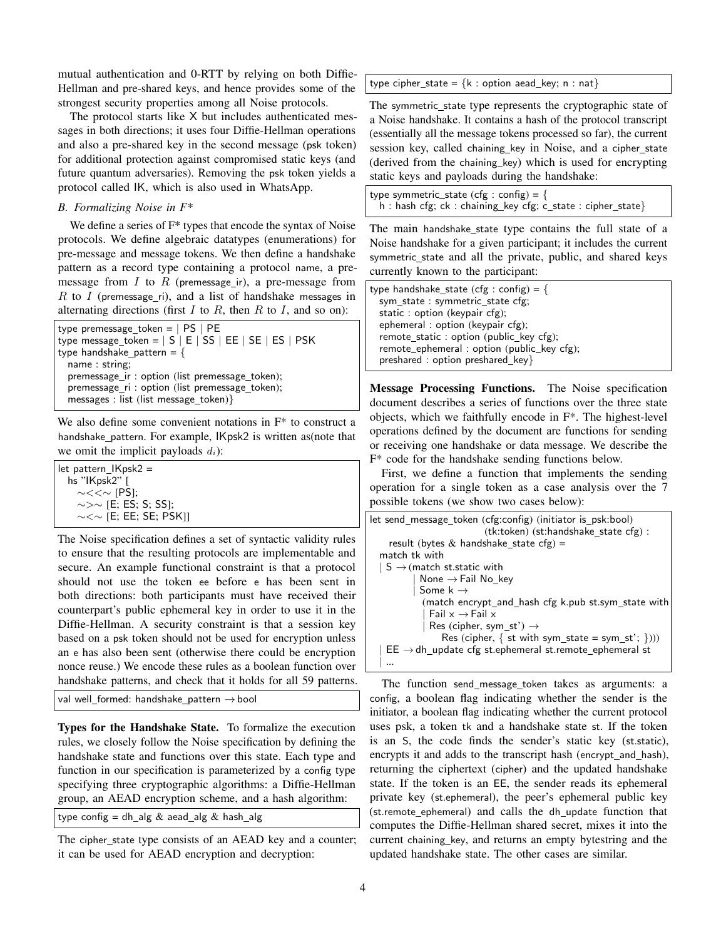mutual authentication and 0-RTT by relying on both Diffie-Hellman and pre-shared keys, and hence provides some of the strongest security properties among all Noise protocols.

The protocol starts like X but includes authenticated messages in both directions; it uses four Diffie-Hellman operations and also a pre-shared key in the second message (psk token) for additional protection against compromised static keys (and future quantum adversaries). Removing the psk token yields a protocol called IK, which is also used in WhatsApp.

#### *B. Formalizing Noise in F\**

We define a series of F\* types that encode the syntax of Noise protocols. We define algebraic datatypes (enumerations) for pre-message and message tokens. We then define a handshake pattern as a record type containing a protocol name, a premessage from  $I$  to  $R$  (premessage ir), a pre-message from  $R$  to  $I$  (premessage\_ri), and a list of handshake messages in alternating directions (first  $I$  to  $R$ , then  $R$  to  $I$ , and so on):

| type premessage_token = $ $ PS $ $ PE           |
|-------------------------------------------------|
| type message_token = $ S E SS EE SE ES PSK$     |
| type handshake_pattern = $\{$                   |
| name : string:                                  |
| premessage ir : option (list premessage token); |
| premessage_ri: option (list premessage_token);  |
| messages : list (list message_token)}           |

We also define some convenient notations in F\* to construct a handshake\_pattern. For example, IKpsk2 is written as(note that we omit the implicit payloads  $d_i$ ):

let pattern IKpsk2 = hs "IKpsk2" [ ∼<<∼ [PS]; ∼>∼ [E; ES; S; SS]; ∼<∼ [E; EE; SE; PSK]]

The Noise specification defines a set of syntactic validity rules to ensure that the resulting protocols are implementable and secure. An example functional constraint is that a protocol should not use the token ee before e has been sent in both directions: both participants must have received their counterpart's public ephemeral key in order to use it in the Diffie-Hellman. A security constraint is that a session key based on a psk token should not be used for encryption unless an e has also been sent (otherwise there could be encryption nonce reuse.) We encode these rules as a boolean function over handshake patterns, and check that it holds for all 59 patterns.

val well\_formed: handshake\_pattern  $\rightarrow$  bool

Types for the Handshake State. To formalize the execution rules, we closely follow the Noise specification by defining the handshake state and functions over this state. Each type and function in our specification is parameterized by a config type specifying three cryptographic algorithms: a Diffie-Hellman group, an AEAD encryption scheme, and a hash algorithm:

type config = dh\_alg  $&$  aead\_alg  $&$  hash\_alg

The cipher\_state type consists of an AEAD key and a counter; it can be used for AEAD encryption and decryption:

type cipher\_state =  ${k : option aead\_key; n : nat}$ 

The symmetric state type represents the cryptographic state of a Noise handshake. It contains a hash of the protocol transcript (essentially all the message tokens processed so far), the current session key, called chaining\_key in Noise, and a cipher\_state (derived from the chaining key) which is used for encrypting static keys and payloads during the handshake:

type symmetric\_state (cfg : config) = {  $h :$  hash cfg; ck : chaining\_key cfg; c\_state : cipher\_state}

The main handshake\_state type contains the full state of a Noise handshake for a given participant; it includes the current symmetric\_state and all the private, public, and shared keys currently known to the participant:

| type handshake_state (cfg : config) = $\{$ |  |
|--------------------------------------------|--|
| sym state : symmetric state cfg;           |  |
| static : option (keypair cfg);             |  |
| ephemeral: option (keypair cfg);           |  |
| remote_static: option (public_key cfg);    |  |
| remote_ephemeral: option (public_key cfg); |  |
| preshared: option preshared key            |  |

Message Processing Functions. The Noise specification document describes a series of functions over the three state objects, which we faithfully encode in F\*. The highest-level operations defined by the document are functions for sending or receiving one handshake or data message. We describe the F\* code for the handshake sending functions below.

First, we define a function that implements the sending operation for a single token as a case analysis over the 7 possible tokens (we show two cases below):

The function send\_message\_token takes as arguments: a config, a boolean flag indicating whether the sender is the initiator, a boolean flag indicating whether the current protocol uses psk, a token tk and a handshake state st. If the token is an S, the code finds the sender's static key (st.static), encrypts it and adds to the transcript hash (encrypt\_and\_hash), returning the ciphertext (cipher) and the updated handshake state. If the token is an EE, the sender reads its ephemeral private key (st.ephemeral), the peer's ephemeral public key (st.remote\_ephemeral) and calls the dh\_update function that computes the Diffie-Hellman shared secret, mixes it into the current chaining\_key, and returns an empty bytestring and the updated handshake state. The other cases are similar.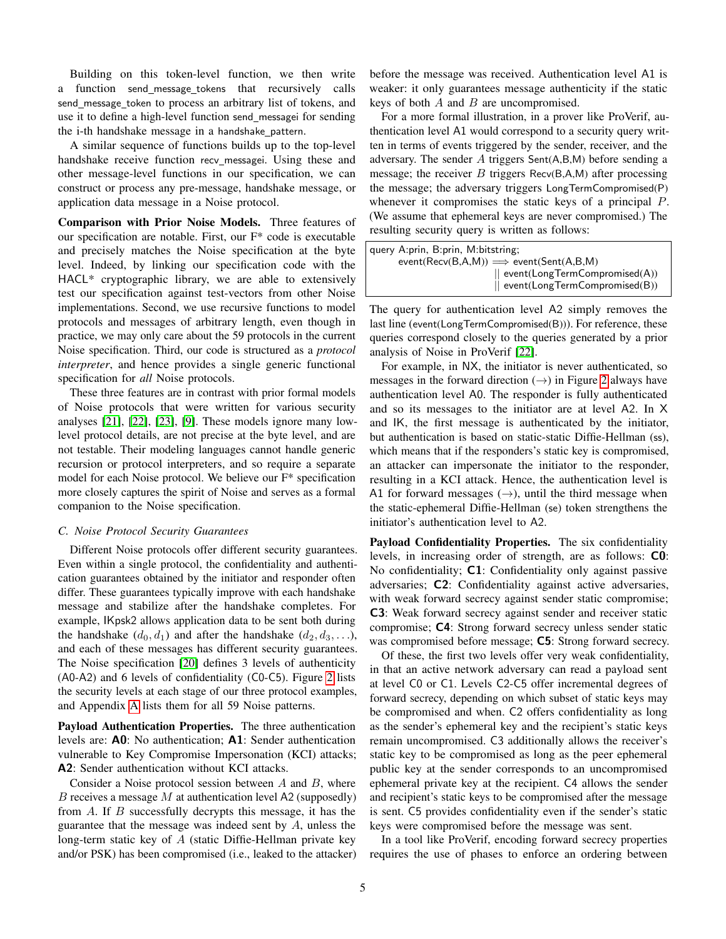Building on this token-level function, we then write a function send\_message\_tokens that recursively calls send\_message\_token to process an arbitrary list of tokens, and use it to define a high-level function send\_messagei for sending the i-th handshake message in a handshake\_pattern.

A similar sequence of functions builds up to the top-level handshake receive function recv messagei. Using these and other message-level functions in our specification, we can construct or process any pre-message, handshake message, or application data message in a Noise protocol.

Comparison with Prior Noise Models. Three features of our specification are notable. First, our F\* code is executable and precisely matches the Noise specification at the byte level. Indeed, by linking our specification code with the HACL\* cryptographic library, we are able to extensively test our specification against test-vectors from other Noise implementations. Second, we use recursive functions to model protocols and messages of arbitrary length, even though in practice, we may only care about the 59 protocols in the current Noise specification. Third, our code is structured as a *protocol interpreter*, and hence provides a single generic functional specification for *all* Noise protocols.

These three features are in contrast with prior formal models of Noise protocols that were written for various security analyses [\[21\]](#page-19-20), [\[22\]](#page-19-21), [\[23\]](#page-19-22), [\[9\]](#page-19-8). These models ignore many lowlevel protocol details, are not precise at the byte level, and are not testable. Their modeling languages cannot handle generic recursion or protocol interpreters, and so require a separate model for each Noise protocol. We believe our F\* specification more closely captures the spirit of Noise and serves as a formal companion to the Noise specification.

#### <span id="page-4-0"></span>*C. Noise Protocol Security Guarantees*

Different Noise protocols offer different security guarantees. Even within a single protocol, the confidentiality and authentication guarantees obtained by the initiator and responder often differ. These guarantees typically improve with each handshake message and stabilize after the handshake completes. For example, IKpsk2 allows application data to be sent both during the handshake  $(d_0, d_1)$  and after the handshake  $(d_2, d_3, \ldots)$ , and each of these messages has different security guarantees. The Noise specification [\[20\]](#page-19-19) defines 3 levels of authenticity (A0-A2) and 6 levels of confidentiality (C0-C5). Figure [2](#page-2-0) lists the security levels at each stage of our three protocol examples, and Appendix [A](#page-21-0) lists them for all 59 Noise patterns.

Payload Authentication Properties. The three authentication levels are: A0: No authentication; A1: Sender authentication vulnerable to Key Compromise Impersonation (KCI) attacks; A2: Sender authentication without KCI attacks.

Consider a Noise protocol session between  $A$  and  $B$ , where B receives a message M at authentication level A2 (supposedly) from A. If B successfully decrypts this message, it has the guarantee that the message was indeed sent by A, unless the long-term static key of A (static Diffie-Hellman private key and/or PSK) has been compromised (i.e., leaked to the attacker) before the message was received. Authentication level A1 is weaker: it only guarantees message authenticity if the static keys of both  $A$  and  $B$  are uncompromised.

For a more formal illustration, in a prover like ProVerif, authentication level A1 would correspond to a security query written in terms of events triggered by the sender, receiver, and the adversary. The sender A triggers Sent(A,B,M) before sending a message; the receiver  $B$  triggers Recv(B,A,M) after processing the message; the adversary triggers LongTermCompromised(P) whenever it compromises the static keys of a principal P. (We assume that ephemeral keys are never compromised.) The resulting security query is written as follows:

query A:prin, B:prin, M:bitstring;  $event(Recv(B,A,M)) \Longrightarrow event(Sent(A,B,M))$ || event(LongTermCompromised(A)) || event(LongTermCompromised(B))

The query for authentication level A2 simply removes the last line (event(LongTermCompromised(B))). For reference, these queries correspond closely to the queries generated by a prior analysis of Noise in ProVerif [\[22\]](#page-19-21).

For example, in NX, the initiator is never authenticated, so messages in the forward direction  $(\rightarrow)$  in Figure [2](#page-2-0) always have authentication level A0. The responder is fully authenticated and so its messages to the initiator are at level A2. In X and IK, the first message is authenticated by the initiator, but authentication is based on static-static Diffie-Hellman (ss), which means that if the responders's static key is compromised, an attacker can impersonate the initiator to the responder, resulting in a KCI attack. Hence, the authentication level is A1 for forward messages  $(\rightarrow)$ , until the third message when the static-ephemeral Diffie-Hellman (se) token strengthens the initiator's authentication level to A2.

Payload Confidentiality Properties. The six confidentiality levels, in increasing order of strength, are as follows: C0: No confidentiality; C1: Confidentiality only against passive adversaries; C2: Confidentiality against active adversaries, with weak forward secrecy against sender static compromise; C3: Weak forward secrecy against sender and receiver static compromise; C4: Strong forward secrecy unless sender static was compromised before message; **C5**: Strong forward secrecy.

Of these, the first two levels offer very weak confidentiality, in that an active network adversary can read a payload sent at level C0 or C1. Levels C2-C5 offer incremental degrees of forward secrecy, depending on which subset of static keys may be compromised and when. C2 offers confidentiality as long as the sender's ephemeral key and the recipient's static keys remain uncompromised. C3 additionally allows the receiver's static key to be compromised as long as the peer ephemeral public key at the sender corresponds to an uncompromised ephemeral private key at the recipient. C4 allows the sender and recipient's static keys to be compromised after the message is sent. C5 provides confidentiality even if the sender's static keys were compromised before the message was sent.

In a tool like ProVerif, encoding forward secrecy properties requires the use of phases to enforce an ordering between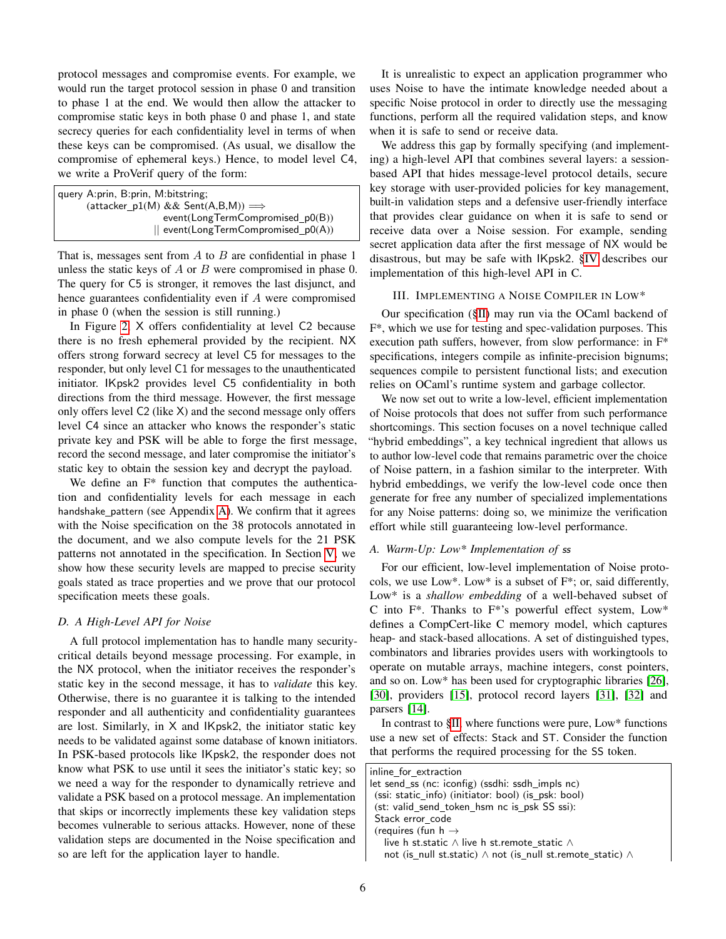protocol messages and compromise events. For example, we would run the target protocol session in phase 0 and transition to phase 1 at the end. We would then allow the attacker to compromise static keys in both phase 0 and phase 1, and state secrecy queries for each confidentiality level in terms of when these keys can be compromised. (As usual, we disallow the compromise of ephemeral keys.) Hence, to model level C4, we write a ProVerif query of the form:

| query A:prin, B:prin, M:bitstring;                   |
|------------------------------------------------------|
| (attacker $p1(M)$ & & Sent(A,B,M)) $\Longrightarrow$ |
| event(LongTermCompromised_p0(B))                     |
| $\parallel$ event(LongTermCompromised $p0(A)$ )      |

That is, messages sent from  $A$  to  $B$  are confidential in phase 1 unless the static keys of  $A$  or  $B$  were compromised in phase 0. The query for C5 is stronger, it removes the last disjunct, and hence guarantees confidentiality even if A were compromised in phase 0 (when the session is still running.)

In Figure [2,](#page-2-0) X offers confidentiality at level C2 because there is no fresh ephemeral provided by the recipient. NX offers strong forward secrecy at level C5 for messages to the responder, but only level C1 for messages to the unauthenticated initiator. IKpsk2 provides level C5 confidentiality in both directions from the third message. However, the first message only offers level C2 (like X) and the second message only offers level C4 since an attacker who knows the responder's static private key and PSK will be able to forge the first message, record the second message, and later compromise the initiator's static key to obtain the session key and decrypt the payload.

We define an F\* function that computes the authentication and confidentiality levels for each message in each handshake\_pattern (see Appendix [A\)](#page-21-0). We confirm that it agrees with the Noise specification on the 38 protocols annotated in the document, and we also compute levels for the 21 PSK patterns not annotated in the specification. In Section [V,](#page-9-0) we show how these security levels are mapped to precise security goals stated as trace properties and we prove that our protocol specification meets these goals.

## *D. A High-Level API for Noise*

A full protocol implementation has to handle many securitycritical details beyond message processing. For example, in the NX protocol, when the initiator receives the responder's static key in the second message, it has to *validate* this key. Otherwise, there is no guarantee it is talking to the intended responder and all authenticity and confidentiality guarantees are lost. Similarly, in X and IKpsk2, the initiator static key needs to be validated against some database of known initiators. In PSK-based protocols like IKpsk2, the responder does not know what PSK to use until it sees the initiator's static key; so we need a way for the responder to dynamically retrieve and validate a PSK based on a protocol message. An implementation that skips or incorrectly implements these key validation steps becomes vulnerable to serious attacks. However, none of these validation steps are documented in the Noise specification and so are left for the application layer to handle.

It is unrealistic to expect an application programmer who uses Noise to have the intimate knowledge needed about a specific Noise protocol in order to directly use the messaging functions, perform all the required validation steps, and know when it is safe to send or receive data.

We address this gap by formally specifying (and implementing) a high-level API that combines several layers: a sessionbased API that hides message-level protocol details, secure key storage with user-provided policies for key management, built-in validation steps and a defensive user-friendly interface that provides clear guidance on when it is safe to send or receive data over a Noise session. For example, sending secret application data after the first message of NX would be disastrous, but may be safe with IKpsk2. [§IV](#page-7-0) describes our implementation of this high-level API in C.

#### <span id="page-5-0"></span>III. IMPLEMENTING A NOISE COMPILER IN LOW\*

Our specification ([§II\)](#page-1-1) may run via the OCaml backend of F\*, which we use for testing and spec-validation purposes. This execution path suffers, however, from slow performance: in F\* specifications, integers compile as infinite-precision bignums; sequences compile to persistent functional lists; and execution relies on OCaml's runtime system and garbage collector.

We now set out to write a low-level, efficient implementation of Noise protocols that does not suffer from such performance shortcomings. This section focuses on a novel technique called "hybrid embeddings", a key technical ingredient that allows us to author low-level code that remains parametric over the choice of Noise pattern, in a fashion similar to the interpreter. With hybrid embeddings, we verify the low-level code once then generate for free any number of specialized implementations for any Noise patterns: doing so, we minimize the verification effort while still guaranteeing low-level performance.

## *A. Warm-Up: Low\* Implementation of* ss

For our efficient, low-level implementation of Noise protocols, we use Low\*. Low\* is a subset of F\*; or, said differently, Low\* is a *shallow embedding* of a well-behaved subset of C into  $F^*$ . Thanks to  $F^*$ 's powerful effect system, Low<sup>\*</sup> defines a CompCert-like C memory model, which captures heap- and stack-based allocations. A set of distinguished types, combinators and libraries provides users with workingtools to operate on mutable arrays, machine integers, const pointers, and so on. Low\* has been used for cryptographic libraries [\[26\]](#page-19-25), [\[30\]](#page-19-29), providers [\[15\]](#page-19-14), protocol record layers [\[31\]](#page-19-30), [\[32\]](#page-19-31) and parsers [\[14\]](#page-19-13).

In contrast to [§II,](#page-1-1) where functions were pure, Low\* functions use a new set of effects: Stack and ST. Consider the function that performs the required processing for the SS token.

| inline for extraction                                                    |
|--------------------------------------------------------------------------|
| let send_ss (nc: iconfig) (ssdhi: ssdh_impls nc)                         |
| (ssi: static_info) (initiator: bool) (is_psk: bool)                      |
| (st: valid_send_token_hsm nc is_psk SS ssi):                             |
| Stack error code                                                         |
| (requires (fun $h \rightarrow$                                           |
| live h st.static $\wedge$ live h st.remote_static $\wedge$               |
| not (is null st.static) $\wedge$ not (is null st.remote static) $\wedge$ |
|                                                                          |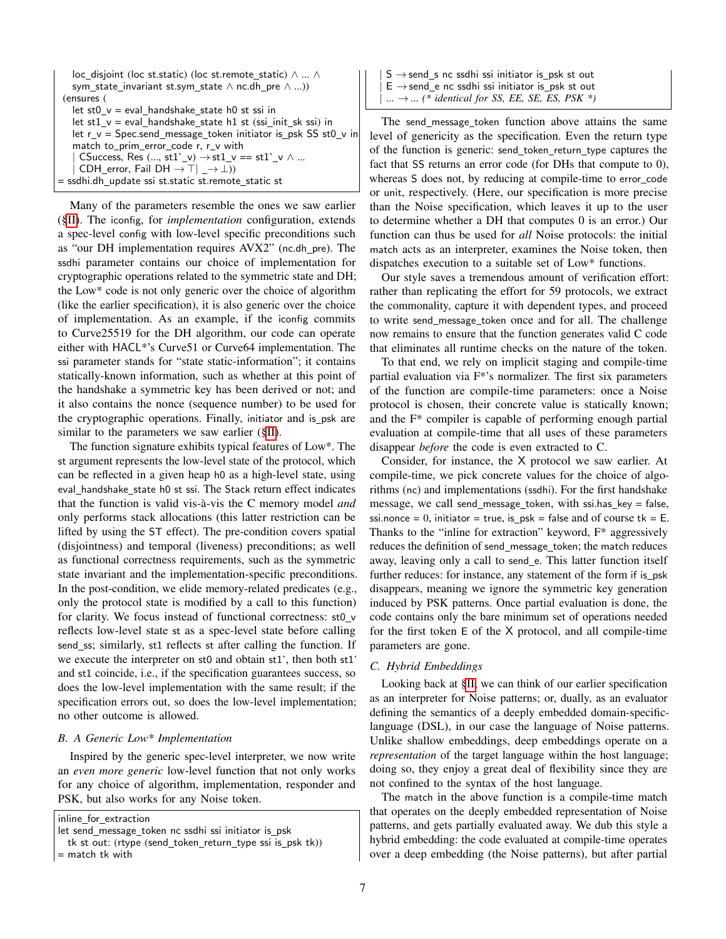| loc_disjoint (loc_st.static) (loc_st.remote_static) $\wedge \dots \wedge$ |
|---------------------------------------------------------------------------|
| sym state invariant st.sym state $\wedge$ nc.dh pre $\wedge$ )            |
| (ensures (                                                                |
| $let st0_v = eval_handshake_state h0 st ssi in$                           |
| let $st1_v = eval_handshake_state h1 st (ssi_nit_skssi) in$               |
| let $r_v = Spec.send_messae_token initiator is_psk SS st0_v in$           |
| match to_prim_error_code r, r_v with                                      |
| CSuccess, Res (, st1'_v) $\rightarrow$ st1_v == st1'_v $\land$            |
| CDH error, Fail DH $\rightarrow \top$   $\rightarrow \bot$ ))             |
| = ssdhi.dh_update ssi st.static st.remote_static st                       |
|                                                                           |

Many of the parameters resemble the ones we saw earlier ([§II\)](#page-1-1). The iconfig, for *implementation* configuration, extends a spec-level config with low-level specific preconditions such as "our DH implementation requires AVX2" (nc.dh\_pre). The ssdhi parameter contains our choice of implementation for cryptographic operations related to the symmetric state and DH; the Low\* code is not only generic over the choice of algorithm (like the earlier specification), it is also generic over the choice of implementation. As an example, if the iconfig commits to Curve25519 for the DH algorithm, our code can operate either with HACL\*'s Curve51 or Curve64 implementation. The ssi parameter stands for "state static-information"; it contains statically-known information, such as whether at this point of the handshake a symmetric key has been derived or not; and it also contains the nonce (sequence number) to be used for the cryptographic operations. Finally, initiator and is psk are similar to the parameters we saw earlier  $(\S$ II).

The function signature exhibits typical features of Low\*. The st argument represents the low-level state of the protocol, which can be reflected in a given heap h0 as a high-level state, using eval\_handshake\_state h0 st ssi. The Stack return effect indicates that the function is valid vis-a-vis the C memory model ` *and* only performs stack allocations (this latter restriction can be lifted by using the ST effect). The pre-condition covers spatial (disjointness) and temporal (liveness) preconditions; as well as functional correctness requirements, such as the symmetric state invariant and the implementation-specific preconditions. In the post-condition, we elide memory-related predicates (e.g., only the protocol state is modified by a call to this function) for clarity. We focus instead of functional correctness: st0 v reflects low-level state st as a spec-level state before calling send\_ss; similarly, st1 reflects st after calling the function. If we execute the interpreter on st0 and obtain st1', then both st1' and st1 coincide, i.e., if the specification guarantees success, so does the low-level implementation with the same result; if the specification errors out, so does the low-level implementation; no other outcome is allowed.

## *B. A Generic Low\* Implementation*

Inspired by the generic spec-level interpreter, we now write an *even more generic* low-level function that not only works for any choice of algorithm, implementation, responder and PSK, but also works for any Noise token.

inline for extraction

 $S \rightarrow$  send s nc ssdhi ssi initiator is psk st out  $\mathsf{E}\to\operatorname{\mathsf{send}}\nolimits_{\mathsf{e}}$ nc ssdhi ssi initiator is\_psk st out  $... \rightarrow ...$  *(\* identical for SS, EE, SE, ES, PSK \*)* 

The send\_message\_token function above attains the same level of genericity as the specification. Even the return type of the function is generic: send\_token\_return\_type captures the fact that SS returns an error code (for DHs that compute to 0), whereas S does not, by reducing at compile-time to error code or unit, respectively. (Here, our specification is more precise than the Noise specification, which leaves it up to the user to determine whether a DH that computes 0 is an error.) Our function can thus be used for *all* Noise protocols: the initial match acts as an interpreter, examines the Noise token, then dispatches execution to a suitable set of Low\* functions.

Our style saves a tremendous amount of verification effort: rather than replicating the effort for 59 protocols, we extract the commonality, capture it with dependent types, and proceed to write send\_message\_token once and for all. The challenge now remains to ensure that the function generates valid C code that eliminates all runtime checks on the nature of the token.

To that end, we rely on implicit staging and compile-time partial evaluation via F\*'s normalizer. The first six parameters of the function are compile-time parameters: once a Noise protocol is chosen, their concrete value is statically known; and the F\* compiler is capable of performing enough partial evaluation at compile-time that all uses of these parameters disappear *before* the code is even extracted to C.

Consider, for instance, the X protocol we saw earlier. At compile-time, we pick concrete values for the choice of algorithms (nc) and implementations (ssdhi). For the first handshake message, we call send message token, with ssi.has  $key = false$ , ssi.nonce = 0, initiator = true, is\_psk = false and of course  $tk = E$ . Thanks to the "inline for extraction" keyword, F\* aggressively reduces the definition of send\_message\_token; the match reduces away, leaving only a call to send\_e. This latter function itself further reduces: for instance, any statement of the form if is psk disappears, meaning we ignore the symmetric key generation induced by PSK patterns. Once partial evaluation is done, the code contains only the bare minimum set of operations needed for the first token E of the X protocol, and all compile-time parameters are gone.

#### *C. Hybrid Embeddings*

Looking back at [§II,](#page-1-1) we can think of our earlier specification as an interpreter for Noise patterns; or, dually, as an evaluator defining the semantics of a deeply embedded domain-specificlanguage (DSL), in our case the language of Noise patterns. Unlike shallow embeddings, deep embeddings operate on a *representation* of the target language within the host language; doing so, they enjoy a great deal of flexibility since they are not confined to the syntax of the host language.

The match in the above function is a compile-time match that operates on the deeply embedded representation of Noise patterns, and gets partially evaluated away. We dub this style a hybrid embedding: the code evaluated at compile-time operates over a deep embedding (the Noise patterns), but after partial

let send message token nc ssdhi ssi initiator is psk

tk st out: (rtype (send\_token\_return\_type ssi is\_psk tk))

<sup>=</sup> match tk with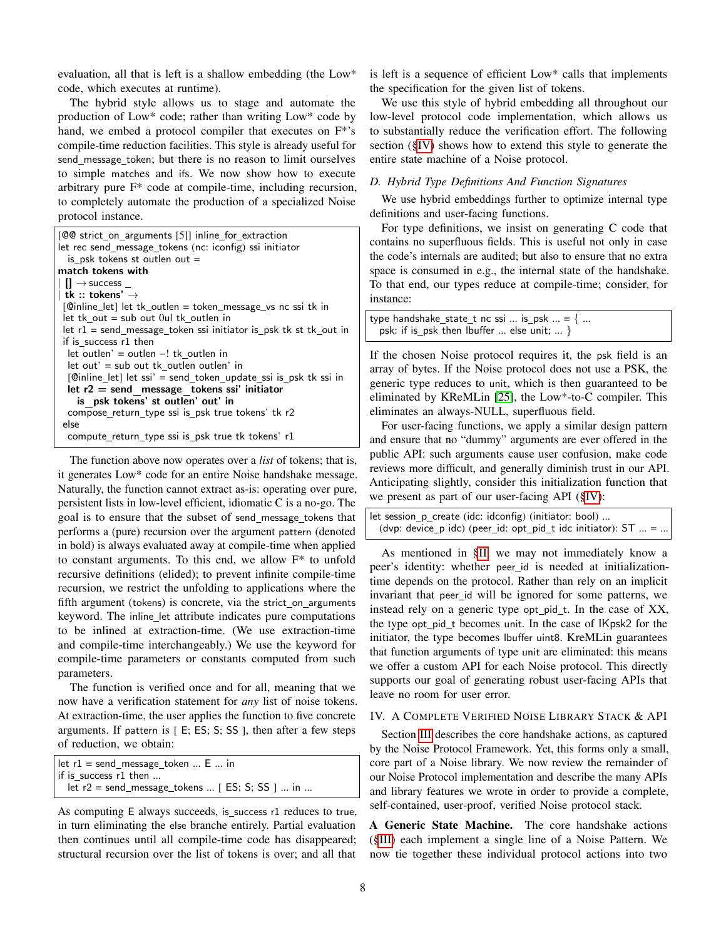evaluation, all that is left is a shallow embedding (the Low\* code, which executes at runtime).

The hybrid style allows us to stage and automate the production of Low\* code; rather than writing Low\* code by hand, we embed a protocol compiler that executes on  $F^*$ 's compile-time reduction facilities. This style is already useful for send message token; but there is no reason to limit ourselves to simple matches and ifs. We now show how to execute arbitrary pure F\* code at compile-time, including recursion, to completely automate the production of a specialized Noise protocol instance.

| [CO strict_on_arguments [5]] inline_for_extraction                 |
|--------------------------------------------------------------------|
| let rec send_message_tokens (nc: iconfig) ssi initiator            |
| is psk tokens st outlen out $=$                                    |
| match tokens with                                                  |
| $\vert \vert \vert \rightarrow$ success $\vert$                    |
| $ $ tk :: tokens' $\rightarrow$                                    |
| [@inline_let] let tk_outlen = token_message_vs nc ssi tk in        |
| let tk out $=$ sub out 0ul tk outlen in                            |
| let $r1$ = send message token ssi initiator is psk tk st tk out in |
| if is success r1 then                                              |
| $let$ outlen' = outlen $-!$ tk outlen in                           |
| $let out' = sub out tk outlen outlen' in$                          |
| [Cinline_let] let ssi' = send_token_update_ssi is_psk tk ssi in    |
| let $r2$ = send message tokens ssi' initiator                      |
| is psk tokens' st outlen' out' in                                  |
| compose_return_type ssi is_psk true tokens' tk r2                  |
| else                                                               |
| compute return type ssi is psk true tk tokens' r1                  |

The function above now operates over a *list* of tokens; that is, it generates Low\* code for an entire Noise handshake message. Naturally, the function cannot extract as-is: operating over pure, persistent lists in low-level efficient, idiomatic C is a no-go. The goal is to ensure that the subset of send message tokens that performs a (pure) recursion over the argument pattern (denoted in bold) is always evaluated away at compile-time when applied to constant arguments. To this end, we allow F\* to unfold recursive definitions (elided); to prevent infinite compile-time recursion, we restrict the unfolding to applications where the fifth argument (tokens) is concrete, via the strict\_on\_arguments keyword. The inline let attribute indicates pure computations to be inlined at extraction-time. (We use extraction-time and compile-time interchangeably.) We use the keyword for compile-time parameters or constants computed from such parameters.

The function is verified once and for all, meaning that we now have a verification statement for *any* list of noise tokens. At extraction-time, the user applies the function to five concrete arguments. If pattern is [ E; ES; S; SS ], then after a few steps of reduction, we obtain:

| let $r1$ = send message token  E  in             |  |
|--------------------------------------------------|--|
| if is success $r1$ then                          |  |
| let $r2$ = send message tokens  [ES; S; SS ]  in |  |

As computing E always succeeds, is\_success r1 reduces to true, in turn eliminating the else branche entirely. Partial evaluation then continues until all compile-time code has disappeared; structural recursion over the list of tokens is over; and all that

is left is a sequence of efficient Low\* calls that implements the specification for the given list of tokens.

We use this style of hybrid embedding all throughout our low-level protocol code implementation, which allows us to substantially reduce the verification effort. The following section ([§IV\)](#page-7-0) shows how to extend this style to generate the entire state machine of a Noise protocol.

## <span id="page-7-1"></span>*D. Hybrid Type Definitions And Function Signatures*

We use hybrid embeddings further to optimize internal type definitions and user-facing functions.

For type definitions, we insist on generating C code that contains no superfluous fields. This is useful not only in case the code's internals are audited; but also to ensure that no extra space is consumed in e.g., the internal state of the handshake. To that end, our types reduce at compile-time; consider, for instance:

type handshake\_state\_t nc ssi ... is\_psk  $\ldots$  = { ... psk: if is\_psk then lbuffer ... else unit; ... }

If the chosen Noise protocol requires it, the psk field is an array of bytes. If the Noise protocol does not use a PSK, the generic type reduces to unit, which is then guaranteed to be eliminated by KReMLin [\[25\]](#page-19-24), the Low\*-to-C compiler. This eliminates an always-NULL, superfluous field.

For user-facing functions, we apply a similar design pattern and ensure that no "dummy" arguments are ever offered in the public API: such arguments cause user confusion, make code reviews more difficult, and generally diminish trust in our API. Anticipating slightly, consider this initialization function that we present as part of our user-facing API ([§IV\)](#page-7-0):

let session\_p\_create (idc: idconfig) (initiator: bool) ... (dvp: device\_p idc) (peer\_id: opt\_pid\_t idc initiator):  $ST$  ... = ...

As mentioned in [§II,](#page-1-1) we may not immediately know a peer's identity: whether peer\_id is needed at initializationtime depends on the protocol. Rather than rely on an implicit invariant that peer id will be ignored for some patterns, we instead rely on a generic type opt pid  $t$ . In the case of  $XX$ , the type opt\_pid\_t becomes unit. In the case of IKpsk2 for the initiator, the type becomes lbuffer uint8. KreMLin guarantees that function arguments of type unit are eliminated: this means we offer a custom API for each Noise protocol. This directly supports our goal of generating robust user-facing APIs that leave no room for user error.

## <span id="page-7-0"></span>IV. A COMPLETE VERIFIED NOISE LIBRARY STACK & API

Section [III](#page-5-0) describes the core handshake actions, as captured by the Noise Protocol Framework. Yet, this forms only a small, core part of a Noise library. We now review the remainder of our Noise Protocol implementation and describe the many APIs and library features we wrote in order to provide a complete, self-contained, user-proof, verified Noise protocol stack.

A Generic State Machine. The core handshake actions ([§III\)](#page-5-0) each implement a single line of a Noise Pattern. We now tie together these individual protocol actions into two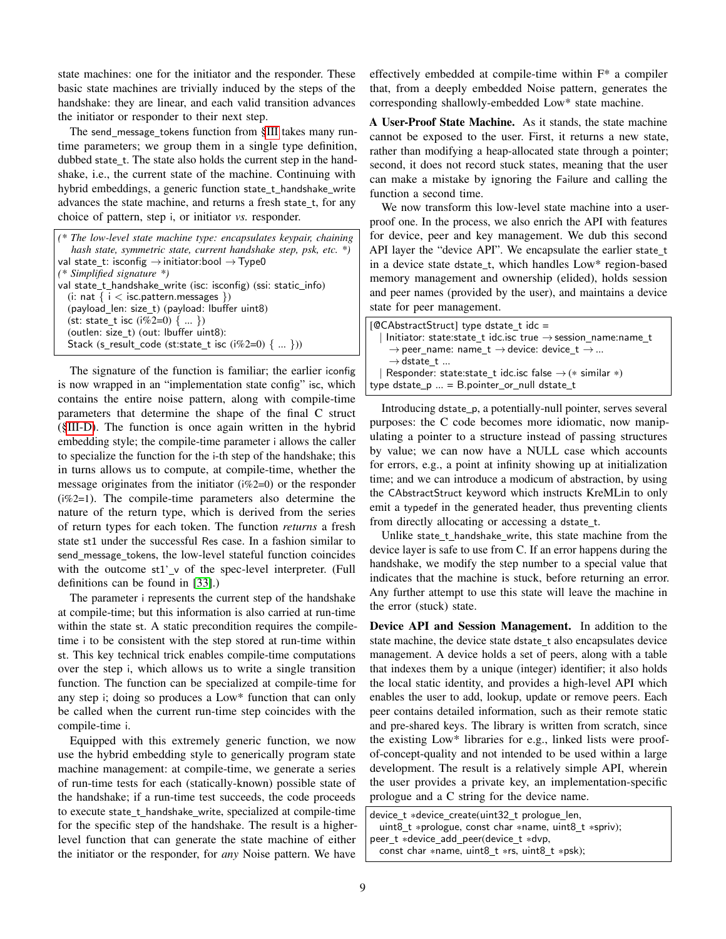state machines: one for the initiator and the responder. These basic state machines are trivially induced by the steps of the handshake: they are linear, and each valid transition advances the initiator or responder to their next step.

The send message tokens function from [§III](#page-5-0) takes many runtime parameters; we group them in a single type definition, dubbed state t. The state also holds the current step in the handshake, i.e., the current state of the machine. Continuing with hybrid embeddings, a generic function state\_t\_handshake\_write advances the state machine, and returns a fresh state\_t, for any choice of pattern, step i, or initiator *vs.* responder.

*(\* The low-level state machine type: encapsulates keypair, chaining hash state, symmetric state, current handshake step, psk, etc. \*)* val state\_t: isconfig  $\rightarrow$  initiator:bool  $\rightarrow$  Type0 *(\* Simplified signature \*)* val state\_t\_handshake\_write (isc: isconfig) (ssi: static\_info) (i: nat  $\{ i <$  isc.pattern.messages  $\})$  $(payload_{en: size_t) (payload: buffer unit8)$ (st: state\_t isc ( $\frac{1}{2}$ =0)  $\{ \dots \}$ ) (outlen: size\_t) (out: lbuffer uint8): Stack (s\_result\_code (st:state\_t isc (i%2=0)  $\{ ... \})$ )

The signature of the function is familiar; the earlier iconfig is now wrapped in an "implementation state config" isc, which contains the entire noise pattern, along with compile-time parameters that determine the shape of the final C struct ([§III-D\)](#page-7-1). The function is once again written in the hybrid embedding style; the compile-time parameter i allows the caller to specialize the function for the i-th step of the handshake; this in turns allows us to compute, at compile-time, whether the message originates from the initiator (i%2=0) or the responder (i%2=1). The compile-time parameters also determine the nature of the return type, which is derived from the series of return types for each token. The function *returns* a fresh state st1 under the successful Res case. In a fashion similar to send\_message\_tokens, the low-level stateful function coincides with the outcome  $st1'$  v of the spec-level interpreter. (Full definitions can be found in [\[33\]](#page-19-32).)

The parameter i represents the current step of the handshake at compile-time; but this information is also carried at run-time within the state st. A static precondition requires the compiletime i to be consistent with the step stored at run-time within st. This key technical trick enables compile-time computations over the step i, which allows us to write a single transition function. The function can be specialized at compile-time for any step i; doing so produces a Low\* function that can only be called when the current run-time step coincides with the compile-time i.

Equipped with this extremely generic function, we now use the hybrid embedding style to generically program state machine management: at compile-time, we generate a series of run-time tests for each (statically-known) possible state of the handshake; if a run-time test succeeds, the code proceeds to execute state\_t\_handshake\_write, specialized at compile-time for the specific step of the handshake. The result is a higherlevel function that can generate the state machine of either the initiator or the responder, for *any* Noise pattern. We have

effectively embedded at compile-time within F\* a compiler that, from a deeply embedded Noise pattern, generates the corresponding shallowly-embedded Low\* state machine.

A User-Proof State Machine. As it stands, the state machine cannot be exposed to the user. First, it returns a new state, rather than modifying a heap-allocated state through a pointer; second, it does not record stuck states, meaning that the user can make a mistake by ignoring the Failure and calling the function a second time.

We now transform this low-level state machine into a userproof one. In the process, we also enrich the API with features for device, peer and key management. We dub this second API layer the "device API". We encapsulate the earlier state\_t in a device state dstate\_t, which handles Low\* region-based memory management and ownership (elided), holds session and peer names (provided by the user), and maintains a device state for peer management.

| $[@CAbstractStruct]$ type dstate t idc =                                     |
|------------------------------------------------------------------------------|
| Initiator: state:state_t idc.isc true $\rightarrow$ session_name:name_t      |
| $\rightarrow$ peer_name: name_t $\rightarrow$ device: device_t $\rightarrow$ |
| $\rightarrow$ dstate t                                                       |
| Responder: state:state_t idc.isc false $\rightarrow$ (* similar *)           |
| type dstate_p  = B.pointer_or_null dstate_t                                  |
|                                                                              |

Introducing dstate\_p, a potentially-null pointer, serves several purposes: the C code becomes more idiomatic, now manipulating a pointer to a structure instead of passing structures by value; we can now have a NULL case which accounts for errors, e.g., a point at infinity showing up at initialization time; and we can introduce a modicum of abstraction, by using the CAbstractStruct keyword which instructs KreMLin to only emit a typedef in the generated header, thus preventing clients from directly allocating or accessing a dstate\_t.

Unlike state\_t\_handshake\_write, this state machine from the device layer is safe to use from C. If an error happens during the handshake, we modify the step number to a special value that indicates that the machine is stuck, before returning an error. Any further attempt to use this state will leave the machine in the error (stuck) state.

Device API and Session Management. In addition to the state machine, the device state dstate\_t also encapsulates device management. A device holds a set of peers, along with a table that indexes them by a unique (integer) identifier; it also holds the local static identity, and provides a high-level API which enables the user to add, lookup, update or remove peers. Each peer contains detailed information, such as their remote static and pre-shared keys. The library is written from scratch, since the existing Low\* libraries for e.g., linked lists were proofof-concept-quality and not intended to be used within a large development. The result is a relatively simple API, wherein the user provides a private key, an implementation-specific prologue and a C string for the device name.

device\_t \*device\_create(uint32\_t prologue\_len, uint8\_t \*prologue, const char \*name, uint8\_t \*spriv); peer\_t \*device\_add\_peer(device\_t \*dvp, const char  $*$ name, uint $8_t *$ rs, uint $8_t *$ psk);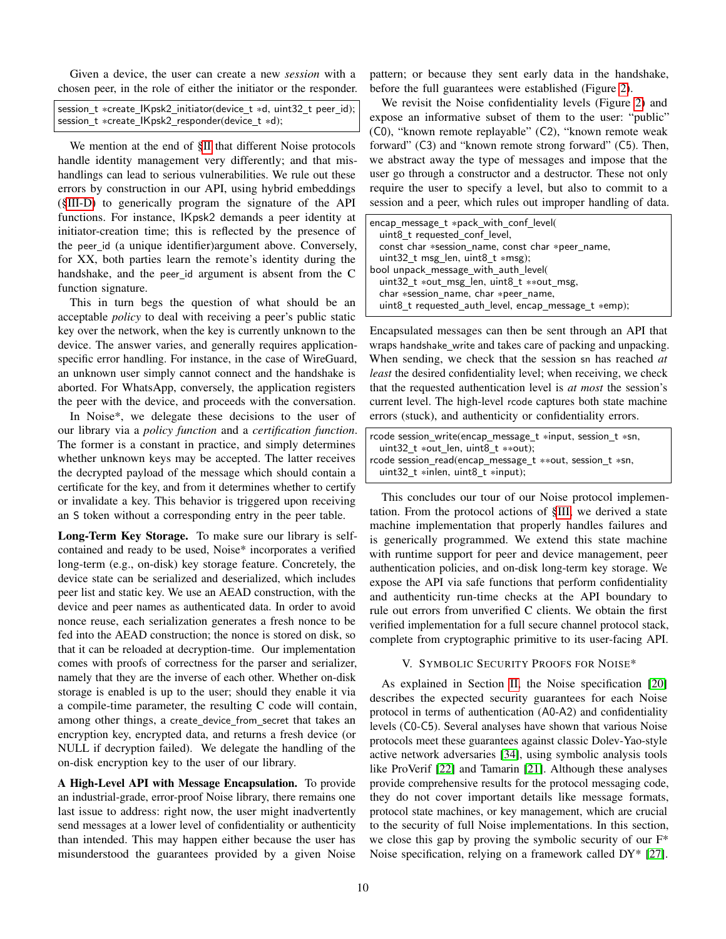Given a device, the user can create a new *session* with a chosen peer, in the role of either the initiator or the responder.

| session t *create IKpsk2 initiator(device t *d, uint32 t peer id); |
|--------------------------------------------------------------------|
| session_t *create_IKpsk2_responder(device_t *d);                   |

We mention at the end of [§II](#page-1-1) that different Noise protocols handle identity management very differently; and that mishandlings can lead to serious vulnerabilities. We rule out these errors by construction in our API, using hybrid embeddings ([§III-D\)](#page-7-1) to generically program the signature of the API functions. For instance, IKpsk2 demands a peer identity at initiator-creation time; this is reflected by the presence of the peer id (a unique identifier)argument above. Conversely, for XX, both parties learn the remote's identity during the handshake, and the peer id argument is absent from the C function signature.

This in turn begs the question of what should be an acceptable *policy* to deal with receiving a peer's public static key over the network, when the key is currently unknown to the device. The answer varies, and generally requires applicationspecific error handling. For instance, in the case of WireGuard, an unknown user simply cannot connect and the handshake is aborted. For WhatsApp, conversely, the application registers the peer with the device, and proceeds with the conversation.

In Noise\*, we delegate these decisions to the user of our library via a *policy function* and a *certification function*. The former is a constant in practice, and simply determines whether unknown keys may be accepted. The latter receives the decrypted payload of the message which should contain a certificate for the key, and from it determines whether to certify or invalidate a key. This behavior is triggered upon receiving an S token without a corresponding entry in the peer table.

Long-Term Key Storage. To make sure our library is selfcontained and ready to be used, Noise\* incorporates a verified long-term (e.g., on-disk) key storage feature. Concretely, the device state can be serialized and deserialized, which includes peer list and static key. We use an AEAD construction, with the device and peer names as authenticated data. In order to avoid nonce reuse, each serialization generates a fresh nonce to be fed into the AEAD construction; the nonce is stored on disk, so that it can be reloaded at decryption-time. Our implementation comes with proofs of correctness for the parser and serializer, namely that they are the inverse of each other. Whether on-disk storage is enabled is up to the user; should they enable it via a compile-time parameter, the resulting C code will contain, among other things, a create\_device\_from\_secret that takes an encryption key, encrypted data, and returns a fresh device (or NULL if decryption failed). We delegate the handling of the on-disk encryption key to the user of our library.

A High-Level API with Message Encapsulation. To provide an industrial-grade, error-proof Noise library, there remains one last issue to address: right now, the user might inadvertently send messages at a lower level of confidentiality or authenticity than intended. This may happen either because the user has misunderstood the guarantees provided by a given Noise pattern; or because they sent early data in the handshake, before the full guarantees were established (Figure [2\)](#page-2-0).

We revisit the Noise confidentiality levels (Figure [2\)](#page-2-0) and expose an informative subset of them to the user: "public" (C0), "known remote replayable" (C2), "known remote weak forward" (C3) and "known remote strong forward" (C5). Then, we abstract away the type of messages and impose that the user go through a constructor and a destructor. These not only require the user to specify a level, but also to commit to a session and a peer, which rules out improper handling of data.

| encap_message_t *pack_with_conf_level(<br>uint8 t requested conf level, |  |
|-------------------------------------------------------------------------|--|
| const char *session_name, const char *peer_name,                        |  |
| uint32_t msg_len, uint8_t *msg);                                        |  |
| bool unpack message with auth level(                                    |  |
| $uint32_t *out_msg_len, unit8_t *out_msg,$                              |  |
| char *session name, char *peer name,                                    |  |
| uint8_t requested_auth_level, encap_message_t *emp);                    |  |

Encapsulated messages can then be sent through an API that wraps handshake write and takes care of packing and unpacking. When sending, we check that the session sn has reached *at least* the desired confidentiality level; when receiving, we check that the requested authentication level is *at most* the session's current level. The high-level rcode captures both state machine errors (stuck), and authenticity or confidentiality errors.

| rcode session_write(encap_message_t *input, session_t *sn, |  |
|------------------------------------------------------------|--|
| uint 32 t *out len, uint 8 t **out);                       |  |
| rcode session_read(encap_message_t **out, session_t *sn,   |  |
| uint 32 t $*$ inlen, uint 8 t $*$ input);                  |  |

This concludes our tour of our Noise protocol implementation. From the protocol actions of [§III,](#page-5-0) we derived a state machine implementation that properly handles failures and is generically programmed. We extend this state machine with runtime support for peer and device management, peer authentication policies, and on-disk long-term key storage. We expose the API via safe functions that perform confidentiality and authenticity run-time checks at the API boundary to rule out errors from unverified C clients. We obtain the first verified implementation for a full secure channel protocol stack, complete from cryptographic primitive to its user-facing API.

## V. SYMBOLIC SECURITY PROOFS FOR NOISE\*

<span id="page-9-0"></span>As explained in Section [II,](#page-1-1) the Noise specification [\[20\]](#page-19-19) describes the expected security guarantees for each Noise protocol in terms of authentication (A0-A2) and confidentiality levels (C0-C5). Several analyses have shown that various Noise protocols meet these guarantees against classic Dolev-Yao-style active network adversaries [\[34\]](#page-19-33), using symbolic analysis tools like ProVerif [\[22\]](#page-19-21) and Tamarin [\[21\]](#page-19-20). Although these analyses provide comprehensive results for the protocol messaging code, they do not cover important details like message formats, protocol state machines, or key management, which are crucial to the security of full Noise implementations. In this section, we close this gap by proving the symbolic security of our F\* Noise specification, relying on a framework called DY\* [\[27\]](#page-19-26).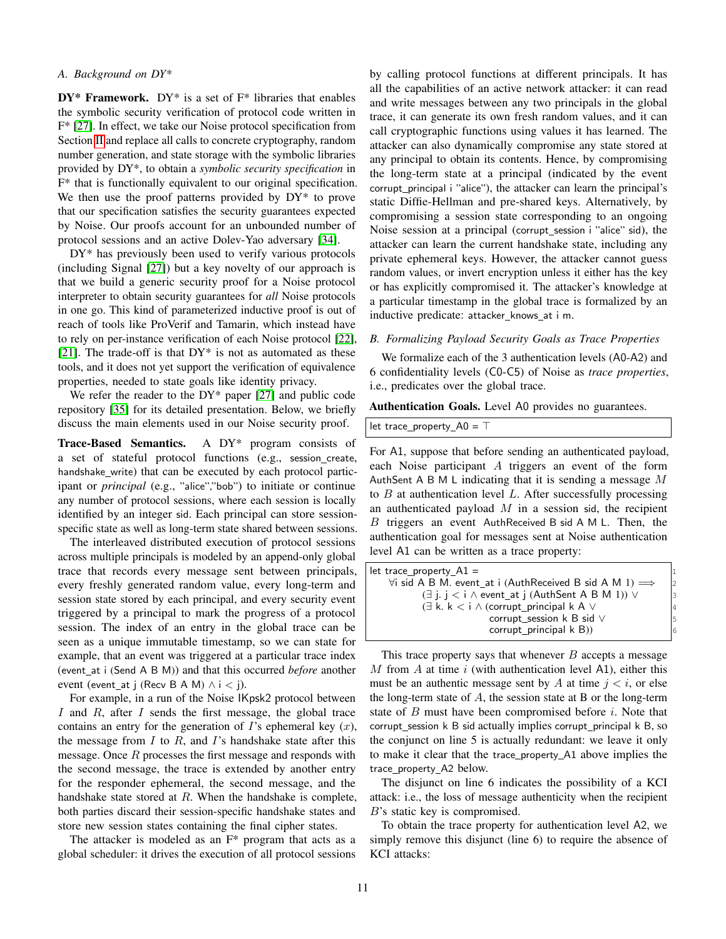## *A. Background on DY\**

 $DY^*$  Framework.  $DY^*$  is a set of  $F^*$  libraries that enables the symbolic security verification of protocol code written in F\* [\[27\]](#page-19-26). In effect, we take our Noise protocol specification from Section [II](#page-1-1) and replace all calls to concrete cryptography, random number generation, and state storage with the symbolic libraries provided by DY\*, to obtain a *symbolic security specification* in F\* that is functionally equivalent to our original specification. We then use the proof patterns provided by  $DY^*$  to prove that our specification satisfies the security guarantees expected by Noise. Our proofs account for an unbounded number of protocol sessions and an active Dolev-Yao adversary [\[34\]](#page-19-33).

DY\* has previously been used to verify various protocols (including Signal [\[27\]](#page-19-26)) but a key novelty of our approach is that we build a generic security proof for a Noise protocol interpreter to obtain security guarantees for *all* Noise protocols in one go. This kind of parameterized inductive proof is out of reach of tools like ProVerif and Tamarin, which instead have to rely on per-instance verification of each Noise protocol [\[22\]](#page-19-21), [\[21\]](#page-19-20). The trade-off is that  $DY^*$  is not as automated as these tools, and it does not yet support the verification of equivalence properties, needed to state goals like identity privacy.

We refer the reader to the  $DY^*$  paper [\[27\]](#page-19-26) and public code repository [\[35\]](#page-19-34) for its detailed presentation. Below, we briefly discuss the main elements used in our Noise security proof.

Trace-Based Semantics. A DY\* program consists of a set of stateful protocol functions (e.g., session create, handshake write) that can be executed by each protocol participant or *principal* (e.g., "alice","bob") to initiate or continue any number of protocol sessions, where each session is locally identified by an integer sid. Each principal can store sessionspecific state as well as long-term state shared between sessions.

The interleaved distributed execution of protocol sessions across multiple principals is modeled by an append-only global trace that records every message sent between principals, every freshly generated random value, every long-term and session state stored by each principal, and every security event triggered by a principal to mark the progress of a protocol session. The index of an entry in the global trace can be seen as a unique immutable timestamp, so we can state for example, that an event was triggered at a particular trace index (event at i (Send A B M)) and that this occurred *before* another event (event\_at j (Recv B A M)  $\land$  i < j).

For example, in a run of the Noise IKpsk2 protocol between I and R, after I sends the first message, the global trace contains an entry for the generation of  $I$ 's ephemeral key  $(x)$ , the message from  $I$  to  $R$ , and  $I$ 's handshake state after this message. Once  $R$  processes the first message and responds with the second message, the trace is extended by another entry for the responder ephemeral, the second message, and the handshake state stored at  $R$ . When the handshake is complete, both parties discard their session-specific handshake states and store new session states containing the final cipher states.

The attacker is modeled as an  $F^*$  program that acts as a global scheduler: it drives the execution of all protocol sessions by calling protocol functions at different principals. It has all the capabilities of an active network attacker: it can read and write messages between any two principals in the global trace, it can generate its own fresh random values, and it can call cryptographic functions using values it has learned. The attacker can also dynamically compromise any state stored at any principal to obtain its contents. Hence, by compromising the long-term state at a principal (indicated by the event corrupt\_principal i "alice"), the attacker can learn the principal's static Diffie-Hellman and pre-shared keys. Alternatively, by compromising a session state corresponding to an ongoing Noise session at a principal (corrupt\_session i "alice" sid), the attacker can learn the current handshake state, including any private ephemeral keys. However, the attacker cannot guess random values, or invert encryption unless it either has the key or has explicitly compromised it. The attacker's knowledge at a particular timestamp in the global trace is formalized by an inductive predicate: attacker knows at i m.

## *B. Formalizing Payload Security Goals as Trace Properties*

We formalize each of the 3 authentication levels (A0-A2) and 6 confidentiality levels (C0-C5) of Noise as *trace properties*, i.e., predicates over the global trace.

Authentication Goals. Level A0 provides no guarantees.

|  |  | let trace_property_A0 = $\top$ |  |
|--|--|--------------------------------|--|
|--|--|--------------------------------|--|

For A1, suppose that before sending an authenticated payload, each Noise participant A triggers an event of the form AuthSent A B M L indicating that it is sending a message  $M$ to  $B$  at authentication level  $L$ . After successfully processing an authenticated payload  $M$  in a session sid, the recipient  $B$  triggers an event AuthReceived B sid A M L. Then, the authentication goal for messages sent at Noise authentication level A1 can be written as a trace property:

| $let trace\_property_A1 =$                                                     |                      |  |
|--------------------------------------------------------------------------------|----------------------|--|
| $\forall$ i sid A B M. event_at i (AuthReceived B sid A M 1) $\Longrightarrow$ | $\vert$ <sub>2</sub> |  |
| $(\exists j. j < i \wedge event\_at j$ (AuthSent A B M 1)) $\vee$              | 3                    |  |
| $\exists$ k. k $\lt$ i $\land$ (corrupt principal k A $\lor$                   | 4                    |  |
| corrupt_session k B sid V                                                      | 5                    |  |
| corrupt_principal k B))                                                        | 6                    |  |
|                                                                                |                      |  |

This trace property says that whenever  $B$  accepts a message M from A at time  $i$  (with authentication level A1), either this must be an authentic message sent by A at time  $j < i$ , or else the long-term state of  $A$ , the session state at B or the long-term state of  $B$  must have been compromised before  $i$ . Note that corrupt\_session k B sid actually implies corrupt\_principal k B, so the conjunct on line 5 is actually redundant: we leave it only to make it clear that the trace property A1 above implies the trace property A2 below.

The disjunct on line 6 indicates the possibility of a KCI attack: i.e., the loss of message authenticity when the recipient B's static key is compromised.

To obtain the trace property for authentication level A2, we simply remove this disjunct (line 6) to require the absence of KCI attacks: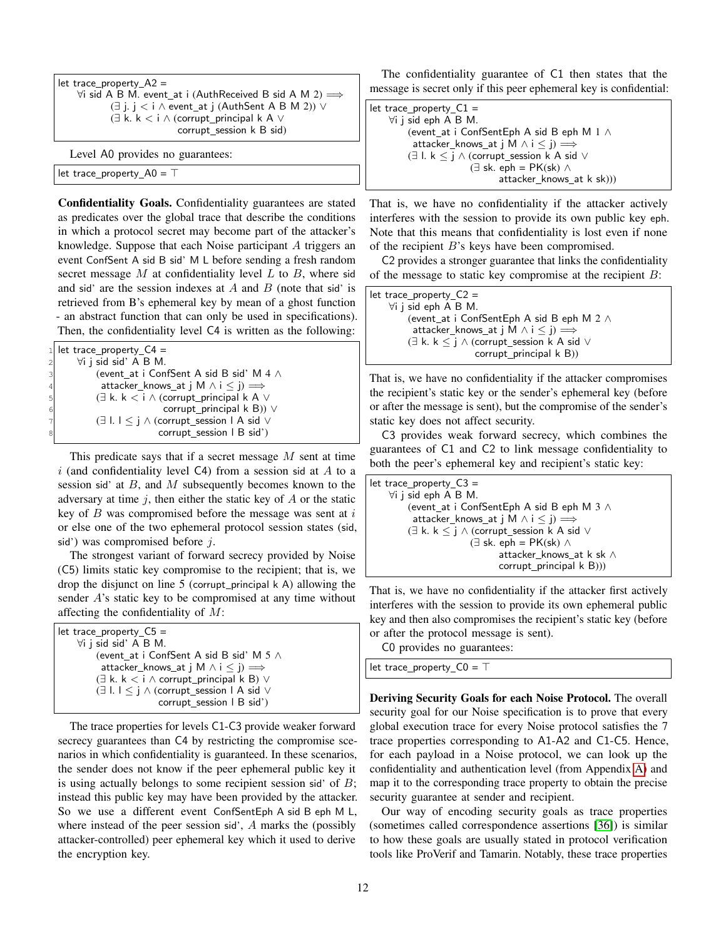| let trace property $A2 =$                                                      |
|--------------------------------------------------------------------------------|
| $\forall i$ sid A B M. event_at i (AuthReceived B sid A M 2) $\Longrightarrow$ |
| $(\exists j. j < i \wedge event\_at j$ (AuthSent A B M 2)) $\vee$              |
| $(\exists k. k < i \wedge (corrupt\_principal k A \vee$                        |
| corrupt session k B sid)                                                       |
| $I \text{ and } A \Omega$ generation as guaranteese                            |

Level A0 provides no guarantees:

let trace\_property\_A0 = ⊤

Confidentiality Goals. Confidentiality guarantees are stated as predicates over the global trace that describe the conditions in which a protocol secret may become part of the attacker's knowledge. Suppose that each Noise participant A triggers an event ConfSent A sid B sid' M L before sending a fresh random secret message  $M$  at confidentiality level  $L$  to  $B$ , where sid and sid' are the session indexes at  $A$  and  $B$  (note that sid' is retrieved from B's ephemeral key by mean of a ghost function - an abstract function that can only be used in specifications). Then, the confidentiality level C4 is written as the following:

|    | 1 let trace property $C4 =$                                                         |
|----|-------------------------------------------------------------------------------------|
| 2  | $\forall i$ j sid sid' A B M.                                                       |
| 3l | (event at i ConfSent A sid B sid' M 4 $\land$                                       |
| 4  | attacker_knows_at j M $\land$ i $\leq$ j) $\Longrightarrow$                         |
| 51 | $(\exists k. k < i \wedge (corrupt\_principal k A \vee$                             |
| 6  | corrupt_principal $k$ B)) $\vee$                                                    |
| 71 | $(\exists$ l. $\vert \leq \cdot \vert \wedge$ (corrupt session $\vert$ A sid $\vee$ |
| 8  | corrupt_session   B sid')                                                           |
|    |                                                                                     |

This predicate says that if a secret message  $M$  sent at time  $i$  (and confidentiality level C4) from a session sid at  $A$  to a session sid' at  $B$ , and  $M$  subsequently becomes known to the adversary at time  $j$ , then either the static key of  $A$  or the static key of  $B$  was compromised before the message was sent at  $i$ or else one of the two ephemeral protocol session states (sid, sid') was compromised before  $j$ .

The strongest variant of forward secrecy provided by Noise (C5) limits static key compromise to the recipient; that is, we drop the disjunct on line  $5$  (corrupt principal  $k$  A) allowing the sender A's static key to be compromised at any time without affecting the confidentiality of  $M$ :

| let trace property $C5 =$                                                           |  |
|-------------------------------------------------------------------------------------|--|
| $\forall i$ i sid sid' A B M.                                                       |  |
| (event at i ConfSent A sid B sid' M $5 \wedge$                                      |  |
| attacker knows at j M $\land$ i $\leq$ j) $\Longrightarrow$                         |  |
| $(\exists k, k < i \wedge$ corrupt principal k B) $\vee$                            |  |
| $(\exists$ l. $\vert \leq \cdot \vert \wedge$ (corrupt session $\vert$ A sid $\vee$ |  |
| corrupt_session   B sid')                                                           |  |

The trace properties for levels C1-C3 provide weaker forward secrecy guarantees than C4 by restricting the compromise scenarios in which confidentiality is guaranteed. In these scenarios, the sender does not know if the peer ephemeral public key it is using actually belongs to some recipient session sid' of  $B$ ; instead this public key may have been provided by the attacker. So we use a different event ConfSentEph A sid B eph M L, where instead of the peer session sid', A marks the (possibly attacker-controlled) peer ephemeral key which it used to derive the encryption key.

The confidentiality guarantee of C1 then states that the message is secret only if this peer ephemeral key is confidential:

```
let trace_property_C1 =∀i j sid eph A B M.
         (event at i ConfSentEph A sid B eph M 1 ∧
          attacker_knows_at j M \land i \leq j) \Longrightarrow(∃ l. k \leq j ∧ (corrupt_session k A sid ∨
                       (∃ sk. eph = PK(sk) ∧
                              attacker_knows_at k sk)))
```
That is, we have no confidentiality if the attacker actively interferes with the session to provide its own public key eph. Note that this means that confidentiality is lost even if none of the recipient B's keys have been compromised.

C2 provides a stronger guarantee that links the confidentiality of the message to static key compromise at the recipient  $B$ :

let trace property  $C2 =$ ∀i j sid eph A B M. (event at i ConfSentEph A sid B eph M 2 ∧ attacker\_knows\_at j M  $\land$  i  $\leq$  j)  $\Longrightarrow$  $(\exists k. k \leq j \land (corrupt\_session k A sid \lor$ corrupt\_principal k B))

That is, we have no confidentiality if the attacker compromises the recipient's static key or the sender's ephemeral key (before or after the message is sent), but the compromise of the sender's static key does not affect security.

C3 provides weak forward secrecy, which combines the guarantees of C1 and C2 to link message confidentiality to both the peer's ephemeral key and recipient's static key:

| let trace_property_ $C3 =$                                   |  |
|--------------------------------------------------------------|--|
| $\forall i$ i sid eph A B M.                                 |  |
| (event at i ConfSentEph A sid B eph M 3 $\land$              |  |
| attacker_knows_at j M $\land$ i $\leq$ j) $\Longrightarrow$  |  |
| $(\exists k. k \leq j \wedge (corrupt\_session k A sid \vee$ |  |
| $(\exists \text{ sk. eph} = PK(\text{sk}) \wedge$            |  |
| attacker knows at k sk $\wedge$                              |  |
| corrupt_principal k B)))                                     |  |

That is, we have no confidentiality if the attacker first actively interferes with the session to provide its own ephemeral public key and then also compromises the recipient's static key (before or after the protocol message is sent).

C0 provides no guarantees:

let trace property C0 = ⊤

Deriving Security Goals for each Noise Protocol. The overall security goal for our Noise specification is to prove that every global execution trace for every Noise protocol satisfies the 7 trace properties corresponding to A1-A2 and C1-C5. Hence, for each payload in a Noise protocol, we can look up the confidentiality and authentication level (from Appendix [A\)](#page-21-0) and map it to the corresponding trace property to obtain the precise security guarantee at sender and recipient.

Our way of encoding security goals as trace properties (sometimes called correspondence assertions [\[36\]](#page-19-35)) is similar to how these goals are usually stated in protocol verification tools like ProVerif and Tamarin. Notably, these trace properties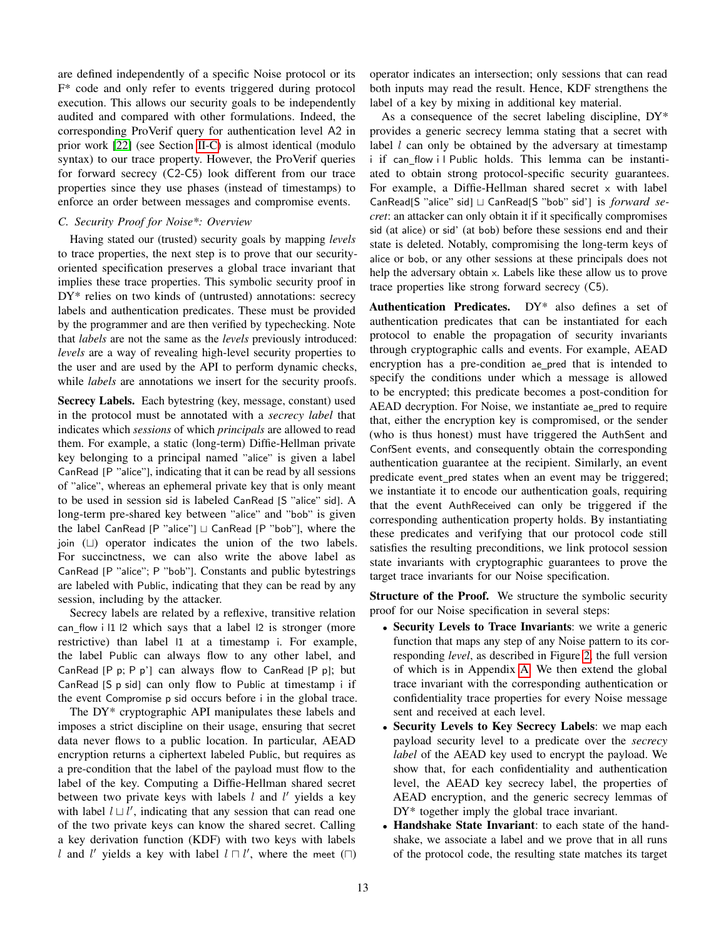are defined independently of a specific Noise protocol or its F\* code and only refer to events triggered during protocol execution. This allows our security goals to be independently audited and compared with other formulations. Indeed, the corresponding ProVerif query for authentication level A2 in prior work [\[22\]](#page-19-21) (see Section [II-C\)](#page-4-0) is almost identical (modulo syntax) to our trace property. However, the ProVerif queries for forward secrecy (C2-C5) look different from our trace properties since they use phases (instead of timestamps) to enforce an order between messages and compromise events.

## *C. Security Proof for Noise\*: Overview*

Having stated our (trusted) security goals by mapping *levels* to trace properties, the next step is to prove that our securityoriented specification preserves a global trace invariant that implies these trace properties. This symbolic security proof in DY\* relies on two kinds of (untrusted) annotations: secrecy labels and authentication predicates. These must be provided by the programmer and are then verified by typechecking. Note that *labels* are not the same as the *levels* previously introduced: *levels* are a way of revealing high-level security properties to the user and are used by the API to perform dynamic checks, while *labels* are annotations we insert for the security proofs.

Secrecy Labels. Each bytestring (key, message, constant) used in the protocol must be annotated with a *secrecy label* that indicates which *sessions* of which *principals* are allowed to read them. For example, a static (long-term) Diffie-Hellman private key belonging to a principal named "alice" is given a label CanRead [P "alice"], indicating that it can be read by all sessions of "alice", whereas an ephemeral private key that is only meant to be used in session sid is labeled CanRead [S "alice" sid]. A long-term pre-shared key between "alice" and "bob" is given the label CanRead [P "alice"] ⊔ CanRead [P "bob"], where the join (⊔) operator indicates the union of the two labels. For succinctness, we can also write the above label as CanRead [P "alice"; P "bob"]. Constants and public bytestrings are labeled with Public, indicating that they can be read by any session, including by the attacker.

Secrecy labels are related by a reflexive, transitive relation can flow i l1 l2 which says that a label l2 is stronger (more restrictive) than label l1 at a timestamp i. For example, the label Public can always flow to any other label, and CanRead  $[P \, p; P \, p']$  can always flow to CanRead  $[P \, p]$ ; but CanRead [S p sid] can only flow to Public at timestamp i if the event Compromise p sid occurs before i in the global trace.

The DY\* cryptographic API manipulates these labels and imposes a strict discipline on their usage, ensuring that secret data never flows to a public location. In particular, AEAD encryption returns a ciphertext labeled Public, but requires as a pre-condition that the label of the payload must flow to the label of the key. Computing a Diffie-Hellman shared secret between two private keys with labels  $l$  and  $l'$  yields a key with label  $l \sqcup l'$ , indicating that any session that can read one of the two private keys can know the shared secret. Calling a key derivation function (KDF) with two keys with labels l and l' yields a key with label  $l \sqcap l'$ , where the meet  $(\sqcap)$ 

operator indicates an intersection; only sessions that can read both inputs may read the result. Hence, KDF strengthens the label of a key by mixing in additional key material.

As a consequence of the secret labeling discipline, DY\* provides a generic secrecy lemma stating that a secret with label  $l$  can only be obtained by the adversary at timestamp i if can flow i l Public holds. This lemma can be instantiated to obtain strong protocol-specific security guarantees. For example, a Diffie-Hellman shared secret x with label CanRead[S "alice" sid] ⊔ CanRead[S "bob" sid'] is *forward secret*: an attacker can only obtain it if it specifically compromises sid (at alice) or sid' (at bob) before these sessions end and their state is deleted. Notably, compromising the long-term keys of alice or bob, or any other sessions at these principals does not help the adversary obtain x. Labels like these allow us to prove trace properties like strong forward secrecy (C5).

Authentication Predicates. DY\* also defines a set of authentication predicates that can be instantiated for each protocol to enable the propagation of security invariants through cryptographic calls and events. For example, AEAD encryption has a pre-condition ae pred that is intended to specify the conditions under which a message is allowed to be encrypted; this predicate becomes a post-condition for AEAD decryption. For Noise, we instantiate ae pred to require that, either the encryption key is compromised, or the sender (who is thus honest) must have triggered the AuthSent and ConfSent events, and consequently obtain the corresponding authentication guarantee at the recipient. Similarly, an event predicate event pred states when an event may be triggered; we instantiate it to encode our authentication goals, requiring that the event AuthReceived can only be triggered if the corresponding authentication property holds. By instantiating these predicates and verifying that our protocol code still satisfies the resulting preconditions, we link protocol session state invariants with cryptographic guarantees to prove the target trace invariants for our Noise specification.

**Structure of the Proof.** We structure the symbolic security proof for our Noise specification in several steps:

- Security Levels to Trace Invariants: we write a generic function that maps any step of any Noise pattern to its corresponding *level*, as described in Figure [2,](#page-2-0) the full version of which is in Appendix [A.](#page-21-0) We then extend the global trace invariant with the corresponding authentication or confidentiality trace properties for every Noise message sent and received at each level.
- Security Levels to Key Secrecy Labels: we map each payload security level to a predicate over the *secrecy label* of the AEAD key used to encrypt the payload. We show that, for each confidentiality and authentication level, the AEAD key secrecy label, the properties of AEAD encryption, and the generic secrecy lemmas of DY<sup>\*</sup> together imply the global trace invariant.
- Handshake State Invariant: to each state of the handshake, we associate a label and we prove that in all runs of the protocol code, the resulting state matches its target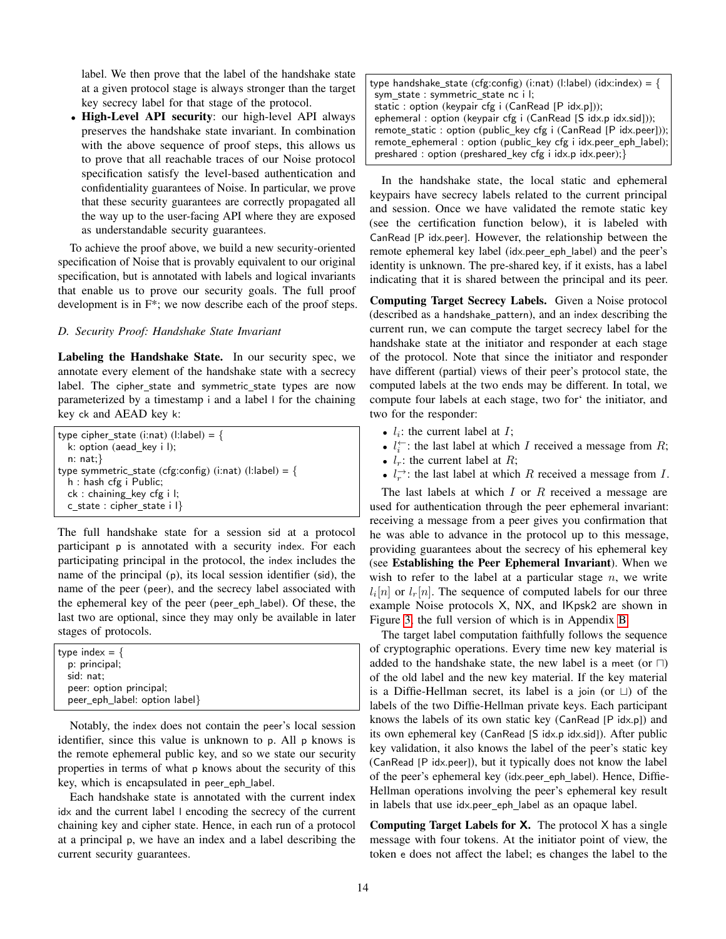label. We then prove that the label of the handshake state at a given protocol stage is always stronger than the target key secrecy label for that stage of the protocol.

• High-Level API security: our high-level API always preserves the handshake state invariant. In combination with the above sequence of proof steps, this allows us to prove that all reachable traces of our Noise protocol specification satisfy the level-based authentication and confidentiality guarantees of Noise. In particular, we prove that these security guarantees are correctly propagated all the way up to the user-facing API where they are exposed as understandable security guarantees.

To achieve the proof above, we build a new security-oriented specification of Noise that is provably equivalent to our original specification, but is annotated with labels and logical invariants that enable us to prove our security goals. The full proof development is in F\*; we now describe each of the proof steps.

## *D. Security Proof: Handshake State Invariant*

Labeling the Handshake State. In our security spec, we annotate every element of the handshake state with a secrecy label. The cipher\_state and symmetric\_state types are now parameterized by a timestamp i and a label l for the chaining key ck and AEAD key k:

type cipher state (i:nat) (l:label) = { k: option (aead\_key i l); n: nat;} type symmetric\_state (cfg:config) (i:nat) (l:label) = { h : hash cfg i Public; ck : chaining key cfg i l; c\_state : cipher\_state i l}

The full handshake state for a session sid at a protocol participant p is annotated with a security index. For each participating principal in the protocol, the index includes the name of the principal (p), its local session identifier (sid), the name of the peer (peer), and the secrecy label associated with the ephemeral key of the peer (peer eph label). Of these, the last two are optional, since they may only be available in later stages of protocols.

| type index $=$ {              |  |
|-------------------------------|--|
| p: principal;                 |  |
| sid: nat:                     |  |
| peer: option principal;       |  |
| peer_eph_label: option label} |  |

Notably, the index does not contain the peer's local session identifier, since this value is unknown to p. All p knows is the remote ephemeral public key, and so we state our security properties in terms of what p knows about the security of this key, which is encapsulated in peer eph label.

Each handshake state is annotated with the current index idx and the current label l encoding the secrecy of the current chaining key and cipher state. Hence, in each run of a protocol at a principal p, we have an index and a label describing the current security guarantees.

| type handshake_state (cfg:config) (i:nat) (l:label) (idx:index) = { |
|---------------------------------------------------------------------|
| sym_state: symmetric_state_nc_i l;                                  |
| static : option (keypair cfg i (CanRead [P idx.p]));                |
| ephemeral: option (keypair cfg i (CanRead $[S$ idx.p idx.sid]));    |
| remote_static: option (public_key cfg i (CanRead [P idx.peer]));    |
| remote_ephemeral: option (public_key cfg i idx.peer_eph_label);     |
| preshared: option (preshared_key cfg i idx.p idx.peer);}            |

In the handshake state, the local static and ephemeral keypairs have secrecy labels related to the current principal and session. Once we have validated the remote static key (see the certification function below), it is labeled with CanRead [P idx.peer]. However, the relationship between the remote ephemeral key label (idx.peer\_eph\_label) and the peer's identity is unknown. The pre-shared key, if it exists, has a label indicating that it is shared between the principal and its peer.

Computing Target Secrecy Labels. Given a Noise protocol (described as a handshake pattern), and an index describing the current run, we can compute the target secrecy label for the handshake state at the initiator and responder at each stage of the protocol. Note that since the initiator and responder have different (partial) views of their peer's protocol state, the computed labels at the two ends may be different. In total, we compute four labels at each stage, two for' the initiator, and two for the responder:

- $l_i$ : the current label at  $I$ ;
- $l_i^{\leftarrow}$ : the last label at which *I* received a message from *R*;
- $l_r$ : the current label at R;
- $l_r^{\rightarrow}$ : the last label at which R received a message from I.

The last labels at which  $I$  or  $R$  received a message are used for authentication through the peer ephemeral invariant: receiving a message from a peer gives you confirmation that he was able to advance in the protocol up to this message, providing guarantees about the secrecy of his ephemeral key (see Establishing the Peer Ephemeral Invariant). When we wish to refer to the label at a particular stage  $n$ , we write  $l_i[n]$  or  $l_r[n]$ . The sequence of computed labels for our three example Noise protocols X, NX, and IKpsk2 are shown in Figure [3,](#page-14-0) the full version of which is in Appendix [B.](#page-23-0)

The target label computation faithfully follows the sequence of cryptographic operations. Every time new key material is added to the handshake state, the new label is a meet (or  $\Box$ ) of the old label and the new key material. If the key material is a Diffie-Hellman secret, its label is a join (or ⊔) of the labels of the two Diffie-Hellman private keys. Each participant knows the labels of its own static key (CanRead [P idx.p]) and its own ephemeral key (CanRead [S idx.p idx.sid]). After public key validation, it also knows the label of the peer's static key (CanRead [P idx.peer]), but it typically does not know the label of the peer's ephemeral key (idx.peer eph label). Hence, Diffie-Hellman operations involving the peer's ephemeral key result in labels that use idx.peer eph label as an opaque label.

**Computing Target Labels for X.** The protocol  $\times$  has a single message with four tokens. At the initiator point of view, the token e does not affect the label; es changes the label to the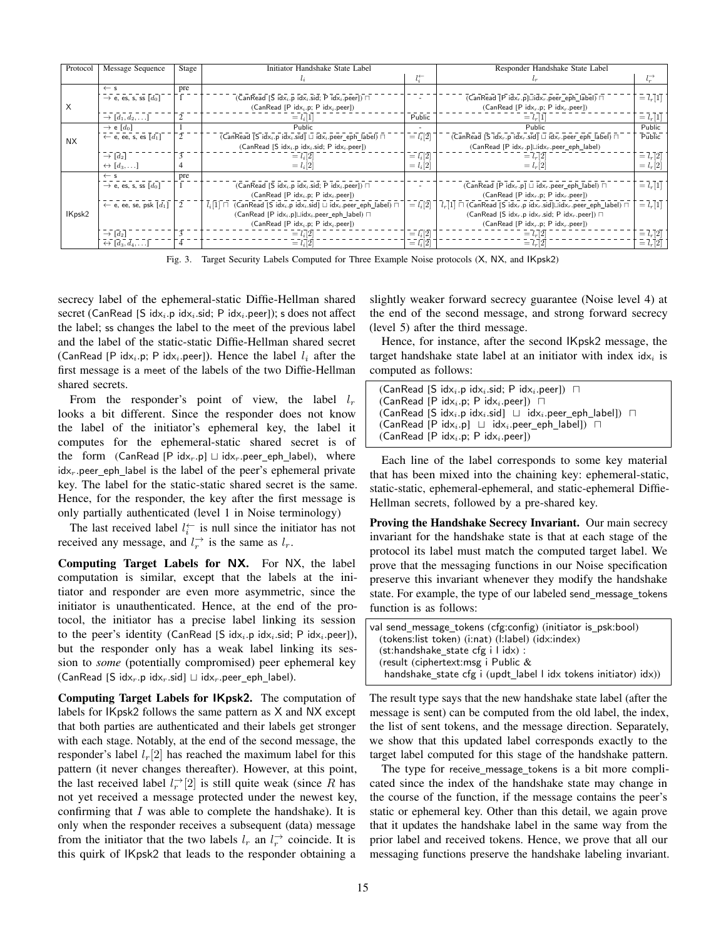| Protocol  | Message Sequence                                | Stage | Initiator Handshake State Label                                                                            |                         | Responder Handshake State Label                                                                                              |                            |
|-----------|-------------------------------------------------|-------|------------------------------------------------------------------------------------------------------------|-------------------------|------------------------------------------------------------------------------------------------------------------------------|----------------------------|
|           |                                                 |       |                                                                                                            | $l_i^{\leftarrow}$      |                                                                                                                              | $l_r^{\rightarrow}$        |
|           | $\leftarrow$ s                                  | pre   |                                                                                                            |                         |                                                                                                                              |                            |
|           | $\rightarrow$ e, es, s, ss $[d_0]$              |       | (CanRead [S idx <sub>i</sub> .p idx <sub>i</sub> .sid; P idx <sub>i</sub> .peer]) $\Box$                   | $\overline{a}$          | (CanRead [P idx, p] $\Box$ idx, peer_eph_label) $\Box$                                                                       | $\equiv l_r[1]$            |
| X         |                                                 |       | (CanRead [P idx <sub>i</sub> .p; P idx <sub>i</sub> .peer])                                                |                         | (CanRead [P $idxr$ .p; P $idxr$ .peer])                                                                                      |                            |
|           | $\rightarrow [d_1, d_2, \ldots]$                | 2     | $= l_i  1 $                                                                                                | Public                  | $= l_r  1 $                                                                                                                  | $= l_r[1]$                 |
|           | $\rightarrow$ e [d <sub>0</sub> ]               |       | Public                                                                                                     |                         | Public                                                                                                                       | Public                     |
| <b>NX</b> | $\leftarrow$ e, ee, s, es $\lceil d_1 \rceil$   |       | (CanRead [S idx <sub>i</sub> .p idx <sub>i</sub> .sid] $\sqcup$ idx <sub>i</sub> .peer_eph_label) $\sqcap$ | $\overline{l} = l_i[2]$ | (CanRead [S idx <sub>r</sub> .p idx <sub>r</sub> .sid] $\sqcup$ idx <sub>r</sub> .peer eph label) $\sqcap$                   | Public                     |
|           |                                                 |       | (CanRead [S $idx_i$ .p $idx_i$ .sid; P $idx_i$ .peer])                                                     |                         | $(CanRead [P idx, p] \sqcup idx, peer_eph_label)$                                                                            |                            |
|           | $\rightarrow$ [d <sub>2</sub> ]                 |       | $= l_i[2]$                                                                                                 | $=$ $l_i$ [2]           | $= l_r[2]$                                                                                                                   | $\equiv l_r[2]$            |
|           | $\leftrightarrow$ [d <sub>3</sub> , ]           |       | $= l_i[2]$                                                                                                 | $= l_i[2]$              | $= l_r  2 $                                                                                                                  | $= l_r[2]$                 |
|           | $\leftarrow$ s                                  | pre   |                                                                                                            |                         |                                                                                                                              |                            |
|           | $\rightarrow$ e, es, s, ss $[d_0]$              |       | (CanRead [S idx <sub>i</sub> .p idx <sub>i</sub> .sid; P idx <sub>i</sub> .peer]) $\Box$                   |                         | (CanRead [P idx <sub>r</sub> .p] $\sqcup$ idx <sub>r</sub> .peer_eph_label) $\sqcap$                                         | $\equiv \overline{l}_r[1]$ |
|           |                                                 |       | $(CanRead [P idx_i.p; P idx_i.peer])$                                                                      |                         | (CanRead [P $idxr$ .p; P $idxr$ .peer])                                                                                      |                            |
|           | $\leftarrow$ e, ee, se, psk $\lceil d_1 \rceil$ |       | $(CanRead [S idxi.p idxi.sid] \sqcup idxi.peer_eph_labels] \sqcap$<br>$l_i[1] \sqcap$                      | $=$ $l_i$ [2]           | $l_r[1]$ $\sqcap$ (CanRead [S idx <sub>r</sub> .p idx <sub>r</sub> .sid] $\sqcup$ idx <sub>r</sub> .peer_eph_label) $\sqcap$ | $\equiv l_r[1]$            |
| IKpsk2    |                                                 |       | $(CanRead [P idxi.p] \sqcup idxi.peer\_eph\_label) \sqcap$                                                 |                         | (CanRead [S idx, p idx, sid; P idx, peer]) $\sqcap$                                                                          |                            |
|           |                                                 |       | (CanRead [P idx <sub>i</sub> .p; P idx <sub>i</sub> .peer])                                                |                         | (CanRead [P $idxr$ .p; P $idxr$ .peer])                                                                                      |                            |
|           | $\rightarrow$ [d <sub>2</sub> ]                 | 3     | $= l_i[2]$                                                                                                 | $=$ $l_i$ [2]           | $= l_r  2 $                                                                                                                  | $= l_r[2]$                 |
|           | $\leftrightarrow [d_3, d_4, \ldots]$            | 4     | $= l_i[2]$                                                                                                 | $=$ $l_i$ [2]           | $= l_r  2 $                                                                                                                  | $= l_r[2]$                 |

<span id="page-14-0"></span>Fig. 3. Target Security Labels Computed for Three Example Noise protocols (X, NX, and IKpsk2)

secrecy label of the ephemeral-static Diffie-Hellman shared secret (CanRead [S idx<sub>i</sub>.p idx<sub>i</sub>.sid; P idx<sub>i</sub>.peer]); s does not affect the label; ss changes the label to the meet of the previous label and the label of the static-static Diffie-Hellman shared secret (CanRead [P idx<sub>i</sub>.p; P idx<sub>i</sub>.peer]). Hence the label  $l_i$  after the first message is a meet of the labels of the two Diffie-Hellman shared secrets.

From the responder's point of view, the label  $l_r$ looks a bit different. Since the responder does not know the label of the initiator's ephemeral key, the label it computes for the ephemeral-static shared secret is of the form (CanRead [P idx<sub>r</sub>.p]  $\sqcup$  idx<sub>r</sub>.peer\_eph\_label), where  $idx<sub>r</sub>$  peer eph label is the label of the peer's ephemeral private key. The label for the static-static shared secret is the same. Hence, for the responder, the key after the first message is only partially authenticated (level 1 in Noise terminology)

The last received label  $l_i^{\leftarrow}$  is null since the initiator has not received any message, and  $l_r^{\rightarrow}$  is the same as  $l_r$ .

Computing Target Labels for NX. For NX, the label computation is similar, except that the labels at the initiator and responder are even more asymmetric, since the initiator is unauthenticated. Hence, at the end of the protocol, the initiator has a precise label linking its session to the peer's identity (CanRead [S idx<sub>i</sub>.p idx<sub>i</sub>.sid; P idx<sub>i</sub>.peer]), but the responder only has a weak label linking its session to *some* (potentially compromised) peer ephemeral key (CanRead [S idx<sub>r</sub>.p idx<sub>r</sub>.sid]  $\sqcup$  idx<sub>r</sub>.peer\_eph\_label).

Computing Target Labels for IKpsk2. The computation of labels for IKpsk2 follows the same pattern as X and NX except that both parties are authenticated and their labels get stronger with each stage. Notably, at the end of the second message, the responder's label  $l_r[2]$  has reached the maximum label for this pattern (it never changes thereafter). However, at this point, the last received label  $l_r^{\rightarrow} [2]$  is still quite weak (since R has not yet received a message protected under the newest key, confirming that  $I$  was able to complete the handshake). It is only when the responder receives a subsequent (data) message from the initiator that the two labels  $l_r$  an  $l_r^{\rightarrow}$  coincide. It is this quirk of IKpsk2 that leads to the responder obtaining a

slightly weaker forward secrecy guarantee (Noise level 4) at the end of the second message, and strong forward secrecy (level 5) after the third message.

Hence, for instance, after the second IKpsk2 message, the target handshake state label at an initiator with index  $\mathrm{idx}_i$  is computed as follows:

 $(CanRead [S idx<sub>i</sub>.p idx<sub>i</sub>.sid; P idx<sub>i</sub>.peer])$  □ (CanRead [P idx<sub>i</sub>.p; P idx<sub>i</sub>.peer]) □ (CanRead [S idx<sub>i</sub>.p idx<sub>i</sub>.sid]  $\sqcup$  idx<sub>i</sub>.peer eph label])  $\sqcap$ (CanRead [P idx<sub>i</sub>.p] ⊔ idx<sub>i</sub>.peer\_eph\_label])  $\Box$  $(CanRead [P idx_i.p; P idx_i.pep])$ 

Each line of the label corresponds to some key material that has been mixed into the chaining key: ephemeral-static, static-static, ephemeral-ephemeral, and static-ephemeral Diffie-Hellman secrets, followed by a pre-shared key.

Proving the Handshake Secrecy Invariant. Our main secrecy invariant for the handshake state is that at each stage of the protocol its label must match the computed target label. We prove that the messaging functions in our Noise specification preserve this invariant whenever they modify the handshake state. For example, the type of our labeled send\_message\_tokens function is as follows:

| val send message tokens (cfg:config) (initiator is psk:bool)    |
|-----------------------------------------------------------------|
| (tokens:list token) (i:nat) (l:label) (idx:index)               |
| $(\text{st:}$ handshake state cfg i l $\text{idx}$ ) :          |
| (result (ciphertext:msg i Public $&$                            |
| handshake_state cfg i (updt_label l idx tokens initiator) idx)) |

The result type says that the new handshake state label (after the message is sent) can be computed from the old label, the index, the list of sent tokens, and the message direction. Separately, we show that this updated label corresponds exactly to the target label computed for this stage of the handshake pattern.

The type for receive\_message\_tokens is a bit more complicated since the index of the handshake state may change in the course of the function, if the message contains the peer's static or ephemeral key. Other than this detail, we again prove that it updates the handshake label in the same way from the prior label and received tokens. Hence, we prove that all our messaging functions preserve the handshake labeling invariant.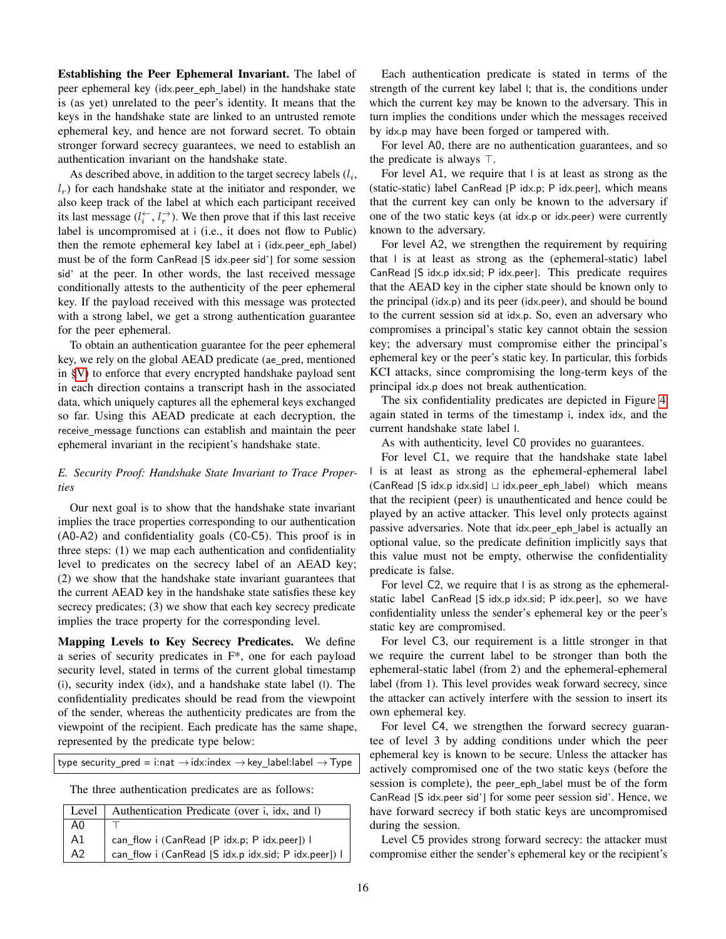Establishing the Peer Ephemeral Invariant. The label of peer ephemeral key (idx.peer\_eph\_label) in the handshake state is (as yet) unrelated to the peer's identity. It means that the keys in the handshake state are linked to an untrusted remote ephemeral key, and hence are not forward secret. To obtain stronger forward secrecy guarantees, we need to establish an authentication invariant on the handshake state.

As described above, in addition to the target secrecy labels  $(l_i, \cdot)$  $l_r$ ) for each handshake state at the initiator and responder, we also keep track of the label at which each participant received its last message  $(l_i \leftarrow, l_r \rightarrow)$ . We then prove that if this last receive label is uncompromised at i (i.e., it does not flow to Public) then the remote ephemeral key label at i (idx.peer\_eph\_label) must be of the form CanRead [S idx.peer sid'] for some session sid' at the peer. In other words, the last received message conditionally attests to the authenticity of the peer ephemeral key. If the payload received with this message was protected with a strong label, we get a strong authentication guarantee for the peer ephemeral.

To obtain an authentication guarantee for the peer ephemeral key, we rely on the global AEAD predicate (ae\_pred, mentioned in [§V\)](#page-9-0) to enforce that every encrypted handshake payload sent in each direction contains a transcript hash in the associated data, which uniquely captures all the ephemeral keys exchanged so far. Using this AEAD predicate at each decryption, the receive\_message functions can establish and maintain the peer ephemeral invariant in the recipient's handshake state.

## *E. Security Proof: Handshake State Invariant to Trace Properties*

Our next goal is to show that the handshake state invariant implies the trace properties corresponding to our authentication (A0-A2) and confidentiality goals (C0-C5). This proof is in three steps: (1) we map each authentication and confidentiality level to predicates on the secrecy label of an AEAD key; (2) we show that the handshake state invariant guarantees that the current AEAD key in the handshake state satisfies these key secrecy predicates; (3) we show that each key secrecy predicate implies the trace property for the corresponding level.

Mapping Levels to Key Secrecy Predicates. We define a series of security predicates in F\*, one for each payload security level, stated in terms of the current global timestamp (i), security index (idx), and a handshake state label (l). The confidentiality predicates should be read from the viewpoint of the sender, whereas the authenticity predicates are from the viewpoint of the recipient. Each predicate has the same shape, represented by the predicate type below:

type security\_pred = i:nat  $\rightarrow$  idx:index  $\rightarrow$  key\_label:label  $\rightarrow$  Type

The three authentication predicates are as follows:

| Level          | Authentication Predicate (over i, idx, and I)        |
|----------------|------------------------------------------------------|
| A0             |                                                      |
| A1             | can_flow i (CanRead [P idx.p; P idx.peer]) I         |
| A <sub>2</sub> | can_flow i (CanRead [S idx.p idx.sid; P idx.peer]) I |

Each authentication predicate is stated in terms of the strength of the current key label l; that is, the conditions under which the current key may be known to the adversary. This in turn implies the conditions under which the messages received by idx.p may have been forged or tampered with.

For level A0, there are no authentication guarantees, and so the predicate is always ⊤.

For level A1, we require that l is at least as strong as the (static-static) label CanRead [P idx.p; P idx.peer], which means that the current key can only be known to the adversary if one of the two static keys (at idx.p or idx.peer) were currently known to the adversary.

For level A2, we strengthen the requirement by requiring that l is at least as strong as the (ephemeral-static) label CanRead [S idx.p idx.sid; P idx.peer]. This predicate requires that the AEAD key in the cipher state should be known only to the principal (idx.p) and its peer (idx.peer), and should be bound to the current session sid at idx.p. So, even an adversary who compromises a principal's static key cannot obtain the session key; the adversary must compromise either the principal's ephemeral key or the peer's static key. In particular, this forbids KCI attacks, since compromising the long-term keys of the principal idx.p does not break authentication.

The six confidentiality predicates are depicted in Figure [4,](#page-16-0) again stated in terms of the timestamp i, index idx, and the current handshake state label l.

As with authenticity, level C0 provides no guarantees.

For level C1, we require that the handshake state label l is at least as strong as the ephemeral-ephemeral label (CanRead [S idx.p idx.sid] ⊔ idx.peer eph label) which means that the recipient (peer) is unauthenticated and hence could be played by an active attacker. This level only protects against passive adversaries. Note that idx.peer\_eph\_label is actually an optional value, so the predicate definition implicitly says that this value must not be empty, otherwise the confidentiality predicate is false.

For level C2, we require that l is as strong as the ephemeralstatic label CanRead [S idx.p idx.sid; P idx.peer], so we have confidentiality unless the sender's ephemeral key or the peer's static key are compromised.

For level C3, our requirement is a little stronger in that we require the current label to be stronger than both the ephemeral-static label (from 2) and the ephemeral-ephemeral label (from 1). This level provides weak forward secrecy, since the attacker can actively interfere with the session to insert its own ephemeral key.

For level C4, we strengthen the forward secrecy guarantee of level 3 by adding conditions under which the peer ephemeral key is known to be secure. Unless the attacker has actively compromised one of the two static keys (before the session is complete), the peer eph label must be of the form CanRead [S idx.peer sid'] for some peer session sid'. Hence, we have forward secrecy if both static keys are uncompromised during the session.

Level C5 provides strong forward secrecy: the attacker must compromise either the sender's ephemeral key or the recipient's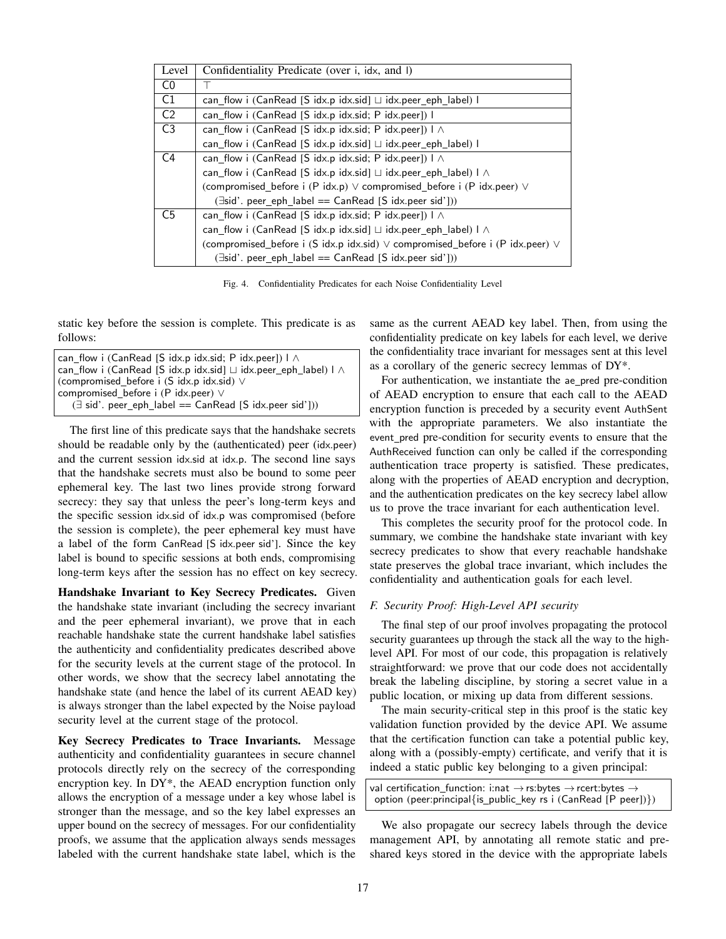| Level          | Confidentiality Predicate (over i, idx, and I)                                          |
|----------------|-----------------------------------------------------------------------------------------|
| C <sub>0</sub> |                                                                                         |
| C1             | can_flow i (CanRead [S idx.p idx.sid] $□$ idx.peer_eph_label) l                         |
| C <sub>2</sub> | can flow i (CanRead [S idx.p idx.sid; P idx.peer]) I                                    |
| C <sub>3</sub> | can_flow i (CanRead [S idx.p idx.sid; P idx.peer]) $1 \wedge$                           |
|                | can flow i (CanRead [S idx.p idx.sid] $\sqcup$ idx.peer eph label) I                    |
| C4             | can flow i (CanRead [S idx.p idx.sid; P idx.peer]) $\perp \wedge$                       |
|                | can flow i (CanRead [S idx.p idx.sid] $\sqcup$ idx.peer eph label) $\sqcap \wedge$      |
|                | (compromised_before i (P idx.p) $\vee$ compromised_before i (P idx.peer) $\vee$         |
|                | (∃sid'. peer_eph_label == CanRead [S idx.peer sid']))                                   |
| C <sub>5</sub> | can flow i (CanRead [S idx.p idx.sid; P idx.peer]) $\perp \wedge$                       |
|                | can flow i (CanRead [S idx.p idx.sid] $\sqcup$ idx.peer eph label) $\sqcap \wedge$      |
|                | (compromised_before i (S idx.p idx.sid) $\vee$ compromised_before i (P idx.peer) $\vee$ |
|                | (∃sid'. peer eph label == CanRead [S idx.peer sid']))                                   |

<span id="page-16-0"></span>Fig. 4. Confidentiality Predicates for each Noise Confidentiality Level

static key before the session is complete. This predicate is as follows:

```
can flow i (CanRead [S idx.p idx.sid; P idx.peer]) l ∧
can_flow i (CanRead [S idx.p idx.sid] \sqcup idx.peer_eph_label) l ∧
(compromised before i (S idx.p idx.sid) ∨
compromised before i (P idx.peer) ∨
   (∃ sid'. peer eph label == CanRead [S idx.peer sid']))
```
The first line of this predicate says that the handshake secrets should be readable only by the (authenticated) peer (idx.peer) and the current session idx.sid at idx.p. The second line says that the handshake secrets must also be bound to some peer ephemeral key. The last two lines provide strong forward secrecy: they say that unless the peer's long-term keys and the specific session idx.sid of idx.p was compromised (before the session is complete), the peer ephemeral key must have a label of the form CanRead [S idx.peer sid']. Since the key label is bound to specific sessions at both ends, compromising long-term keys after the session has no effect on key secrecy.

Handshake Invariant to Key Secrecy Predicates. Given the handshake state invariant (including the secrecy invariant and the peer ephemeral invariant), we prove that in each reachable handshake state the current handshake label satisfies the authenticity and confidentiality predicates described above for the security levels at the current stage of the protocol. In other words, we show that the secrecy label annotating the handshake state (and hence the label of its current AEAD key) is always stronger than the label expected by the Noise payload security level at the current stage of the protocol.

Key Secrecy Predicates to Trace Invariants. Message authenticity and confidentiality guarantees in secure channel protocols directly rely on the secrecy of the corresponding encryption key. In DY\*, the AEAD encryption function only allows the encryption of a message under a key whose label is stronger than the message, and so the key label expresses an upper bound on the secrecy of messages. For our confidentiality proofs, we assume that the application always sends messages labeled with the current handshake state label, which is the

same as the current AEAD key label. Then, from using the confidentiality predicate on key labels for each level, we derive the confidentiality trace invariant for messages sent at this level as a corollary of the generic secrecy lemmas of DY\*.

For authentication, we instantiate the ae pred pre-condition of AEAD encryption to ensure that each call to the AEAD encryption function is preceded by a security event AuthSent with the appropriate parameters. We also instantiate the event pred pre-condition for security events to ensure that the AuthReceived function can only be called if the corresponding authentication trace property is satisfied. These predicates, along with the properties of AEAD encryption and decryption, and the authentication predicates on the key secrecy label allow us to prove the trace invariant for each authentication level.

This completes the security proof for the protocol code. In summary, we combine the handshake state invariant with key secrecy predicates to show that every reachable handshake state preserves the global trace invariant, which includes the confidentiality and authentication goals for each level.

#### *F. Security Proof: High-Level API security*

The final step of our proof involves propagating the protocol security guarantees up through the stack all the way to the highlevel API. For most of our code, this propagation is relatively straightforward: we prove that our code does not accidentally break the labeling discipline, by storing a secret value in a public location, or mixing up data from different sessions.

The main security-critical step in this proof is the static key validation function provided by the device API. We assume that the certification function can take a potential public key, along with a (possibly-empty) certificate, and verify that it is indeed a static public key belonging to a given principal:

val certification\_function: i:nat  $\rightarrow$  rs:bytes  $\rightarrow$  rcert:bytes  $\rightarrow$ option (peer:principal{is\_public\_key rs i (CanRead [P peer])})

We also propagate our secrecy labels through the device management API, by annotating all remote static and preshared keys stored in the device with the appropriate labels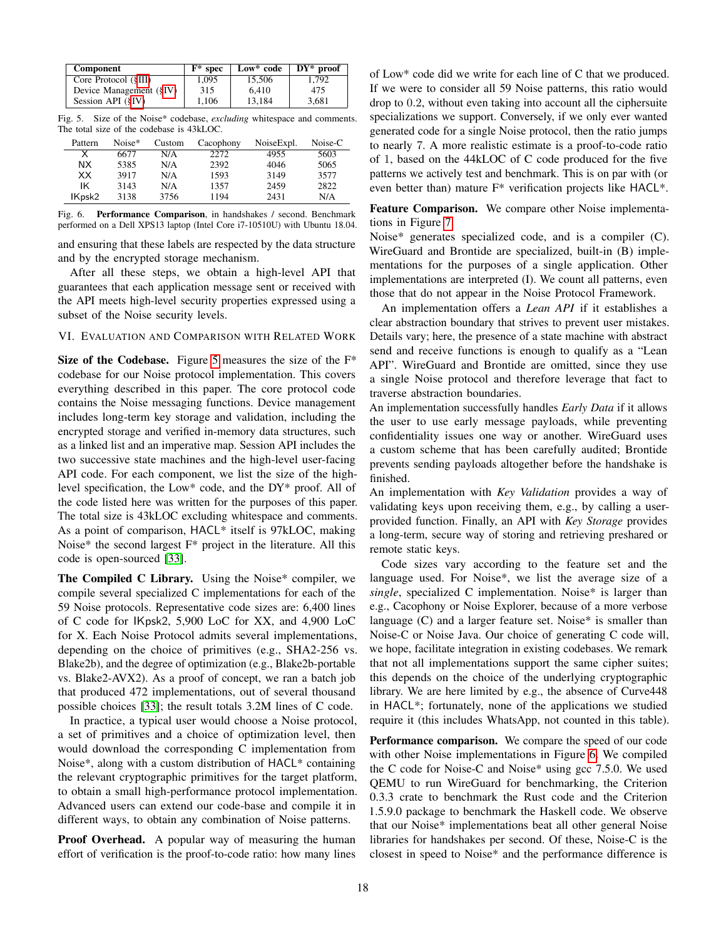| Component               | $F^*$ spec | Low* code | $DY^*$ proof |
|-------------------------|------------|-----------|--------------|
| Core Protocol (§III)    | 1.095      | 15.506    | 1.792        |
| Device Management (§IV) | 315        | 6.410     | 475          |
| Session API (§IV)       | 1.106      | 13.184    | 3.681        |

<span id="page-17-1"></span>Fig. 5. Size of the Noise\* codebase, *excluding* whitespace and comments. The total size of the codebase is 43kLOC.

| Pattern | Noise* | Custom | Cacophony | NoiseExpl. | Noise-C |
|---------|--------|--------|-----------|------------|---------|
| x       | 6677   | N/A    | 2272      | 4955       | 5603    |
| NX.     | 5385   | N/A    | 2392      | 4046       | 5065    |
| XX      | 3917   | N/A    | 1593      | 3149       | 3577    |
| ΙK      | 3143   | N/A    | 1357      | 2459       | 2822    |
| IKpsk2  | 3138   | 3756   | 1194      | 2431       | N/A     |

<span id="page-17-2"></span>Fig. 6. Performance Comparison, in handshakes / second. Benchmark performed on a Dell XPS13 laptop (Intel Core i7-10510U) with Ubuntu 18.04.

and ensuring that these labels are respected by the data structure and by the encrypted storage mechanism.

After all these steps, we obtain a high-level API that guarantees that each application message sent or received with the API meets high-level security properties expressed using a subset of the Noise security levels.

<span id="page-17-0"></span>VI. EVALUATION AND COMPARISON WITH RELATED WORK

Size of the Codebase. Figure [5](#page-17-1) measures the size of the  $F^*$ codebase for our Noise protocol implementation. This covers everything described in this paper. The core protocol code contains the Noise messaging functions. Device management includes long-term key storage and validation, including the encrypted storage and verified in-memory data structures, such as a linked list and an imperative map. Session API includes the two successive state machines and the high-level user-facing API code. For each component, we list the size of the highlevel specification, the Low\* code, and the DY\* proof. All of the code listed here was written for the purposes of this paper. The total size is 43kLOC excluding whitespace and comments. As a point of comparison, HACL\* itself is 97kLOC, making Noise\* the second largest F\* project in the literature. All this code is open-sourced [\[33\]](#page-19-32).

The Compiled C Library. Using the Noise\* compiler, we compile several specialized C implementations for each of the 59 Noise protocols. Representative code sizes are: 6,400 lines of C code for IKpsk2, 5,900 LoC for XX, and 4,900 LoC for X. Each Noise Protocol admits several implementations, depending on the choice of primitives (e.g., SHA2-256 vs. Blake2b), and the degree of optimization (e.g., Blake2b-portable vs. Blake2-AVX2). As a proof of concept, we ran a batch job that produced 472 implementations, out of several thousand possible choices [\[33\]](#page-19-32); the result totals 3.2M lines of C code.

In practice, a typical user would choose a Noise protocol, a set of primitives and a choice of optimization level, then would download the corresponding C implementation from Noise\*, along with a custom distribution of HACL\* containing the relevant cryptographic primitives for the target platform, to obtain a small high-performance protocol implementation. Advanced users can extend our code-base and compile it in different ways, to obtain any combination of Noise patterns.

Proof Overhead. A popular way of measuring the human effort of verification is the proof-to-code ratio: how many lines

of Low\* code did we write for each line of C that we produced. If we were to consider all 59 Noise patterns, this ratio would drop to 0.2, without even taking into account all the ciphersuite specializations we support. Conversely, if we only ever wanted generated code for a single Noise protocol, then the ratio jumps to nearly 7. A more realistic estimate is a proof-to-code ratio of 1, based on the 44kLOC of C code produced for the five patterns we actively test and benchmark. This is on par with (or even better than) mature F\* verification projects like HACL\*.

Feature Comparison. We compare other Noise implementations in Figure [7.](#page-18-0)

Noise\* generates specialized code, and is a compiler (C). WireGuard and Brontide are specialized, built-in (B) implementations for the purposes of a single application. Other implementations are interpreted (I). We count all patterns, even those that do not appear in the Noise Protocol Framework.

An implementation offers a *Lean API* if it establishes a clear abstraction boundary that strives to prevent user mistakes. Details vary; here, the presence of a state machine with abstract send and receive functions is enough to qualify as a "Lean API". WireGuard and Brontide are omitted, since they use a single Noise protocol and therefore leverage that fact to traverse abstraction boundaries.

An implementation successfully handles *Early Data* if it allows the user to use early message payloads, while preventing confidentiality issues one way or another. WireGuard uses a custom scheme that has been carefully audited; Brontide prevents sending payloads altogether before the handshake is finished.

An implementation with *Key Validation* provides a way of validating keys upon receiving them, e.g., by calling a userprovided function. Finally, an API with *Key Storage* provides a long-term, secure way of storing and retrieving preshared or remote static keys.

Code sizes vary according to the feature set and the language used. For Noise\*, we list the average size of a *single*, specialized C implementation. Noise\* is larger than e.g., Cacophony or Noise Explorer, because of a more verbose language (C) and a larger feature set. Noise\* is smaller than Noise-C or Noise Java. Our choice of generating C code will, we hope, facilitate integration in existing codebases. We remark that not all implementations support the same cipher suites; this depends on the choice of the underlying cryptographic library. We are here limited by e.g., the absence of Curve448 in HACL\*; fortunately, none of the applications we studied require it (this includes WhatsApp, not counted in this table).

Performance comparison. We compare the speed of our code with other Noise implementations in Figure [6.](#page-17-2) We compiled the C code for Noise-C and Noise\* using gcc 7.5.0. We used QEMU to run WireGuard for benchmarking, the Criterion 0.3.3 crate to benchmark the Rust code and the Criterion 1.5.9.0 package to benchmark the Haskell code. We observe that our Noise\* implementations beat all other general Noise libraries for handshakes per second. Of these, Noise-C is the closest in speed to Noise\* and the performance difference is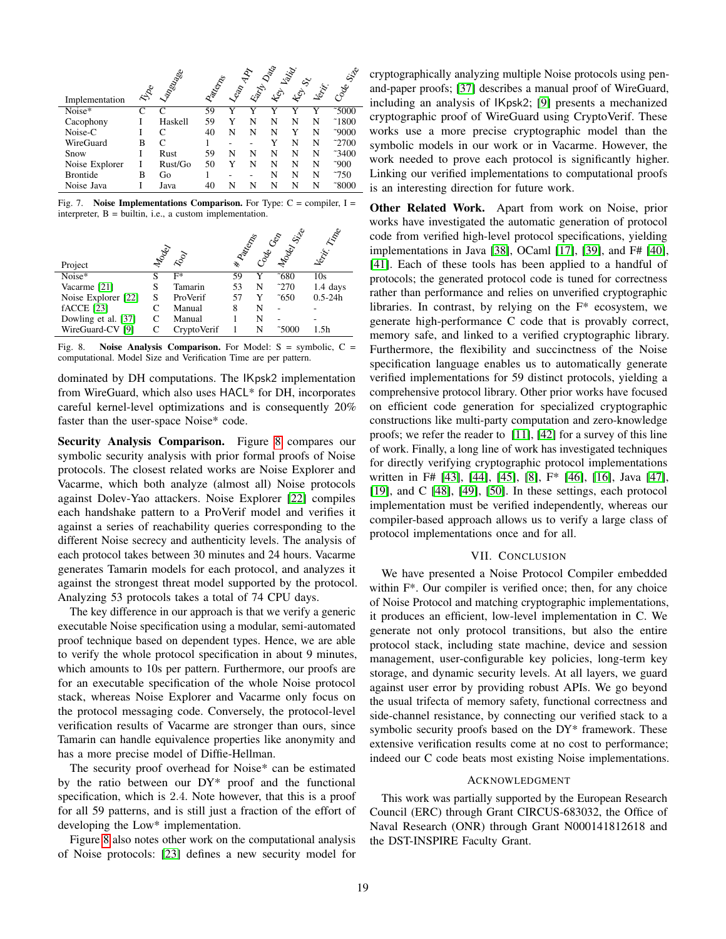|                 |                             |                         |                   |                             |       | Data  | Lalid                               |       |                 |
|-----------------|-----------------------------|-------------------------|-------------------|-----------------------------|-------|-------|-------------------------------------|-------|-----------------|
| Implementation  | $\mathbb{A}^{\!\mathbb{R}}$ | Lageologie              | <b>Pallection</b> | $\mathcal{E}^{\mathcal{E}}$ | Earth | ىلىمە | $\mathcal{L}^{\!\hat{\mathcal{C}}}$ | Jerry | Coeel Site      |
| Noise*          | $\subset$                   | $\mathsf{C}\phantom{a}$ | 59                | v                           | v     |       | v                                   | Y     | $\sqrt{5000}$   |
| Cacophony       |                             | Haskell                 | 59                |                             | N     | N     | N                                   | N     | 1800            |
| Noise-C         |                             | C                       | 40                | N                           | N     | N     | Y                                   | N     | $^{\sim}9000$   |
| WireGuard       | в                           | C                       |                   |                             |       |       | N                                   | N     | 2700            |
| Snow            | T                           | Rust                    | 59                | N                           | N     | N     | N                                   | N     | 3400            |
| Noise Explorer  |                             | Rust/Go                 | 50                |                             | N     | N     | N                                   | N     | $^{\sim}900$    |
| <b>Brontide</b> | B                           | Go                      |                   |                             |       | N     | N                                   | N     | $\tilde{c}$ 750 |
| Noise Java      |                             | Java                    | 40                | N                           | N     | N     | N                                   | N     | $\degree{}8000$ |

<span id="page-18-0"></span>Fig. 7. Noise Implementations Comparison. For Type:  $C =$  compiler,  $I =$ interpreter, B = builtin, i.e., a custom implementation.

|                     |   |              | <b>WANTED</b> | Cacecas | Model Street    | RAR<br><b>Norwick</b> |
|---------------------|---|--------------|---------------|---------|-----------------|-----------------------|
| Project             |   | <b>Hoody</b> |               |         |                 |                       |
| Noise*              |   | F*           | 59            |         | $\tilde{680}$   | 10s                   |
| Vacarme [21]        |   | Tamarin      | 53            | N       | $\tilde{c}$ 270 | $1.4$ days            |
| Noise Explorer [22] | S | ProVerif     | 57            | Y       | $\tilde{c}$ 650 | $0.5 - 24h$           |
| $fACCE$ [23]        |   | Manual       | 8             | N       |                 |                       |
| Dowling et al. [37] | C | Manual       |               | N       |                 |                       |
| WireGuard-CV [9]    |   | CryptoVerif  |               | N       | $\degree$ 5000  | 1.5h                  |

<span id="page-18-1"></span>Fig. 8. Noise Analysis Comparison. For Model:  $S =$  symbolic,  $C =$ computational. Model Size and Verification Time are per pattern.

dominated by DH computations. The IKpsk2 implementation from WireGuard, which also uses HACL\* for DH, incorporates careful kernel-level optimizations and is consequently 20% faster than the user-space Noise\* code.

Security Analysis Comparison. Figure [8](#page-18-1) compares our symbolic security analysis with prior formal proofs of Noise protocols. The closest related works are Noise Explorer and Vacarme, which both analyze (almost all) Noise protocols against Dolev-Yao attackers. Noise Explorer [\[22\]](#page-19-21) compiles each handshake pattern to a ProVerif model and verifies it against a series of reachability queries corresponding to the different Noise secrecy and authenticity levels. The analysis of each protocol takes between 30 minutes and 24 hours. Vacarme generates Tamarin models for each protocol, and analyzes it against the strongest threat model supported by the protocol. Analyzing 53 protocols takes a total of 74 CPU days.

The key difference in our approach is that we verify a generic executable Noise specification using a modular, semi-automated proof technique based on dependent types. Hence, we are able to verify the whole protocol specification in about 9 minutes, which amounts to 10s per pattern. Furthermore, our proofs are for an executable specification of the whole Noise protocol stack, whereas Noise Explorer and Vacarme only focus on the protocol messaging code. Conversely, the protocol-level verification results of Vacarme are stronger than ours, since Tamarin can handle equivalence properties like anonymity and has a more precise model of Diffie-Hellman.

The security proof overhead for Noise\* can be estimated by the ratio between our DY\* proof and the functional specification, which is 2.4. Note however, that this is a proof for all 59 patterns, and is still just a fraction of the effort of developing the Low\* implementation.

Figure [8](#page-18-1) also notes other work on the computational analysis of Noise protocols: [\[23\]](#page-19-22) defines a new security model for

cryptographically analyzing multiple Noise protocols using penand-paper proofs; [\[37\]](#page-19-36) describes a manual proof of WireGuard, including an analysis of IKpsk2; [\[9\]](#page-19-8) presents a mechanized cryptographic proof of WireGuard using CryptoVerif. These works use a more precise cryptographic model than the symbolic models in our work or in Vacarme. However, the work needed to prove each protocol is significantly higher. Linking our verified implementations to computational proofs is an interesting direction for future work.

Other Related Work. Apart from work on Noise, prior works have investigated the automatic generation of protocol code from verified high-level protocol specifications, yielding implementations in Java [\[38\]](#page-19-37), OCaml [\[17\]](#page-19-16), [\[39\]](#page-19-38), and F# [\[40\]](#page-19-39), [\[41\]](#page-19-40). Each of these tools has been applied to a handful of protocols; the generated protocol code is tuned for correctness rather than performance and relies on unverified cryptographic libraries. In contrast, by relying on the F\* ecosystem, we generate high-performance C code that is provably correct, memory safe, and linked to a verified cryptographic library. Furthermore, the flexibility and succinctness of the Noise specification language enables us to automatically generate verified implementations for 59 distinct protocols, yielding a comprehensive protocol library. Other prior works have focused on efficient code generation for specialized cryptographic constructions like multi-party computation and zero-knowledge proofs; we refer the reader to [\[11\]](#page-19-10), [\[42\]](#page-19-41) for a survey of this line of work. Finally, a long line of work has investigated techniques for directly verifying cryptographic protocol implementations written in F# [\[43\]](#page-19-42), [\[44\]](#page-19-43), [\[45\]](#page-19-44), [\[8\]](#page-19-7), F\* [\[46\]](#page-20-0), [\[16\]](#page-19-15), Java [\[47\]](#page-20-1), [\[19\]](#page-19-18), and C [\[48\]](#page-20-2), [\[49\]](#page-20-3), [\[50\]](#page-20-4). In these settings, each protocol implementation must be verified independently, whereas our compiler-based approach allows us to verify a large class of protocol implementations once and for all.

#### VII. CONCLUSION

We have presented a Noise Protocol Compiler embedded within F\*. Our compiler is verified once; then, for any choice of Noise Protocol and matching cryptographic implementations, it produces an efficient, low-level implementation in C. We generate not only protocol transitions, but also the entire protocol stack, including state machine, device and session management, user-configurable key policies, long-term key storage, and dynamic security levels. At all layers, we guard against user error by providing robust APIs. We go beyond the usual trifecta of memory safety, functional correctness and side-channel resistance, by connecting our verified stack to a symbolic security proofs based on the DY\* framework. These extensive verification results come at no cost to performance; indeed our C code beats most existing Noise implementations.

#### ACKNOWLEDGMENT

This work was partially supported by the European Research Council (ERC) through Grant CIRCUS-683032, the Office of Naval Research (ONR) through Grant N000141812618 and the DST-INSPIRE Faculty Grant.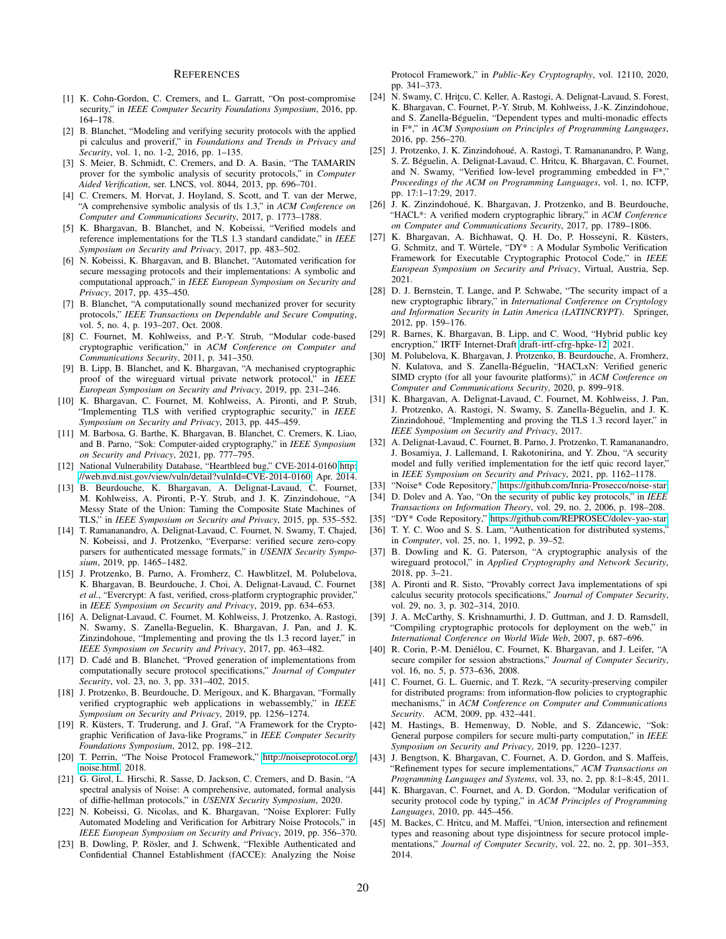#### **REFERENCES**

- <span id="page-19-0"></span>[1] K. Cohn-Gordon, C. Cremers, and L. Garratt, "On post-compromise security," in *IEEE Computer Security Foundations Symposium*, 2016, pp. 164–178.
- <span id="page-19-1"></span>[2] B. Blanchet, "Modeling and verifying security protocols with the applied pi calculus and proverif," in *Foundations and Trends in Privacy and Security*, vol. 1, no. 1-2, 2016, pp. 1–135.
- <span id="page-19-2"></span>[3] S. Meier, B. Schmidt, C. Cremers, and D. A. Basin, "The TAMARIN prover for the symbolic analysis of security protocols," in *Computer Aided Verification*, ser. LNCS, vol. 8044, 2013, pp. 696–701.
- <span id="page-19-3"></span>[4] C. Cremers, M. Horvat, J. Hoyland, S. Scott, and T. van der Merwe, "A comprehensive symbolic analysis of tls 1.3," in *ACM Conference on Computer and Communications Security*, 2017, p. 1773–1788.
- <span id="page-19-4"></span>[5] K. Bhargavan, B. Blanchet, and N. Kobeissi, "Verified models and reference implementations for the TLS 1.3 standard candidate," in *IEEE Symposium on Security and Privacy*, 2017, pp. 483–502.
- <span id="page-19-5"></span>[6] N. Kobeissi, K. Bhargavan, and B. Blanchet, "Automated verification for secure messaging protocols and their implementations: A symbolic and computational approach," in *IEEE European Symposium on Security and Privacy*, 2017, pp. 435–450.
- <span id="page-19-6"></span>[7] B. Blanchet, "A computationally sound mechanized prover for security protocols," *IEEE Transactions on Dependable and Secure Computing*, vol. 5, no. 4, p. 193–207, Oct. 2008.
- <span id="page-19-7"></span>[8] C. Fournet, M. Kohlweiss, and P.-Y. Strub, "Modular code-based cryptographic verification," in *ACM Conference on Computer and Communications Security*, 2011, p. 341–350.
- <span id="page-19-8"></span>[9] B. Lipp, B. Blanchet, and K. Bhargavan, "A mechanised cryptographic proof of the wireguard virtual private network protocol," in *IEEE European Symposium on Security and Privacy*, 2019, pp. 231–246.
- <span id="page-19-9"></span>[10] K. Bhargavan, C. Fournet, M. Kohlweiss, A. Pironti, and P. Strub, "Implementing TLS with verified cryptographic security," in *IEEE Symposium on Security and Privacy*, 2013, pp. 445–459.
- <span id="page-19-10"></span>[11] M. Barbosa, G. Barthe, K. Bhargavan, B. Blanchet, C. Cremers, K. Liao, and B. Parno, "Sok: Computer-aided cryptography," in *IEEE Symposium on Security and Privacy*, 2021, pp. 777–795.
- <span id="page-19-11"></span>[12] National Vulnerability Database, "Heartbleed bug," CVE-2014-0160 [http:](http://web.nvd.nist.gov/view/vuln/detail?vulnId=CVE-2014-0160) [//web.nvd.nist.gov/view/vuln/detail?vulnId=CVE-2014-0160,](http://web.nvd.nist.gov/view/vuln/detail?vulnId=CVE-2014-0160) Apr. 2014.
- <span id="page-19-12"></span>[13] B. Beurdouche, K. Bhargavan, A. Delignat-Lavaud, C. Fournet, M. Kohlweiss, A. Pironti, P.-Y. Strub, and J. K. Zinzindohoue, "A Messy State of the Union: Taming the Composite State Machines of TLS," in *IEEE Symposium on Security and Privacy*, 2015, pp. 535–552.
- <span id="page-19-13"></span>[14] T. Ramananandro, A. Delignat-Lavaud, C. Fournet, N. Swamy, T. Chajed, N. Kobeissi, and J. Protzenko, "Everparse: verified secure zero-copy parsers for authenticated message formats," in *USENIX Security Symposium*, 2019, pp. 1465–1482.
- <span id="page-19-14"></span>[15] J. Protzenko, B. Parno, A. Fromherz, C. Hawblitzel, M. Polubelova, K. Bhargavan, B. Beurdouche, J. Choi, A. Delignat-Lavaud, C. Fournet *et al.*, "Evercrypt: A fast, verified, cross-platform cryptographic provider," in *IEEE Symposium on Security and Privacy*, 2019, pp. 634–653.
- <span id="page-19-15"></span>[16] A. Delignat-Lavaud, C. Fournet, M. Kohlweiss, J. Protzenko, A. Rastogi, N. Swamy, S. Zanella-Beguelin, K. Bhargavan, J. Pan, and J. K. Zinzindohoue, "Implementing and proving the tls 1.3 record layer," in *IEEE Symposium on Security and Privacy*, 2017, pp. 463–482.
- <span id="page-19-16"></span>[17] D. Cadé and B. Blanchet, "Proved generation of implementations from computationally secure protocol specifications," *Journal of Computer Security*, vol. 23, no. 3, pp. 331–402, 2015.
- <span id="page-19-17"></span>[18] J. Protzenko, B. Beurdouche, D. Merigoux, and K. Bhargavan, "Formally verified cryptographic web applications in webassembly," in *IEEE Symposium on Security and Privacy*, 2019, pp. 1256–1274.
- <span id="page-19-18"></span>[19] R. Küsters, T. Truderung, and J. Graf, "A Framework for the Cryptographic Verification of Java-like Programs," in *IEEE Computer Security Foundations Symposium*, 2012, pp. 198–212.
- <span id="page-19-19"></span>[20] T. Perrin, "The Noise Protocol Framework," [http://noiseprotocol.org/](http://noiseprotocol.org/noise.html) [noise.html,](http://noiseprotocol.org/noise.html) 2018.
- <span id="page-19-20"></span>[21] G. Girol, L. Hirschi, R. Sasse, D. Jackson, C. Cremers, and D. Basin, "A spectral analysis of Noise: A comprehensive, automated, formal analysis of diffie-hellman protocols," in *USENIX Security Symposium*, 2020.
- <span id="page-19-21"></span>[22] N. Kobeissi, G. Nicolas, and K. Bhargavan, "Noise Explorer: Fully Automated Modeling and Verification for Arbitrary Noise Protocols," in *IEEE European Symposium on Security and Privacy*, 2019, pp. 356–370.
- <span id="page-19-22"></span>[23] B. Dowling, P. Rösler, and J. Schwenk, "Flexible Authenticated and Confidential Channel Establishment (fACCE): Analyzing the Noise

Protocol Framework," in *Public-Key Cryptography*, vol. 12110, 2020, pp. 341–373.

- <span id="page-19-23"></span>[24] N. Swamy, C. Hritçu, C. Keller, A. Rastogi, A. Delignat-Lavaud, S. Forest, K. Bhargavan, C. Fournet, P.-Y. Strub, M. Kohlweiss, J.-K. Zinzindohoue, and S. Zanella-Béguelin, "Dependent types and multi-monadic effects in F\*," in *ACM Symposium on Principles of Programming Languages*, 2016, pp. 256–270.
- <span id="page-19-24"></span>[25] J. Protzenko, J. K. Zinzindohoué, A. Rastogi, T. Ramananandro, P. Wang, S. Z. Beguelin, A. Delignat-Lavaud, C. Hritcu, K. Bhargavan, C. Fournet, ´ and N. Swamy, "Verified low-level programming embedded in F\*," *Proceedings of the ACM on Programming Languages*, vol. 1, no. ICFP, pp. 17:1–17:29, 2017.
- <span id="page-19-25"></span>[26] J. K. Zinzindohoué, K. Bhargavan, J. Protzenko, and B. Beurdouche, "HACL\*: A verified modern cryptographic library," in *ACM Conference on Computer and Communications Security*, 2017, pp. 1789–1806.
- <span id="page-19-26"></span>[27] K. Bhargavan, A. Bichhawat, Q. H. Do, P. Hosseyni, R. Küsters, G. Schmitz, and T. Würtele, "DY\* : A Modular Symbolic Verification Framework for Executable Cryptographic Protocol Code," in *IEEE European Symposium on Security and Privacy*, Virtual, Austria, Sep. 2021.
- <span id="page-19-27"></span>[28] D. J. Bernstein, T. Lange, and P. Schwabe, "The security impact of a new cryptographic library," in *International Conference on Cryptology and Information Security in Latin America (LATINCRYPT)*. Springer, 2012, pp. 159–176.
- <span id="page-19-28"></span>[29] R. Barnes, K. Bhargavan, B. Lipp, and C. Wood, "Hybrid public key encryption," IRTF Internet-Draft [draft-irtf-cfrg-hpke-12,](draft-irtf-cfrg-hpke-12) 2021.
- <span id="page-19-29"></span>[30] M. Polubelova, K. Bhargavan, J. Protzenko, B. Beurdouche, A. Fromherz, N. Kulatova, and S. Zanella-Beguelin, "HACLxN: Verified generic ´ SIMD crypto (for all your favourite platforms)," in *ACM Conference on Computer and Communications Security*, 2020, p. 899–918.
- <span id="page-19-30"></span>[31] K. Bhargavan, A. Delignat-Lavaud, C. Fournet, M. Kohlweiss, J. Pan, J. Protzenko, A. Rastogi, N. Swamy, S. Zanella-Béguelin, and J. K. Zinzindohoue, "Implementing and proving the TLS 1.3 record layer," in ´ *IEEE Symposium on Security and Privacy*, 2017.
- <span id="page-19-31"></span>[32] A. Delignat-Lavaud, C. Fournet, B. Parno, J. Protzenko, T. Ramananandro, J. Bosamiya, J. Lallemand, I. Rakotonirina, and Y. Zhou, "A security model and fully verified implementation for the ietf quic record layer, in *IEEE Symposium on Security and Privacy*, 2021, pp. 1162–1178.
- <span id="page-19-32"></span>[33] "Noise\* Code Repository," [https://github.com/Inria-Prosecco/noise-star.](https://github.com/Inria-Prosecco/noise-star)
- <span id="page-19-33"></span>[34] D. Dolev and A. Yao, "On the security of public key protocols," in *IEEE Transactions on Information Theory*, vol. 29, no. 2, 2006, p. 198–208.
- <span id="page-19-34"></span>[35] "DY\* Code Repository," [https://github.com/REPROSEC/dolev-yao-star.](https://github.com/REPROSEC/dolev-yao-star)
- <span id="page-19-35"></span>[36] T. Y. C. Woo and S. S. Lam, "Authentication for distributed systems," in *Computer*, vol. 25, no. 1, 1992, p. 39–52.
- <span id="page-19-36"></span>[37] B. Dowling and K. G. Paterson, "A cryptographic analysis of the wireguard protocol," in *Applied Cryptography and Network Security*, 2018, pp. 3–21.
- <span id="page-19-37"></span>[38] A. Pironti and R. Sisto, "Provably correct Java implementations of spi calculus security protocols specifications," *Journal of Computer Security*, vol. 29, no. 3, p. 302–314, 2010.
- <span id="page-19-38"></span>[39] J. A. McCarthy, S. Krishnamurthi, J. D. Guttman, and J. D. Ramsdell, "Compiling cryptographic protocols for deployment on the web," in *International Conference on World Wide Web*, 2007, p. 687–696.
- <span id="page-19-39"></span>[40] R. Corin, P.-M. Deniélou, C. Fournet, K. Bhargavan, and J. Leifer, "A secure compiler for session abstractions," *Journal of Computer Security*, vol. 16, no. 5, p. 573–636, 2008.
- <span id="page-19-40"></span>[41] C. Fournet, G. L. Guernic, and T. Rezk, "A security-preserving compiler for distributed programs: from information-flow policies to cryptographic mechanisms," in *ACM Conference on Computer and Communications Security*. ACM, 2009, pp. 432–441.
- <span id="page-19-41"></span>[42] M. Hastings, B. Hemenway, D. Noble, and S. Zdancewic, "Sok: General purpose compilers for secure multi-party computation," in *IEEE Symposium on Security and Privacy*, 2019, pp. 1220–1237.
- <span id="page-19-42"></span>[43] J. Bengtson, K. Bhargavan, C. Fournet, A. D. Gordon, and S. Maffeis, "Refinement types for secure implementations," *ACM Transactions on Programming Languages and Systems*, vol. 33, no. 2, pp. 8:1–8:45, 2011.
- <span id="page-19-43"></span>[44] K. Bhargavan, C. Fournet, and A. D. Gordon, "Modular verification of security protocol code by typing," in *ACM Principles of Programming Languages*, 2010, pp. 445–456.
- <span id="page-19-44"></span>[45] M. Backes, C. Hritcu, and M. Maffei, "Union, intersection and refinement types and reasoning about type disjointness for secure protocol implementations," *Journal of Computer Security*, vol. 22, no. 2, pp. 301–353, 2014.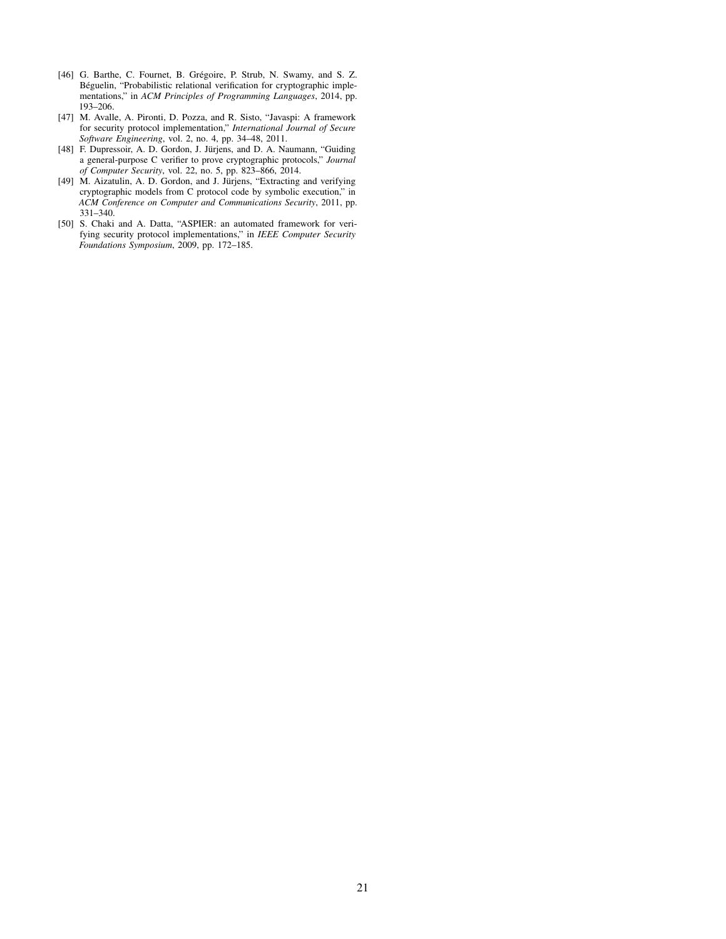- <span id="page-20-0"></span>[46] G. Barthe, C. Fournet, B. Grégoire, P. Strub, N. Swamy, and S. Z. Béguelin, "Probabilistic relational verification for cryptographic implementations," in *ACM Principles of Programming Languages*, 2014, pp. 193–206.
- <span id="page-20-1"></span>[47] M. Avalle, A. Pironti, D. Pozza, and R. Sisto, "Javaspi: A framework for security protocol implementation," *International Journal of Secure Software Engineering*, vol. 2, no. 4, pp. 34–48, 2011.
- <span id="page-20-2"></span>[48] F. Dupressoir, A. D. Gordon, J. Jürjens, and D. A. Naumann, "Guiding a general-purpose C verifier to prove cryptographic protocols," *Journal of Computer Security*, vol. 22, no. 5, pp. 823–866, 2014.
- <span id="page-20-3"></span>[49] M. Aizatulin, A. D. Gordon, and J. Jürjens, "Extracting and verifying cryptographic models from C protocol code by symbolic execution," in *ACM Conference on Computer and Communications Security*, 2011, pp. 331–340.
- <span id="page-20-4"></span>[50] S. Chaki and A. Datta, "ASPIER: an automated framework for verifying security protocol implementations," in *IEEE Computer Security Foundations Symposium*, 2009, pp. 172–185.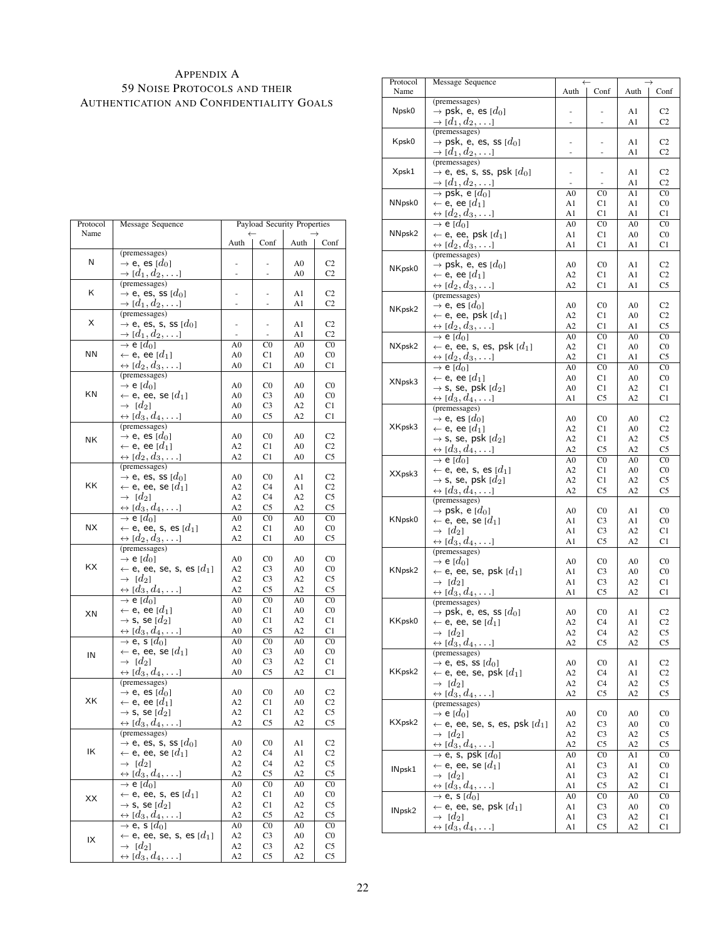## <span id="page-21-0"></span>APPENDIX A 59 NOISE PROTOCOLS AND THEIR AUTHENTICATION AND CONFIDENTIALITY GOALS

| Protocol  | Message Sequence                                                    |                                  | Payload Security Properties |                |                                  |
|-----------|---------------------------------------------------------------------|----------------------------------|-----------------------------|----------------|----------------------------------|
| Name      |                                                                     | Auth                             | Conf                        | Auth           | Conf                             |
|           | (premessages)                                                       |                                  |                             |                |                                  |
| Ν         | $\rightarrow$ e, es [ $d_0$ ]                                       | ÷,                               |                             | A0             | C <sub>2</sub>                   |
|           | $\rightarrow$ [ $d_1, d_2, \ldots$ ]                                |                                  |                             | A0             | C2                               |
|           | (premessages)                                                       |                                  |                             |                |                                  |
| Κ         | $\rightarrow$ e, es, ss [ $d_0$ ]                                   |                                  |                             | A1             | C <sub>2</sub>                   |
|           | $\rightarrow$ [ $d_1, d_2, \ldots$ ]                                |                                  |                             | A1             | C <sub>2</sub>                   |
| X         | (premessages)                                                       |                                  |                             |                |                                  |
|           | $\rightarrow$ e, es, s, ss $[d_0]$                                  |                                  | ٠                           | A1             | C <sub>2</sub>                   |
|           | $\rightarrow$ [ $d_1, d_2, \ldots$ ]                                |                                  | ÷,                          | A1             | C <sub>2</sub>                   |
| ΝN        | $\rightarrow$ e [ $d_0$ ]<br>$\leftarrow$ e, ee [ $d_1$ ]           | A0<br>A0                         | C0<br>C1                    | A0<br>A0       | C <sub>0</sub><br>C <sub>0</sub> |
|           | $\leftrightarrow$ [ $d_2, d_3, \ldots$ ]                            | A0                               | C1                          | A0             | C1                               |
|           | (premessages)                                                       |                                  |                             |                |                                  |
|           | $\rightarrow$ e [ $d_0$ ]                                           | A <sub>0</sub>                   | C0                          | A <sub>0</sub> | C <sub>0</sub>                   |
| ΚN        | $\leftarrow$ e, ee, se [ $d_1$ ]                                    | A <sub>0</sub>                   | C3                          | A0             | C <sub>0</sub>                   |
|           | $\rightarrow$ [d <sub>2</sub> ]                                     | A <sub>0</sub>                   | C3                          | A2             | C1                               |
|           | $\leftrightarrow$ [ $d_3, d_4, \ldots$ ]                            | A0                               | C5                          | A2             | C1                               |
|           | (premessages)                                                       |                                  |                             |                |                                  |
|           | $\rightarrow$ e, es [ $d_0$ ]                                       | A <sub>0</sub>                   | C0                          | A0             | C <sub>2</sub>                   |
| ΝK        | $\leftarrow$ e, ee [ $d_1$ ]                                        | A <sub>2</sub>                   | C1                          | A0             | C <sub>2</sub>                   |
|           | $\leftrightarrow$ [ $d_2, d_3, \ldots$ ]                            | A2                               | C1                          | A0             | C5                               |
|           | (premessages)                                                       |                                  |                             |                |                                  |
|           | $\rightarrow$ e, es, ss [ $d_0$ ]                                   | A <sub>0</sub>                   | C0                          | A1             | C <sub>2</sub>                   |
| ΚK        | $\leftarrow$ e, ee, se [ $d_1$ ]                                    | A <sub>2</sub>                   | C4                          | A1             | C <sub>2</sub>                   |
|           | $\rightarrow$ [d <sub>2</sub> ]                                     | A2                               | C4                          | A2             | C5                               |
|           | $\leftrightarrow$ [d <sub>3</sub> , d <sub>4</sub> ,]               | A2                               | C5                          | A2             | C5                               |
|           | $\rightarrow$ e [ $d_0$ ]                                           | $\overline{A}0$                  | $_{\rm CO}$                 | A <sub>0</sub> | C <sub>0</sub>                   |
| <b>NX</b> | $\leftarrow$ e, ee, s, es [ $d_1$ ]                                 | A2                               | C1                          | A0             | C <sub>0</sub>                   |
|           | $\leftrightarrow$ [ $d_2, d_3, \ldots$ ]                            | A2                               | C1                          | A0             | C5                               |
|           | (premessages)                                                       |                                  |                             |                |                                  |
|           | $\rightarrow$ e [ $d_0$ ]                                           | A <sub>0</sub>                   | C0                          | A <sub>0</sub> | C <sub>0</sub>                   |
| ΚX        | $\leftarrow$ e, ee, se, s, es [ $d_1$ ]                             | A2                               | C3                          | A0             | C <sub>0</sub>                   |
|           | $\rightarrow$ [d <sub>2</sub> ]                                     | A2                               | C3                          | A2             | C5                               |
|           | $\leftrightarrow$ [ $d_3, d_4, \ldots$ ]                            | A2                               | C5                          | A2             | C5                               |
|           | $\rightarrow$ e [ $d_0$ ]                                           | A <sub>0</sub>                   | $_{\rm CO}$                 | A0             | C <sub>0</sub>                   |
| XN        | $\leftarrow$ e, ee [ $d_1$ ]                                        | A0                               | C1                          | A0             | C <sub>0</sub>                   |
|           | $\rightarrow$ s, se [ $d_2$ ]                                       | A <sub>0</sub>                   | C1                          | A2             | C1                               |
|           | $\leftrightarrow$ [d <sub>3</sub> , <u>d<sub>4</sub></u> ,]         | A0                               | C5                          | A2             | C1                               |
|           | $\rightarrow$ e, s [ $d_0$ ]                                        | A0                               | $_{\rm CO}$                 | A0             | $_{\rm CO}$                      |
| IN        | $\leftarrow$ e, ee, se [ $d_1$ ]<br>$\rightarrow$ [d <sub>2</sub> ] | A <sub>0</sub><br>A <sub>0</sub> | C3<br>C3                    | A0<br>A2       | C <sub>0</sub><br>C1             |
|           | $\leftrightarrow$ [ $d_3, d_4, \ldots$ ]                            | A <sub>0</sub>                   | C5                          | A2             | C <sub>1</sub>                   |
|           | (premessages)                                                       |                                  |                             |                |                                  |
|           | $\rightarrow$ e, es [ $d_0$ ]                                       | A0                               | C0                          | A0             | C <sub>2</sub>                   |
| XK        | $\leftarrow$ e, ee [ $d_1$ ]                                        | A2                               | C1                          | A0             | C <sub>2</sub>                   |
|           | $\rightarrow$ s, se [ $d_2$ ]                                       | A2                               | C1                          | A2             | C5                               |
|           | $\leftrightarrow$ [ $d_3, d_4, \ldots$ ]                            | A2                               | C5                          | A2             | C5                               |
|           | (premessages)                                                       |                                  |                             |                |                                  |
|           | $\rightarrow$ e, es, s, ss $[d_0]$                                  | A <sub>0</sub>                   | $_{\rm CO}$                 | A1             | C <sub>2</sub>                   |
| ΙK        | $\leftarrow$ e, ee, se [ $d_1$ ]                                    | A2                               | C4                          | A1             | C <sub>2</sub>                   |
|           | $\rightarrow$ [d <sub>2</sub> ]                                     | A2                               | C4                          | A2             | C5                               |
|           | $\leftrightarrow$ [d <sub>3</sub> , d <sub>4</sub> , $\dots$ ]      | A2                               | C5                          | A2             | C5                               |
|           | $\rightarrow$ e [ $d_0$ ]                                           | A0                               | C0                          | A0             | C <sub>0</sub>                   |
| ХX        | $\leftarrow$ e, ee, s, es [ $d_1$ ]                                 | A2                               | C1                          | A0             | $_{\rm CO}$                      |
|           | $\rightarrow$ s, se [ $d_2$ ]                                       | A2                               | C1                          | A2             | C5                               |
|           | $\leftrightarrow$ [d <sub>3</sub> , d <sub>4</sub> ,]               | A2                               | C5                          | A2             | C5                               |
|           | $\rightarrow$ e, s [ $\bar{d}$ <sub>0</sub> ]                       | A0                               | C0                          | A0             | C <sub>0</sub>                   |
| IX        | $\leftarrow$ e, ee, se, s, es [ $d_1$ ]                             | A2                               | C3                          | A0             | $_{\rm C0}$                      |
|           | $\rightarrow$ [d <sub>2</sub> ]                                     | A2                               | C3                          | A2             | C5                               |
|           | $\leftrightarrow [d_3, d_4, \ldots]$                                | A2                               | C5                          | A2             | C5                               |

| Protocol<br>Name   | Message Sequence                                                                         | Auth                             | Conf                             | Auth                 | Conf                             |
|--------------------|------------------------------------------------------------------------------------------|----------------------------------|----------------------------------|----------------------|----------------------------------|
|                    | (premessages)                                                                            |                                  |                                  |                      |                                  |
| Npsk0              | $\rightarrow$ psk, e, es [ $d_0$ ]                                                       |                                  |                                  | A1                   | C <sub>2</sub>                   |
|                    | $\rightarrow$ [ $d_1, d_2, \ldots$ ]                                                     | ÷,                               |                                  | A1                   | C2                               |
| Kpsk0              | (premessages)<br>$\rightarrow$ psk, e, es, ss [ $d_0$ ]                                  |                                  |                                  | A1                   | C <sub>2</sub>                   |
|                    | $\rightarrow$ [d <sub>1</sub> , d <sub>2</sub> ,]                                        | L,                               |                                  | A1                   | C <sub>2</sub>                   |
|                    | (premessages)                                                                            |                                  |                                  |                      |                                  |
| Xpsk1              | $\rightarrow$ e, es, s, ss, psk [ $d_0$ ]                                                | ٠                                | $\overline{a}$                   | A <sub>1</sub>       | C <sub>2</sub>                   |
|                    | $\rightarrow$ [ $d_1, d_2, \ldots$ ]                                                     | $\overline{\phantom{a}}$         | $\overline{\phantom{a}}$         | A1                   | C <sub>2</sub>                   |
|                    | $\rightarrow$ psk, e [ $d_0$ ]                                                           | A <sub>0</sub>                   | $_{\rm CO}$                      | A1                   | $_{\rm CO}$                      |
| NNpsk0             | $\leftarrow$ e, ee [ $d_1$ ]                                                             | A1                               | C1                               | A <sub>1</sub>       | C <sub>0</sub>                   |
|                    | $\leftrightarrow$ [ $d_2, d_3, \ldots$ ]<br>$\rightarrow$ e [ $d_0$ ]                    | A1<br>A <sub>0</sub>             | C <sub>1</sub><br>$_{\rm CO}$    | A1<br>A <sub>0</sub> | C <sub>1</sub><br>$_{\rm CO}$    |
| NNpsk <sub>2</sub> | $\leftarrow$ e, ee, psk [ $d_1$ ]                                                        | A1                               | C1                               | A0                   | $_{\rm CO}$                      |
|                    | $\leftrightarrow$ [ $d_2, d_3, \ldots$ ]                                                 | A1                               | C1                               | A1                   | C1                               |
|                    | (premessages)                                                                            |                                  |                                  |                      |                                  |
| NKpsk0             | $\rightarrow$ psk, e, es [ $d_0$ ]                                                       | A <sub>0</sub>                   | C0                               | A <sub>1</sub>       | C <sub>2</sub>                   |
|                    | $\leftarrow$ e, ee [ $d_1$ ]                                                             | A <sub>2</sub>                   | C1                               | A1                   | C <sub>2</sub>                   |
|                    | $\leftrightarrow$ [ $d_2, d_3, \ldots$ ]                                                 | A2                               | C1                               | A1                   | C5                               |
|                    | (premessages)                                                                            |                                  |                                  |                      |                                  |
| NKpsk2             | $\rightarrow$ e, es [ $d_0$ ]<br>$\leftarrow$ e, ee, psk [ $d_1$ ]                       | A <sub>0</sub><br>A <sub>2</sub> | $_{\rm CO}$<br>C1                | A <sub>0</sub><br>A0 | C <sub>2</sub><br>C <sub>2</sub> |
|                    | $\leftrightarrow [d_2, d_3, \ldots]$                                                     | A2                               | C1                               | A1                   | C5                               |
|                    | $\overline{\rightarrow}$ e [ $d_0$ ]                                                     | A <sub>0</sub>                   | $_{\rm CO}$                      | A <sub>0</sub>       | $_{\rm CO}$                      |
| NXpsk2             | $\leftarrow$ e, ee, s, es, psk $[d_1]$                                                   | A2                               | C1                               | A0                   | C <sub>0</sub>                   |
|                    | $\leftrightarrow$ [ $d_2, d_3, \ldots$ ]                                                 | A2                               | C1                               | A1                   | C5                               |
|                    | $\rightarrow$ e [ $d_0$ ]                                                                | A <sub>0</sub>                   | $_{\rm CO}$                      | A <sub>0</sub>       | $_{\rm CO}$                      |
| XNpsk3             | $\leftarrow$ e, ee [ $d_1$ ]                                                             | A0                               | C1                               | A0                   | $_{\rm CO}$                      |
|                    | $\rightarrow$ s, se, psk [ $d_2$ ]                                                       | A0                               | C1                               | A2                   | C1                               |
|                    | $\leftrightarrow$ [ $d_3, d_4, \ldots$ ]                                                 | A1                               | C5                               | A2                   | C1                               |
|                    | (premessages)<br>$\rightarrow$ e, es [ $d_0$ ]                                           | A0                               | $_{\rm CO}$                      | A0                   | C <sub>2</sub>                   |
| XKpsk3             | $\leftarrow$ e, ee [ $d_1$ ]                                                             | A <sub>2</sub>                   | C1                               | A0                   | C <sub>2</sub>                   |
|                    | $\rightarrow$ s, se, psk $[d_2]$                                                         | A <sub>2</sub>                   | C1                               | A2                   | C5                               |
|                    | $\leftrightarrow$ [d <sub>3</sub> , d <sub>4</sub> ,]                                    | A2                               | C5                               | A2                   | C5                               |
|                    | $\rightarrow$ e [d <sub>0</sub> ]                                                        | A <sub>0</sub>                   | $_{\rm CO}$                      | A <sub>0</sub>       | $_{\rm CO}$                      |
| XXpsk3             | $\leftarrow$ e, ee, s, es [ $d_1$ ]                                                      | A2                               | C1                               | A0                   | $_{\rm CO}$                      |
|                    | $\rightarrow$ s, se, psk [ $d_2$ ]                                                       | A2                               | C <sub>1</sub>                   | A2                   | C5                               |
|                    | $\leftrightarrow$ [d <sub>3</sub> , d <sub>4</sub> ,]                                    | A2                               | C5                               | A2                   | C5                               |
|                    | (premessages)<br>$\rightarrow$ psk, e [ $d_0$ ]                                          | A <sub>0</sub>                   | $_{\rm CO}$                      | A1                   | C <sub>0</sub>                   |
| KNpsk0             | $\leftarrow$ e, ee, se [ $d_1$ ]                                                         | A1                               | C <sub>3</sub>                   | A1                   | C <sub>0</sub>                   |
|                    | $\rightarrow$ [d <sub>2</sub> ]                                                          | A1                               | C <sub>3</sub>                   | A2                   | C1                               |
|                    | $\leftrightarrow$ [d <sub>3</sub> , d <sub>4</sub> ,]                                    | A1                               | C5                               | A2                   | C <sub>1</sub>                   |
|                    | (premessages)                                                                            |                                  |                                  |                      |                                  |
|                    | $\rightarrow$ e [ $d_0$ ]                                                                | A <sub>0</sub>                   | $_{\rm CO}$                      | A <sub>0</sub>       | C <sub>0</sub>                   |
| KNpsk2             | $\leftarrow$ e, ee, se, psk [ $d_1$ ]<br>$\rightarrow$ [d <sub>2</sub> ]                 | A1<br>A1                         | C <sub>3</sub><br>C <sub>3</sub> | A0<br>A2             | C <sub>0</sub><br>C1             |
|                    | $\leftrightarrow$ [d <sub>3</sub> , d <sub>4</sub> ,]                                    | A1                               | C5                               | A2                   | C1                               |
|                    | (premessages)                                                                            |                                  |                                  |                      |                                  |
|                    | $\rightarrow$ psk, e, es, ss [ $d_0$ ]                                                   | A0                               | C0                               | Al                   | C <sub>2</sub>                   |
| KKpsk0             | $\leftarrow$ e, ee, se [ $d_1$ ]                                                         | A2                               | C4                               | Al                   | C <sub>2</sub>                   |
|                    | $\rightarrow$ [d <sub>2</sub> ]                                                          | A2                               | C4                               | A2                   | C5                               |
|                    | $\leftrightarrow$ [ $d_3, d_4, \ldots$ ]                                                 | A2                               | C5                               | A2                   | C5                               |
|                    | (premessages)<br>$\rightarrow$ e, es, ss [ $d_0$ ]                                       | A0                               | $_{\rm CO}$                      | A1                   | C <sub>2</sub>                   |
| KKpsk2             | $\leftarrow$ e, ee, se, psk [ $d_1$ ]                                                    | A2                               | C4                               | A1                   | C <sub>2</sub>                   |
|                    | $\rightarrow$ [d <sub>2</sub> ]                                                          | A2                               | C4                               | A2                   | C5                               |
|                    | $\leftrightarrow$ [d <sub>3</sub> , d <sub>4</sub> ,]                                    | A2                               | C5                               | A2                   | C <sub>5</sub>                   |
|                    | (premessages)                                                                            |                                  |                                  |                      |                                  |
|                    | $\rightarrow$ e [ $d_0$ ]                                                                | A0                               | $_{\rm CO}$                      | A <sub>0</sub>       | C <sub>0</sub>                   |
| KXpsk2             | $\leftarrow$ e, ee, se, s, es, psk [ $d_1$ ]                                             | A2                               | C <sub>3</sub>                   | A0                   | C <sub>0</sub>                   |
|                    | $\rightarrow$ [d <sub>2</sub> ]                                                          | A2                               | C3                               | A2                   | C5                               |
|                    | $\leftrightarrow$ [d <sub>3</sub> , d <sub>4</sub> ,]<br>$\rightarrow$ e, s, psk $[d_0]$ | A2<br>A0                         | C5<br>$_{\rm CO}$                | A <sub>2</sub><br>A1 | C5<br>$_{\rm CO}$                |
|                    | $\leftarrow$ e, ee, se [ $d_1$ ]                                                         | A1                               | C3                               | A1                   | $_{\rm CO}$                      |
| INpsk1             | $\rightarrow$ [d <sub>2</sub> ]                                                          | A1                               | C3                               | A2                   | C1                               |
|                    | $\leftrightarrow$ [d <sub>3</sub> , d <sub>4</sub> ,]                                    | A1                               | C5                               | A2                   | C1                               |
|                    | $\rightarrow$ e, s [ $d_0$ ]                                                             | A <sub>0</sub>                   | $_{\rm CO}$                      | A0                   | C <sub>0</sub>                   |
| INpsk2             | $\leftarrow$ e, ee, se, psk [ $d_1$ ]                                                    | A1                               | C <sub>3</sub>                   | A <sub>0</sub>       | $_{\rm CO}$                      |
|                    | $\rightarrow$ [d <sub>2</sub> ]                                                          | A1                               | C3                               | A2                   | C1                               |
|                    | $\leftrightarrow$ [d <sub>3</sub> , d <sub>4</sub> ,]                                    | A1                               | C5                               | A2                   | C1                               |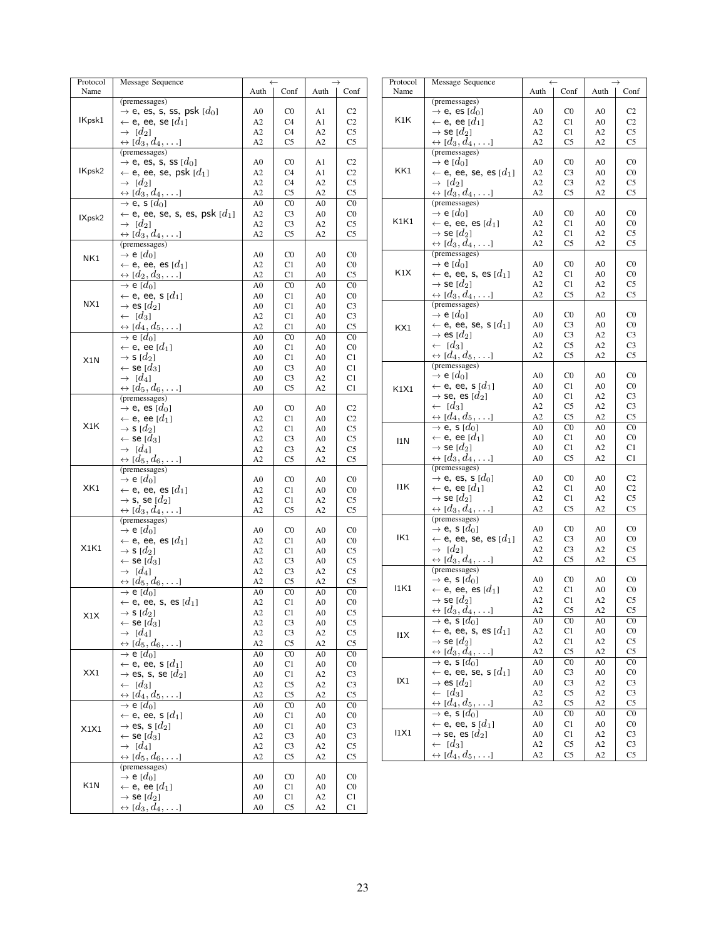| Protocol | Message Sequence                                       |                | $\leftarrow$    |                | $\rightarrow$  | Protocol | Message Sequence                                       |                | $\leftarrow$    |                | $\rightarrow$   |
|----------|--------------------------------------------------------|----------------|-----------------|----------------|----------------|----------|--------------------------------------------------------|----------------|-----------------|----------------|-----------------|
| Name     |                                                        | Auth           | Conf            | Auth           | Conf           | Name     |                                                        | Auth           | Conf            | Auth           | Conf            |
|          | (premessages)                                          |                |                 |                |                |          | (premessages)                                          |                |                 |                |                 |
| IKpsk1   | $\rightarrow$ e, es, s, ss, psk $[d_0]$                | A <sub>0</sub> | C <sub>0</sub>  | A1             | C <sub>2</sub> | K1K      | $\rightarrow$ e, es [ $d_0$ ]                          | A <sub>0</sub> | $_{\rm CO}$     | A <sub>0</sub> | C2              |
|          | $\leftarrow$ e, ee, se $[d_1]$                         | A2             | C4              | A1             | C <sub>2</sub> |          | $\leftarrow$ e, ee [ $d_1$ ]                           | A2             | C1              | A <sub>0</sub> | C2              |
|          | $\rightarrow$ [d <sub>2</sub> ]                        | A2             | C4              | A2             | C <sub>5</sub> |          | $\rightarrow$ se [ $d_2$ ]                             | A2             | C1              | A2             | C <sub>5</sub>  |
|          | $\leftrightarrow$ [d <sub>3</sub> , d <sub>4</sub> , ] | A2             | C <sub>5</sub>  | A2             | C <sub>5</sub> |          | $\leftrightarrow$ [d <sub>3</sub> , d <sub>4</sub> ,]  | A2             | C <sub>5</sub>  | A2             | C5              |
|          | (premessages)                                          |                |                 |                |                |          | (premessages)                                          |                |                 |                |                 |
|          | $\rightarrow$ e, es, s, ss [ $d_0$ ]                   | A <sub>0</sub> | C <sub>0</sub>  | A1             | C <sub>2</sub> |          | $\rightarrow$ e [d <sub>0</sub> ]                      | A <sub>0</sub> | C <sub>0</sub>  | A <sub>0</sub> | $_{\rm CO}$     |
| IKpsk2   | $\leftarrow$ e, ee, se, psk $[d_1]$                    | A2             | C4              | A1             | C2             | KK1      | $\leftarrow$ e, ee, se, es [ $d_1$ ]                   | A2             | C <sub>3</sub>  | A <sub>0</sub> | $_{\rm CO}$     |
|          | $\rightarrow$ [d <sub>2</sub> ]                        | A2             | C <sub>4</sub>  | A2             | C <sub>5</sub> |          | $\rightarrow$ [d <sub>2</sub> ]                        | A2             | C <sub>3</sub>  | A2             | C <sub>5</sub>  |
|          | $\leftrightarrow$ [ $d_3, d_4, \ldots$ ]               | A2             | C <sub>5</sub>  | A2             | C <sub>5</sub> |          | $\leftrightarrow$ [d <sub>3</sub> , d <sub>4</sub> ,]  | A2             | C <sub>5</sub>  | A2             | $\rm{C5}$       |
|          | $\rightarrow$ e, s [d <sub>0</sub> ]                   | A <sub>0</sub> | C <sub>0</sub>  | A <sub>0</sub> | C <sub>0</sub> |          | (premessages)                                          |                |                 |                |                 |
|          | $\leftarrow$ e, ee, se, s, es, psk [ $d_1$ ]           | A2             | C <sub>3</sub>  | A <sub>0</sub> | C <sub>0</sub> |          | $\rightarrow$ e [d <sub>0</sub> ]                      | A <sub>0</sub> | C <sub>0</sub>  | A <sub>0</sub> | $_{\rm CO}$     |
| IXpsk2   | $\rightarrow$ [d <sub>2</sub> ]                        | A2             | C <sub>3</sub>  | A2             | C <sub>5</sub> | K1K1     | $\leftarrow$ e, ee, es [ $d_1$ ]                       | A2             | C1              | A <sub>0</sub> | $_{\rm CO}$     |
|          | $\leftrightarrow$ [ $d_3, d_4, \ldots$ ]               | A2             | C <sub>5</sub>  | A2             | C <sub>5</sub> |          | $\rightarrow$ se [ $d_2$ ]                             | A2             | C1              | A2             | C <sub>5</sub>  |
|          | (premessages)                                          |                |                 |                |                |          | $\leftrightarrow$ [d <sub>3</sub> , d <sub>4</sub> ,]  | A2             | C <sub>5</sub>  | A2             | C5              |
|          |                                                        |                |                 |                |                |          | (premessages)                                          |                |                 |                |                 |
| NK1      | $\rightarrow$ e [d <sub>0</sub> ]                      | A <sub>0</sub> | C <sub>0</sub>  | A <sub>0</sub> | C <sub>0</sub> |          |                                                        |                |                 |                |                 |
|          | $\leftarrow$ e, ee, es [ $d_1$ ]                       | A2             | C1              | A <sub>0</sub> | C <sub>0</sub> | K1X      | $\rightarrow$ e [ $d_0$ ]                              | A <sub>0</sub> | C <sub>0</sub>  | A <sub>0</sub> | $_{\rm CO}$     |
|          | $\leftrightarrow$ [d <sub>2</sub> , d <sub>3</sub> , ] | A2             | C1              | A <sub>0</sub> | C <sub>5</sub> |          | $\leftarrow$ e, ee, s, es [ $d_1$ ]                    | A2             | C1              | A <sub>0</sub> | $_{\rm CO}$     |
|          | $\rightarrow$ e [d <sub>0</sub> ]                      | A <sub>0</sub> | C <sub>0</sub>  | A <sub>0</sub> | C <sub>0</sub> |          | $\rightarrow$ se [ $d_2$ ]                             | A2             | C1              | A2             | C <sub>5</sub>  |
|          | $\leftarrow$ e, ee, s [d <sub>1</sub> ]                | A <sub>0</sub> | C1              | A <sub>0</sub> | C <sub>0</sub> |          | $\leftrightarrow$ [d <sub>3</sub> , d <sub>4</sub> ,]  | A2             | C <sub>5</sub>  | A2             | C5              |
| NX1      | $\rightarrow$ es [d <sub>2</sub> ]                     | A <sub>0</sub> | C1              | A <sub>0</sub> | C <sub>3</sub> |          | (premessages)                                          |                |                 |                |                 |
|          | $\leftarrow$ [d <sub>3</sub> ]                         | A2             | C1              | A <sub>0</sub> | C <sub>3</sub> |          | $\rightarrow$ e [ $d_0$ ]                              | A <sub>0</sub> | C <sub>0</sub>  | A <sub>0</sub> | $_{\rm CO}$     |
|          | $\leftrightarrow$ [d <sub>4</sub> , d <sub>5</sub> ,]  | A2             | C1              | A <sub>0</sub> | C <sub>5</sub> | KX1      | $\leftarrow$ e, ee, se, s [ $d_1$ ]                    | A <sub>0</sub> | C <sub>3</sub>  | A <sub>0</sub> | $_{\rm CO}$     |
|          | $\rightarrow$ e [d <sub>0</sub> ]                      | A <sub>0</sub> | C <sub>0</sub>  | A <sub>0</sub> | C <sub>0</sub> |          | $\rightarrow$ es [ $d_2$ ]                             | A <sub>0</sub> | C <sub>3</sub>  | A2             | C <sub>3</sub>  |
|          | $\leftarrow$ e, ee [d <sub>1</sub> ]                   | A <sub>0</sub> | C1              | A <sub>0</sub> | C <sub>0</sub> |          | $\leftarrow$ [d <sub>3</sub> ]                         | A2             | C <sub>5</sub>  | A2             | C <sub>3</sub>  |
|          | $\rightarrow$ s [d <sub>2</sub> ]                      | A <sub>0</sub> | C1              | A <sub>0</sub> | C1             |          | $\leftrightarrow [d_4, d_5, \ldots]$                   | A2             | C <sub>5</sub>  | A2             | C <sub>5</sub>  |
| X1N      |                                                        |                |                 |                |                |          | (premessages)                                          |                |                 |                |                 |
|          | $\leftarrow$ se [d3]                                   | A <sub>0</sub> | C <sub>3</sub>  | A <sub>0</sub> | C1             |          | $\rightarrow$ e [ $d_0$ ]                              | A <sub>0</sub> | C <sub>0</sub>  | A <sub>0</sub> | $_{\rm CO}$     |
|          | $\rightarrow$ [d <sub>4</sub> ]                        | A <sub>0</sub> | C <sub>3</sub>  | A2             | C1             |          | $\leftarrow$ e, ee, s [d <sub>1</sub> ]                | A <sub>0</sub> | C1              | A <sub>0</sub> | $_{\rm CO}$     |
|          | $\leftrightarrow$ [d <sub>5</sub> , d <sub>6</sub> , ] | A <sub>0</sub> | C <sub>5</sub>  | A2             | C1             | K1X1     |                                                        |                |                 |                |                 |
|          | (premessages)                                          |                |                 |                |                |          | $\rightarrow$ se, es [ $d_2$ ]                         | A <sub>0</sub> | C1              | A2             | C <sub>3</sub>  |
|          | $\rightarrow$ e, es [d <sub>0</sub> ]                  | A <sub>0</sub> | C <sub>0</sub>  | A <sub>0</sub> | C <sub>2</sub> |          | $\leftarrow$ [d <sub>3</sub> ]                         | A2             | C <sub>5</sub>  | A2             | C <sub>3</sub>  |
|          | $\leftarrow$ e, ee [d <sub>1</sub> ]                   | A2             | C1              | A <sub>0</sub> | C <sub>2</sub> |          | $\leftrightarrow$ [ $d_4, d_5, \ldots$ ]               | A2             | C <sub>5</sub>  | A2             | C <sub>5</sub>  |
| X1K      | $\rightarrow$ s [d <sub>2</sub> ]                      | A2             | C1              | A <sub>0</sub> | C <sub>5</sub> |          | $\rightarrow$ e, s [d <sub>0</sub> ]                   | A <sub>0</sub> | $\overline{C}0$ | A <sub>0</sub> | $\overline{C}0$ |
|          | $\leftarrow$ se [d <sub>3</sub> ]                      | A2             | C <sub>3</sub>  | A <sub>0</sub> | C <sub>5</sub> | 11N      | $\leftarrow$ e, ee [ $d_1$ ]                           | A <sub>0</sub> | C1              | A <sub>0</sub> | $_{\rm CO}$     |
|          | $\rightarrow$ [d <sub>4</sub> ]                        | A2             | C <sub>3</sub>  | A2             | C <sub>5</sub> |          | $\rightarrow$ se [ $d_2$ ]                             | A <sub>0</sub> | C1              | A2             | C1              |
|          | $\leftrightarrow$ [ $d_5, d_6, \ldots$ ]               | A2             | C <sub>5</sub>  | A2             | C <sub>5</sub> |          | $\leftrightarrow$ [d <sub>3</sub> , d <sub>4</sub> , ] | A <sub>0</sub> | C <sub>5</sub>  | A2             | C1              |
|          | (premessages)                                          |                |                 |                |                |          | (premessages)                                          |                |                 |                |                 |
|          | $\rightarrow$ e [ $d_0$ ]                              | A <sub>0</sub> | C <sub>0</sub>  | A <sub>0</sub> | C <sub>0</sub> |          | $\rightarrow$ e, es, s [ $d_0$ ]                       | A0             | C <sub>0</sub>  | A <sub>0</sub> | $\rm C2$        |
| XK1      | $\leftarrow$ e, ee, es [ $d_1$ ]                       | A2             | C1              | A <sub>0</sub> | C <sub>0</sub> | 11K      | $\leftarrow$ e, ee [d <sub>1</sub> ]                   | A2             | C1              | A <sub>0</sub> | C2              |
|          | $\rightarrow$ s, se [ $d_2$ ]                          | A2             | C1              | A2             | C <sub>5</sub> |          | $\rightarrow$ se [d <sub>2</sub> ]                     | A2             | C1              | A2             | C <sub>5</sub>  |
|          |                                                        | A2             | C <sub>5</sub>  | A2             | C <sub>5</sub> |          | $\leftrightarrow$ [d <sub>3</sub> , d <sub>4</sub> , ] | A2             | C <sub>5</sub>  | A2             | C <sub>5</sub>  |
|          | $\leftrightarrow$ [ $d_3, d_4, \ldots$ ]               |                |                 |                |                |          | (premessages)                                          |                |                 |                |                 |
|          | (premessages)                                          |                |                 |                |                |          | $\rightarrow$ e, s [ $d_0$ ]                           | A <sub>0</sub> | C <sub>0</sub>  | A <sub>0</sub> | $_{\rm CO}$     |
|          | $\rightarrow$ e [ $d_0$ ]                              | A <sub>0</sub> | C <sub>0</sub>  | A <sub>0</sub> | $_{\rm C0}$    | IK1      | $\leftarrow$ e, ee, se, es [ $d_1$ ]                   |                | C <sub>3</sub>  | A <sub>0</sub> | $_{\rm CO}$     |
| X1K1     | $\leftarrow$ e, ee, es [ $d_1$ ]                       | A2             | C1              | A <sub>0</sub> | C <sub>0</sub> |          | $\rightarrow$ [d <sub>2</sub> ]                        | A2             |                 |                |                 |
|          | $\rightarrow$ s [d <sub>2</sub> ]                      | A2             | C1              | A <sub>0</sub> | C <sub>5</sub> |          |                                                        | A2             | C <sub>3</sub>  | A2             | C <sub>5</sub>  |
|          | $\leftarrow$ se [d <sub>3</sub> ]                      | A2             | C <sub>3</sub>  | A <sub>0</sub> | C <sub>5</sub> |          | $\leftrightarrow$ [ $d_3, d_4, \ldots$ ]               | A2             | C <sub>5</sub>  | A2             | $\rm{C5}$       |
|          | $\rightarrow$ [d <sub>4</sub> ]                        | A2             | C <sub>3</sub>  | A2             | C <sub>5</sub> |          | (premessages)                                          |                |                 |                |                 |
|          | $\leftrightarrow$ [ $d_5, d_6, \ldots$ ]               | A2             | C <sub>5</sub>  | A2             | C <sub>5</sub> |          | $\rightarrow$ e, s [d <sub>0</sub> ]                   | A <sub>0</sub> | C <sub>0</sub>  | A <sub>0</sub> | $_{\rm CO}$     |
|          | $\rightarrow$ e [d <sub>0</sub> ]                      | A <sub>0</sub> | $\overline{C}0$ | A <sub>0</sub> | C <sub>0</sub> | 11K1     | $\leftarrow$ e, ee, es [ $d_1$ ]                       | A2             | C1              | A0             | $_{\rm CO}$     |
|          | $\leftarrow$ e, ee, s, es [ $d_1$ ]                    | A2             | C1              | A <sub>0</sub> | C <sub>0</sub> |          | $\rightarrow$ se [ $d_2$ ]                             | A2             | C1              | A2             | C <sub>5</sub>  |
| X1X      | $\rightarrow$ S [ $d_2$ ]                              | A2             | C1              | A <sub>0</sub> | C <sub>5</sub> |          | $\leftrightarrow$ [ $d_3, d_4, \ldots$ ]               | A2             | C5              | A2             | C5              |
|          | $\leftarrow$ se [d <sub>3</sub> ]                      | A2             | C <sub>3</sub>  | A <sub>0</sub> | C <sub>5</sub> |          | $\rightarrow$ e, s [d <sub>0</sub> ]                   | A0             | C <sub>0</sub>  | A <sub>0</sub> | $_{\rm CO}$     |
|          | $\rightarrow$ [d <sub>4</sub> ]                        | A2             | C <sub>3</sub>  | A2             | C <sub>5</sub> |          | $\leftarrow$ e, ee, s, es [ $d_1$ ]                    | A2             | C1              | A0             | $_{\rm CO}$     |
|          | $\leftrightarrow$ [ $d_5, d_6, \ldots$ ]               | A2             | C <sub>5</sub>  | A2             | C <sub>5</sub> | 11X      | $\rightarrow$ se [ $d_2$ ]                             | A2             | C1              | A2             | C <sub>5</sub>  |
|          | $\rightarrow$ e [ $d_0$ ]                              | A <sub>0</sub> | C <sub>0</sub>  | A <sub>0</sub> | C <sub>0</sub> |          | $\leftrightarrow$ [ $d_3, d_4, \ldots$ ]               | A2             | C <sub>5</sub>  | A2             | C5              |
|          |                                                        |                |                 |                |                |          | $\rightarrow$ e, s [d <sub>0</sub> ]                   | A <sub>0</sub> | C <sub>0</sub>  | A <sub>0</sub> | $_{\rm CO}$     |
| XX1      | $\leftarrow$ e, ee, s [ $d_1$ ]                        | A <sub>0</sub> | C1              | A <sub>0</sub> | $_{\rm C0}$    |          | $\leftarrow$ e, ee, se, s [ $d_1$ ]                    | A <sub>0</sub> | C <sub>3</sub>  | A <sub>0</sub> | $_{\rm CO}$     |
|          | $\rightarrow$ es, s, se $[d_2]$                        | A <sub>0</sub> | C1              | A2             | C <sub>3</sub> | IX1      |                                                        |                |                 |                |                 |
|          | $\leftarrow$ [d <sub>3</sub> ]                         | A2             | C <sub>5</sub>  | A2             | C <sub>3</sub> |          | $\rightarrow$ es [ $d_2$ ]                             | A <sub>0</sub> | C <sub>3</sub>  | A2             | C <sub>3</sub>  |
|          | $\leftrightarrow$ [ $d_4, d_5, \ldots$ ]               | A2             | C <sub>5</sub>  | A2             | C <sub>5</sub> |          | $\leftarrow$ [d <sub>3</sub> ]                         | A2             | C <sub>5</sub>  | A2             | C <sub>3</sub>  |
|          | $\rightarrow$ e [d <sub>0</sub> ]                      | A <sub>0</sub> | C <sub>0</sub>  | A <sub>0</sub> | C <sub>0</sub> |          | $\leftrightarrow$ [ $d_4, d_5, \ldots$ ]               | A2             | C <sub>5</sub>  | A2             | C5              |
|          | $\leftarrow$ e, ee, s [ $d_1$ ]                        | A <sub>0</sub> | C1              | A <sub>0</sub> | $_{\rm C0}$    |          | $\rightarrow$ e, s [d <sub>0</sub> ]                   | A <sub>0</sub> | C <sub>0</sub>  | A <sub>0</sub> | $_{\rm CO}$     |
| X1X1     | $\rightarrow$ es, s [ $d_2$ ]                          | A <sub>0</sub> | C1              | A <sub>0</sub> | C <sub>3</sub> |          | $\leftarrow$ e, ee, s [d <sub>1</sub> ]                | A <sub>0</sub> | C1              | A <sub>0</sub> | $_{\rm C0}$     |
|          | $\leftarrow$ se [d <sub>3</sub> ]                      | A2             | C <sub>3</sub>  | A <sub>0</sub> | C <sub>3</sub> | 11X1     | $\rightarrow$ se, es [ $d_2$ ]                         | A <sub>0</sub> | C1              | A2             | C <sub>3</sub>  |
|          | $\rightarrow$ [d <sub>4</sub> ]                        | A2             | C <sub>3</sub>  | A2             | C <sub>5</sub> |          | $\leftarrow$ [d <sub>3</sub> ]                         | A2             | C <sub>5</sub>  | A2             | C <sub>3</sub>  |
|          | $\leftrightarrow$ [ $d_5, d_6, \ldots$ ]               | A2             | C <sub>5</sub>  | A2             | C5             |          | $\leftrightarrow$ [ $d_4, d_5, \ldots$ ]               | A2             | C <sub>5</sub>  | A2             | C5              |
|          | (premessages)                                          |                |                 |                |                |          |                                                        |                |                 |                |                 |
|          |                                                        |                |                 |                |                |          |                                                        |                |                 |                |                 |
| K1N      | $\rightarrow$ e [ $d_0$ ]                              | A <sub>0</sub> | C <sub>0</sub>  | A <sub>0</sub> | $_{\rm C0}$    |          |                                                        |                |                 |                |                 |
|          | $\leftarrow$ e, ee [ $d_1$ ]                           | A <sub>0</sub> | C1              | A <sub>0</sub> | $_{\rm C0}$    |          |                                                        |                |                 |                |                 |
|          | $\rightarrow$ se [d <sub>2</sub> ]                     | A <sub>0</sub> | C1              | A2             | C1             |          |                                                        |                |                 |                |                 |
|          | $\leftrightarrow$ [ $d_3, d_4, \ldots$ ]               | A <sub>0</sub> | C <sub>5</sub>  | A2             | C1             |          |                                                        |                |                 |                |                 |
|          |                                                        |                |                 |                |                |          |                                                        |                |                 |                |                 |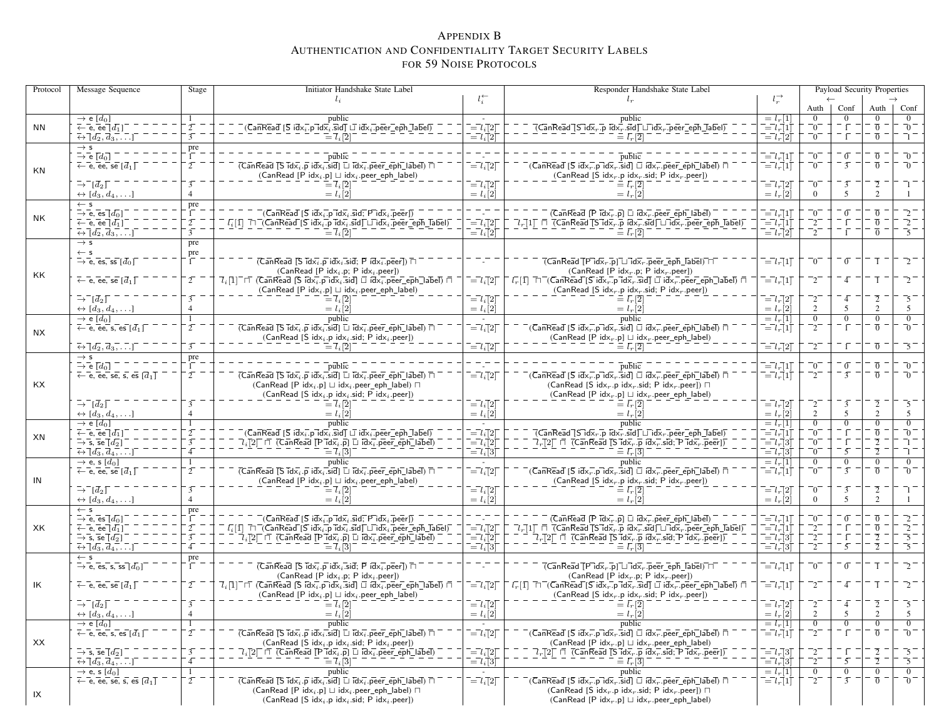# <span id="page-23-0"></span>APPENDIX <sup>B</sup>AUTHENTICATION AND CONFIDENTIALITY TARGET SECURITY LABELS FOR <sup>59</sup> <sup>N</sup>OISE <sup>P</sup>ROTOCOLS

| Protocol | Message Sequence                                                                | Stage          | Initiator Handshake State Label                                                                                                                                                                                                                                                                                                                                                                                                                                                                                                    |                                                                                                                     | Responder Handshake State Label                                                                                                                                                                                                                                                                            |                                                                                |                        |                | Payload Security Properties |                                                     |
|----------|---------------------------------------------------------------------------------|----------------|------------------------------------------------------------------------------------------------------------------------------------------------------------------------------------------------------------------------------------------------------------------------------------------------------------------------------------------------------------------------------------------------------------------------------------------------------------------------------------------------------------------------------------|---------------------------------------------------------------------------------------------------------------------|------------------------------------------------------------------------------------------------------------------------------------------------------------------------------------------------------------------------------------------------------------------------------------------------------------|--------------------------------------------------------------------------------|------------------------|----------------|-----------------------------|-----------------------------------------------------|
|          |                                                                                 |                | $l_i$                                                                                                                                                                                                                                                                                                                                                                                                                                                                                                                              | $l_i^{\leftarrow}$                                                                                                  | $l_r$                                                                                                                                                                                                                                                                                                      | $l_r^{\rightarrow}$                                                            |                        |                |                             |                                                     |
|          |                                                                                 |                |                                                                                                                                                                                                                                                                                                                                                                                                                                                                                                                                    |                                                                                                                     |                                                                                                                                                                                                                                                                                                            |                                                                                | Auth                   | Conf           | Auth                        | Conf                                                |
|          | $\rightarrow$ e [d <sub>0</sub> ]                                               |                | public                                                                                                                                                                                                                                                                                                                                                                                                                                                                                                                             |                                                                                                                     | public                                                                                                                                                                                                                                                                                                     | $= l_r[1]$                                                                     |                        | $\Omega$       |                             | $\overline{0}$                                      |
| NN       | $\leftarrow$ e, ee $[d_1]$                                                      |                | $(\overline{\mathsf{Can}\mathsf{Real}}   \overline{\mathsf{S}} \mathsf{id} \times_i \overline{\mathsf{I}} \mathsf{p} \mathsf{\overline{Id}} \overline{\mathsf{x}}_i \mathsf{.} \overline{\mathsf{sid}}   \overline{\mathsf{I}} \mathsf{id} \overline{\mathsf{x}}_i \overline{\mathsf{.}} \mathsf{p} \overline{\mathsf{e}} \mathsf{e} \mathsf{r} \overline{\mathsf{.}} \mathsf{e} \overline{\mathsf{p}} \mathsf{h} \overline{\mathsf{.}} \mathsf{label})$                                                                           | $\overline{=}l_i\overline{[}2\overline{]}$                                                                          | $\overline{( \sf CanRead\bar{}[\sf S\bar{d}\bar{x}_{r}.\bar{p}\bar{ \bar{d}x_r. \bar{s}\bar{d}]} \sqcup \bar{d}\bar{x}_{r}. \bar{p} \bar{e} \bar{e} \bar{r} \_ e \bar{p} \bar{h} \_ d\bar{b} e l \bar{b}})$                                                                                                | $\overline{=}l_{r}\left[1\right]$                                              | $\sqrt{0}$             |                | $\overline{0}$              | $\overline{0}$                                      |
|          | $\overline{\leftrightarrow} \overline{[d_2, d_3, \ldots]}$                      |                | $\overline{l} = \overline{l}_i \overline{l}_i$                                                                                                                                                                                                                                                                                                                                                                                                                                                                                     | $\overline{=}l_{i}\overline{[}2\overline{]}$                                                                        | $\equiv l_r^{\scriptscriptstyle \top}[2]$                                                                                                                                                                                                                                                                  | $= l_r 2$                                                                      | $\sqrt{0}$             | īΓ             | $\overline{0}$              | ำ                                                   |
|          | $\rightarrow$ s<br>$\rightarrow$ e $[d_0]$                                      | pre            | public                                                                                                                                                                                                                                                                                                                                                                                                                                                                                                                             |                                                                                                                     |                                                                                                                                                                                                                                                                                                            | $=$ $lr$ [1]                                                                   | -0                     | $\sigma$       | $\overline{0}$              | 70 -                                                |
|          |                                                                                 | $\overline{2}$ | $\overline{\text{(Can}\text{\sf Read}\text{\sf T}}\text{\sf S}$ $\overline{\text{id}}\text{\sf x}_i$ . $\overline{\text{\sf p}}$ $\overline{\text{id}}\text{\sf x}_i$ . $\overline{\text{id}}\text{\sf s}$ $\overline{\text{id}}$ $\overline{\text{Id}}$ $\overline{\text{id}}\text{\sf x}_i$ . $\overline{\text{\sf p}}\text{\sf e}\text{\sf e}\text{\sf r}\_\text{\sf e}\text{\sf p}$ $\overline{\text{\sf h}}$ $\overline{\text{\sf lab}}\text{\sf e}\text{\sf l}}$ ) $\overline{\text{\sf n}}$                                 | $\mathbf{I} = l_i [2]$                                                                                              | $\overline{\text{public}}$<br>$\bar{C}$ (CanRead [S idx $_{r}$ .p idx $_{r}$ .sid] $\Box$ idx $_{r}$ .peer_eph_label) $\Box$                                                                                                                                                                               | $\bar{l} = l_r[1]$                                                             | $0^{-}$                | $\overline{3}$ | $\overline{0}$              | - 70                                                |
| ΚN       | $\leftarrow$ e, ee, se $\lceil \overline{d}_1 \rceil$                           |                | $(CanRead [P idxi.p] \sqcup idxi.peer\_eph\_label)$                                                                                                                                                                                                                                                                                                                                                                                                                                                                                |                                                                                                                     | (CanRead [S idx <sub>r</sub> .p idx <sub>r</sub> .sid; P idx <sub>r</sub> .peer])                                                                                                                                                                                                                          |                                                                                |                        |                |                             |                                                     |
|          | $\bar{\rightarrow}^{\bar{-}}[\bar{d}_2]$                                        |                | $=$ $\overline{l}_i$ $\overline{2}$                                                                                                                                                                                                                                                                                                                                                                                                                                                                                                | $\bar{l} = l_i [2]$                                                                                                 |                                                                                                                                                                                                                                                                                                            | $=$ $l_r$ [2]                                                                  | $\Omega$               | $\overline{3}$ |                             |                                                     |
|          | $\leftrightarrow [d_3, d_4, \ldots]$                                            |                | $= l_i [2]$                                                                                                                                                                                                                                                                                                                                                                                                                                                                                                                        | $= l_i[2]$                                                                                                          | $= l_r 2$                                                                                                                                                                                                                                                                                                  | $= l_r \dot{2}$                                                                | $\Omega$               | $\mathcal{F}$  | $\overline{2}$              |                                                     |
|          | $\leftarrow$ s                                                                  | pre            |                                                                                                                                                                                                                                                                                                                                                                                                                                                                                                                                    |                                                                                                                     |                                                                                                                                                                                                                                                                                                            |                                                                                |                        |                |                             |                                                     |
|          | $\rightarrow$ e, es $\overline{[d_0]}$                                          |                | $(\overline{\mathsf{Can}}\mathsf{Read}\,[\overline{\mathsf{S}}\,\mathsf{id}\overline{\mathsf{x}_i}\ldotp\mathsf{p}\,\mathsf{\overline{Id}}\overline{\mathsf{x}_i}\ldotp\overline{\mathsf{sid}}\overline{\mathsf{F}}\,\mathsf{id}\overline{\mathsf{x}_i}\ldotp\overline{\mathsf{p}\mathsf{eer}}\overline{\mathsf{p}})$                                                                                                                                                                                                              |                                                                                                                     | $($ CanRead $[$ P $Idxr$ . $p$ ] $\Box$ $Idxr$ .peer_eph_label)                                                                                                                                                                                                                                            | $\overline{l} = l_r \overline{l}$                                              | $\overline{0}$         | $\overline{0}$ | $\overline{0}$              |                                                     |
| NK       | $\leftarrow$ e, ee $\left[d_1\right]$                                           | $\overline{2}$ |                                                                                                                                                                                                                                                                                                                                                                                                                                                                                                                                    | $\overline{a} = l_i [2]$                                                                                            |                                                                                                                                                                                                                                                                                                            | $\bar{l} = l_r \bar{l}$                                                        | $^{-2}$                |                | $\overline{0}$              | $\overline{2}^-$                                    |
|          | $\overline{\leftrightarrow} \overline{[d_2, d_3, \ldots]}$                      |                | $\boxed{l_i[1]} \underbrace{\top \top (\mathsf{CanRead}[S\text{ id}x_i])\text{ id}x_i \ldots \text{ id} \top \sqcup \text{ id}x_i \ldots \text{ def} \top \text{ def}}_{=l_i[2]}$                                                                                                                                                                                                                                                                                                                                                  | $\bar{l} = l_i \dot{\bar{l}} 2 \bar{l}$                                                                             | $\equiv \bar{l}_r[\overline{2}]$                                                                                                                                                                                                                                                                           | $\vec{a} = \vec{l}_r \vec{a}$                                                  | $^{-2}$                |                | $\overline{0}$              | $\overline{\phantom{1}}$ 5 $\overline{\phantom{1}}$ |
|          | $\rightarrow$ s                                                                 | pre            |                                                                                                                                                                                                                                                                                                                                                                                                                                                                                                                                    |                                                                                                                     |                                                                                                                                                                                                                                                                                                            |                                                                                |                        |                |                             |                                                     |
|          | $\leftarrow$ s                                                                  | pre            |                                                                                                                                                                                                                                                                                                                                                                                                                                                                                                                                    |                                                                                                                     |                                                                                                                                                                                                                                                                                                            |                                                                                |                        |                |                             |                                                     |
|          | $\rightarrow$ e, es, ss $[d_0]$                                                 |                | $(\overline{CanRead} \, \overline{[s\, idx_i, p\, idx_i, sid; P\, idx_i, p\overline{eer}) \, \overline{\sqcap})$                                                                                                                                                                                                                                                                                                                                                                                                                   |                                                                                                                     | $\overline{(CanReadTPidx_r.p)}$ $\overline{\sqcup}$ $\overline{idx_r}$ , peer eph $\overline{[abel)}$ $\overline{\sqcap}$                                                                                                                                                                                  | $\overline{=}l_r\overline{1}\overline{1}$                                      | $\sqrt{0}$             | $\sigma$       |                             |                                                     |
| KK.      |                                                                                 |                | $(CanRead [P idxi.p; P idxi.peer])$                                                                                                                                                                                                                                                                                                                                                                                                                                                                                                |                                                                                                                     | (CanRead [P idx <sub>r</sub> .p; P idx <sub>r</sub> .peer])                                                                                                                                                                                                                                                |                                                                                |                        |                |                             |                                                     |
|          | $\leftarrow$ e, ee, se $[\bar{d}_1]$                                            |                | $\overline{l}_i[1]^\top$ $\sqcap$ (CanRead [S $\overline{\text{idx}}_i$ p id $\overline{\text{x}}_i$ sid] $\Box$ id $\overline{\text{x}}_i$ peer_eph_label) $\Box$                                                                                                                                                                                                                                                                                                                                                                 | $\overline{a} = l_i [2]$                                                                                            | $\overline{l_r}[1]$ $\overline{\sqcap}$ (CanRead [S idx <sub>r</sub> .p idx <sub>r</sub> .sid] $\Box$ idx <sub>r</sub> .peer_eph_label) $\Box$                                                                                                                                                             | $\overline{l} = l_r[1]$                                                        | $^{-2}$                | 4              |                             |                                                     |
|          |                                                                                 |                | $(CanRead [P idxi.p] \sqcup idxi.peer\_eph\_label)$                                                                                                                                                                                                                                                                                                                                                                                                                                                                                |                                                                                                                     | (CanRead [S idx <sub>r</sub> .p idx <sub>r</sub> .sid; P idx <sub>r</sub> .peer])                                                                                                                                                                                                                          |                                                                                |                        |                |                             |                                                     |
|          | $\bar{\rightarrow}^ \bar{d}_2$ $\bar{1}$                                        |                | $\equiv$ $\mathcal{I}_i$ [2]                                                                                                                                                                                                                                                                                                                                                                                                                                                                                                       | $\bar{l} = l_i [2]$                                                                                                 | $\equiv \bar{l_r}[\overline{2}]$                                                                                                                                                                                                                                                                           | $=$ $lr$ [2]                                                                   |                        | $\overline{4}$ |                             | 5                                                   |
|          | $\leftrightarrow [d_3, d_4, \ldots]$                                            |                | $= l_i[2]$                                                                                                                                                                                                                                                                                                                                                                                                                                                                                                                         | $= l_i[2]$                                                                                                          | $= l_r[2]$                                                                                                                                                                                                                                                                                                 | $= l_r[2]$                                                                     |                        | 5              | $\overline{2}$              | 5                                                   |
|          | $\rightarrow$ e [d <sub>0</sub> ]                                               |                | public                                                                                                                                                                                                                                                                                                                                                                                                                                                                                                                             | $\sim$                                                                                                              | public                                                                                                                                                                                                                                                                                                     | $= l_r[1]$                                                                     | $\overline{0}$         | $\overline{0}$ | $\overline{0}$              | $\mathbf{0}$                                        |
| NX.      | $\leftarrow$ e, ee, s, es $\left[\overline{d_1}\right]$                         |                | $\overline{(CanRead \, \overline{Is} \, \overline{id} \overline{x_i} \cdot \overline{p} \, id\overline{x_i}. \overline{sid} \, \overline{L} \, \overline{id} \overline{x_i}. \overline{peer\_eph\_label} ) \, \overline{\sqcap}$                                                                                                                                                                                                                                                                                                   | $\overline{=}l_i\overline{[}2\overline{]}$                                                                          | $\bar{C}$ (CanRead [S idx, p idx, sid] $\Box$ idx, peer_eph_label) $\Box$                                                                                                                                                                                                                                  | $\overline{=}l_r\overline{[}1\overline{]}$                                     | $\bar{2}$              | $\Gamma$       | $\overline{0}$              | -0                                                  |
|          |                                                                                 |                | (CanRead [S idx <sub>i</sub> .p idx <sub>i</sub> .sid; P idx <sub>i</sub> .peer])                                                                                                                                                                                                                                                                                                                                                                                                                                                  |                                                                                                                     | $(CanRead [P idx, p] \sqcup idx, peer_eph\_label)$<br>$\equiv \bar{l}_r[\bar{2}]$                                                                                                                                                                                                                          |                                                                                |                        |                |                             |                                                     |
|          | $\overline{\leftrightarrow}$ [ $\overline{d_2}, \overline{d_3}, \dots$ ]        |                | $=$ $\overline{l}_i$ $\overline{2}$                                                                                                                                                                                                                                                                                                                                                                                                                                                                                                | $\overline{a} = l_i [2]$                                                                                            |                                                                                                                                                                                                                                                                                                            | $\overline{=}l_r\overline{[}2\overline{]}$                                     | $^{-2}$                | ĪΓ             | $\overline{0}$              | $\overline{\phantom{1}}$ 5 $\overline{\phantom{1}}$ |
|          | $\rightarrow$ s<br>$\rightarrow$ e $[d_0]$                                      | pre            | public                                                                                                                                                                                                                                                                                                                                                                                                                                                                                                                             |                                                                                                                     | public                                                                                                                                                                                                                                                                                                     | $\bar{l} = l_r \bar{l}$                                                        | $\overline{0}$         | $\sigma$       | $\overline{0}$              | $\overline{0}$                                      |
|          | $\leftarrow$ e, ee, se, s, es $\lbrack d_1 \rbrack$                             | $2^{-}$        | $\overline{(CanRead \, \overline{[s\, idx_i, p\, idx_i, sid]} \, \Box \, \overline{Idx_i}, \overline{peer\_eph\_label}) \, \overline{\Box}}$                                                                                                                                                                                                                                                                                                                                                                                       | $\overline{=}l_i\overline{[}2\overline{]}$                                                                          | $\bar{\Gamma}$ (CanRead [S idx $_{r}^{-}$ .p idx $_{r}$ .sid] $\Box$ idx $_{r}^{-}$ .peer_eph_label) $\Box$                                                                                                                                                                                                | $\overline{=}l_{r}\left 1\right $                                              | $^{-2}$                | $\overline{3}$ | $\overline{0}$              | $\overline{0}$                                      |
| KX       |                                                                                 |                | (CanRead [P idx <sub>i</sub> .p] $\sqcup$ idx <sub>i</sub> .peer_eph_label) $\sqcap$                                                                                                                                                                                                                                                                                                                                                                                                                                               |                                                                                                                     | (CanRead [S idx <sub>r</sub> .p idx <sub>r</sub> .sid; P idx <sub>r</sub> .peer]) $\Box$                                                                                                                                                                                                                   |                                                                                |                        |                |                             |                                                     |
|          |                                                                                 |                | $(CanRead [S idxi.p idxi.sid; P idxi.peer])$                                                                                                                                                                                                                                                                                                                                                                                                                                                                                       |                                                                                                                     | $(CanRead [P idx, p] \sqcup idx, p.peer\_eph\_label)$                                                                                                                                                                                                                                                      |                                                                                |                        |                |                             |                                                     |
|          | $\rightarrow$ $\lceil d_2 \rceil$                                               |                | $=\overline{l}$ ; $\overline{[2]}$                                                                                                                                                                                                                                                                                                                                                                                                                                                                                                 | $\bar{l} = l_i \bar{l} 2 \bar{l}$                                                                                   | $\equiv \bar{l}_r[\bar{2}]$                                                                                                                                                                                                                                                                                | $\bar{l} = l_r \bar{l}$                                                        | $\sqrt{2}$             | $\overline{3}$ | $\overline{2}$              | $\overline{5}$                                      |
|          | $\leftrightarrow [d_3, d_4, \ldots]$                                            | $\overline{4}$ | $= l_i[2]$                                                                                                                                                                                                                                                                                                                                                                                                                                                                                                                         | $= l_i[2]$                                                                                                          | $= l_r[2]$                                                                                                                                                                                                                                                                                                 | $= l_r[2]$                                                                     | $\overline{2}$         | 5              | $\overline{2}$              | 5                                                   |
|          | $\rightarrow$ e [d <sub>0</sub> ]                                               |                | public                                                                                                                                                                                                                                                                                                                                                                                                                                                                                                                             | $\sim$                                                                                                              | public                                                                                                                                                                                                                                                                                                     | $= l_r[1]$                                                                     | $\Omega$               | $\overline{0}$ | $\Omega$                    | $\overline{0}$                                      |
| XN       | $\leftarrow$ e, ee $\left[d_1\right]$                                           |                | $(\overline{\mathsf{Can}}\mathsf{Re}\mathsf{a}\overline{\mathsf{d}}\; [\overline{\mathsf{S}}\; \mathsf{id}\mathsf{x}_i^-\mathsf{p}\overline{\mathsf{id}}\overline{\mathsf{x}}_i^-\overline{\mathsf{sid}}\overline{\mathsf{j}}\; \sqcup\; \mathsf{id}\mathsf{x}_i^-\overline{\mathsf{p}\mathsf{e}\mathsf{e}\mathsf{r}\_}\mathsf{e}\overline{\mathsf{p}\mathsf{h}}\_ \mathsf{label}\overline{\mathsf{j}})$                                                                                                                           | $\overline{=}l_i\overline{[}2\overline{]}$                                                                          | $\overline{(}$ Can $\overline{\text{Real}}$ $\overline{[}S\overline{\text{ idx}}_r.\overline{\text{p}}$ $\overline{\text{ idx}}_r.\overline{\text{sid}}$ $\overline{\sqcup}\text{ idx}_r.\overline{\text{peer}}$ $\overline{\text{eph}}$ $\overline{\text{Label}}$                                         | $\overline{l} = l_r \overline{l}$                                              | -0                     |                | $\overline{0}$              | $\overline{0}$ .                                    |
|          | $\rightarrow$ s, se $\overline{[d_2]}$                                          |                | $\overline{\mathcal{U}}_i$ [2] $\Box$ (Can Read [P idx $_i$ .p] $\Box$ idx $\overline{i}$ .peer_eph_label)                                                                                                                                                                                                                                                                                                                                                                                                                         | $\overline{=} \overline{i}_i \overline{i} 2 \overline{j}$                                                           |                                                                                                                                                                                                                                                                                                            | $\overline{=}l_r\overline{3}$                                                  | $\bar{0}^{-}$          |                | $\overline{2}$              | ٦.                                                  |
|          | $\overline{\leftrightarrow} \overline{[d_3, d_4, \ldots]}$                      |                | $=$ $\overline{l}$ $\overline{3}$ $\overline{3}$ $\overline{3}$ $\overline{3}$ $\overline{3}$ $\overline{3}$ $\overline{3}$ $\overline{3}$ $\overline{3}$ $\overline{3}$ $\overline{3}$ $\overline{3}$ $\overline{3}$ $\overline{3}$ $\overline{3}$ $\overline{3}$ $\overline{3}$ $\overline{3}$ $\overline{3}$ $\overline{3}$ $\overline{3}$ $\overline{3}$ $\overline{3}$ $\$                                                                                                                                                    | $\bar{l} = l_i \bar{l}3\bar{l}$                                                                                     | $\equiv \bar{l}_r[3]$                                                                                                                                                                                                                                                                                      | $\overline{=}l_r\overline{3}$                                                  | $\bar{0}^{-}$          | $\bar{5}$      | $\overline{2}$              | ٦.                                                  |
|          | $\rightarrow$ e, s [d <sub>0</sub> ]                                            |                | public                                                                                                                                                                                                                                                                                                                                                                                                                                                                                                                             |                                                                                                                     | public                                                                                                                                                                                                                                                                                                     | $= l_r[1]$                                                                     | $\Omega$               | $\overline{0}$ | $\Omega$                    | $\overline{0}$                                      |
|          | $\leftarrow$ e, ee, se $\lceil \overline{d}_1 \rceil$                           |                | $\overline{(CanRead [S\,Idx_i.p\,idx_i.sid] \sqcup Idx_i.peer_eph\_label) \sqcap}$                                                                                                                                                                                                                                                                                                                                                                                                                                                 | $\overline{=}l_i\overline{[}2\overline{]}$                                                                          | $\bar{\mathsf{R}}$ (CanRead [S idx $_{r}$ .p idx $_{r}$ .sid] $\Box$ idx $_{r}$ .peer_eph_label) $\bar{\Box}$                                                                                                                                                                                              | $\overline{=}l_r\overline{1}\overline{1}$                                      | -0                     | $\overline{3}$ | $\overline{0}$              | _0_                                                 |
| IN       |                                                                                 |                | $(CanRead [P idxi.p] \sqcup idxi.peer\_eph\_label)$                                                                                                                                                                                                                                                                                                                                                                                                                                                                                |                                                                                                                     | (CanRead [S idx <sub>r</sub> .p idx <sub>r</sub> .sid; P idx <sub>r</sub> .peer])                                                                                                                                                                                                                          |                                                                                |                        |                |                             |                                                     |
|          | $\rightarrow$ $\bar{d}_2$                                                       |                | $\bar{l} = l_i[2]$                                                                                                                                                                                                                                                                                                                                                                                                                                                                                                                 | $\overline{=}l_i\overline{[}2\overline{]}$                                                                          |                                                                                                                                                                                                                                                                                                            | $\overline{=}l_r\overline{[}2\overline{]}$                                     | $\overline{0}$         | $\overline{3}$ | $\overline{2}$              |                                                     |
|          | $\leftrightarrow [d_3, d_4, \ldots]$                                            | $\overline{4}$ | $= l_i[2]$                                                                                                                                                                                                                                                                                                                                                                                                                                                                                                                         | $= l_i [2]$                                                                                                         | $= l_r[2]$                                                                                                                                                                                                                                                                                                 | $= l_r[2]$                                                                     | $\Omega$               | .5             | $\overline{2}$              |                                                     |
|          | $\leftarrow$ s                                                                  | pre            |                                                                                                                                                                                                                                                                                                                                                                                                                                                                                                                                    |                                                                                                                     |                                                                                                                                                                                                                                                                                                            |                                                                                |                        |                |                             |                                                     |
| XK.      | $\rightarrow$ e, es $[d_0]$<br>$\overline{\leftarrow}$ e, ee $\overline{[d_1]}$ |                | $\overline{S}$ (CanRead [S idx $\overline{i}$ .p id $\overline{x}_i$ .sid; P id $\overline{x}_i$ .peer])<br>$\overline{l_i}[\bar{1}]\ \ \overline{\sqcap}\ \overline{\neg}(\overline{\mathsf{Can}\mathsf{Read}\ \!}[\mathsf{S}\ \mathsf{id}\bar{\mathsf{x}}_i\ \overline{\neg p}\ \overline{\mathsf{id}}\bar{\mathsf{x}}_i\ \overline{\mathsf{sid}\ \!}\ \sqcup\ \overline{\mathsf{id}}\bar{\mathsf{x}}_i\ \overline{\neg} \mathsf{peer}\ \overline{\neg} \mathsf{eph}\ \!\!}\ \overline{\mathsf{label}\ \!}\overline{\mathsf{)}}$ | $\bar{l} = l_i \bar{l} 2 \bar{l}$                                                                                   | $($ CanRead [P idx $_{r}$ .p] $\Box$ idx $_{r}$ .peer_eph_label)<br>$\lceil l_r \rceil 1 \rceil \lceil \lceil \sqrt{CanReal} \rceil 5 \rceil d \times_r \lceil \overline{p} \rceil d \times_r \lceil \overline{sd} \rceil \sqcup \lceil d \overline{X}_r \rceil$ peer $\lceil \overline{eph} \rceil$ abel) | $\bar{l} = l_r \bar{l}$<br>$\overline{l} = l_r \dot{d}$                        | -0<br>$\mathbf{r}_{2}$ | $\sigma$       | $\overline{0}$              | $\sqrt{2}$                                          |
|          | $\rightarrow$ s, se $\overline{[d_2]}$                                          |                | $\bar{\mathcal{U}}_i$ [2] $\Box$ (CanRead [P $\bar{\mathsf{id}}\bar{\mathsf{x}}_i$ .p] $\Box$ $\bar{\mathsf{id}}\bar{\mathsf{x}}_i$ .peer_eph_label) $\Box$                                                                                                                                                                                                                                                                                                                                                                        | $\overline{=}l_{i}\overline{[}2\overline{]}$                                                                        | $l_r[2] \ \sqcap \ \overline{($ CanRead $\overline{[}S\ \overline{id} \times_r.p\ id \times_r \ \overline{sig}; \overline{P}\ id \times_r \ \overline{p} \ eer]\ }$                                                                                                                                        | $\overline{=}l_r\overline{3}$                                                  | $\bar{2}$              |                |                             | -5                                                  |
|          | $\overline{\leftrightarrow} \overline{[d_3, d_4, \ldots]}$                      |                |                                                                                                                                                                                                                                                                                                                                                                                                                                                                                                                                    | $\overline{a} = l_i \overline{b}$                                                                                   | $\equiv \overline{L} \overline{3}$                                                                                                                                                                                                                                                                         | $\overline{=} \overline{l}_r \overline{3}$                                     | $^{-2}$                | 5              | $\overline{2}$              | -5                                                  |
|          | $\leftarrow$ s                                                                  | pre            |                                                                                                                                                                                                                                                                                                                                                                                                                                                                                                                                    |                                                                                                                     |                                                                                                                                                                                                                                                                                                            |                                                                                |                        |                |                             |                                                     |
|          | $\rightarrow$ e, es, s, ss $[d_0]$                                              |                | $\overline{(CanRead \overline{[s} idx_i.p idx_i.sid; P idx_i.peer)})$                                                                                                                                                                                                                                                                                                                                                                                                                                                              |                                                                                                                     | $\overline{(CanRead [P"idx_{r}.p] \sqcup idx_{r}.peer\_eph\_label)}$                                                                                                                                                                                                                                       | $= l_r[1]$                                                                     | $\overline{0}$         | $\overline{0}$ |                             | $\overline{2}$                                      |
|          |                                                                                 |                | (CanRead [P $idx_i$ .p; P $idx_i$ .peer])                                                                                                                                                                                                                                                                                                                                                                                                                                                                                          |                                                                                                                     | (CanRead [P $idxr$ .p; P $idxr$ .peer])                                                                                                                                                                                                                                                                    |                                                                                |                        |                |                             |                                                     |
| IK       | $\leftarrow$ e, ee, se $\left[\overline{d}_1\right]$                            | $2^{-}$        | $7_i[1]$ $\Box$ (CanRead [S idx <sub>i</sub> p idx <sub>i</sub> sid] $\Box$ idx <sub>i</sub> peer_eph_label) $\Box$                                                                                                                                                                                                                                                                                                                                                                                                                | $\bar{l} = l_i 2$                                                                                                   | $\overline{l}_r[1]$ $\overline{\Box}$ (CanRead [S idx <sub>r</sub> .p idx <sub>r</sub> .sid] $\Box$ idx <sub>r</sub> .peer_eph_label) $\overline{\Box}$                                                                                                                                                    | $\overline{l} = l_r \overline{l}$                                              | $^{-2}$                | $\overline{4}$ |                             |                                                     |
|          |                                                                                 |                | $(CanRead [P idxi.p] \sqcup idxi.peer\_eph\_label)$                                                                                                                                                                                                                                                                                                                                                                                                                                                                                |                                                                                                                     | (CanRead [S $idx_r.p$ $idx_r$ sid; P $idx_r.p$ eer])                                                                                                                                                                                                                                                       |                                                                                |                        |                |                             |                                                     |
|          | $\rightarrow$ $\left[\overline{d}_2\right]$                                     |                | $=\overline{l}_i\overline{[2]}$                                                                                                                                                                                                                                                                                                                                                                                                                                                                                                    | $\overline{=}l_i\overline{[}2\overline{]}$                                                                          | $\equiv l_r[2]$                                                                                                                                                                                                                                                                                            | $= l_r 2$                                                                      |                        |                |                             | .5                                                  |
|          | $\leftrightarrow [d_3, d_4, \ldots]$                                            |                | $= l_i[2]$                                                                                                                                                                                                                                                                                                                                                                                                                                                                                                                         | $= l_i[2]$                                                                                                          | $= l_r[2]$                                                                                                                                                                                                                                                                                                 | $= l_r[2]$                                                                     |                        |                |                             |                                                     |
|          | $\rightarrow$ e [ $d_0$ ]                                                       |                | public                                                                                                                                                                                                                                                                                                                                                                                                                                                                                                                             |                                                                                                                     | public                                                                                                                                                                                                                                                                                                     | $= l_r  1 $                                                                    | $\mathbf{0}$           | $\overline{0}$ | $\overline{0}$              | $\overline{0}$                                      |
|          | $\leftarrow$ e, ee, s, es $[d_1]$                                               | $2^{-}$        | $\overline{(CanRead \overline{S} idx_i.p idx_i.sid)} \overline{\sqcup} idx_i.peer\_eph\_label) \overline{\sqcap}$                                                                                                                                                                                                                                                                                                                                                                                                                  | $\overline{=}l_i\overline{[}2\overline{]}$                                                                          | $\overline{C}$ an $\overline{\text{Read}}$ $\overline{S}$ idx $\overline{r}$ .p $\overline{\text{idx}}_r$ .sid $\overline{I}$ $\overline{\Box}$ idx $\overline{r}$ .peer_eph_label) $\overline{\Box}$                                                                                                      | $\vec{l} = l_r \vec{v}$                                                        | $\bar{2}^{-}$          | $\bar{1}$      | $\overline{0}$              | $\overline{0}$                                      |
| XX       |                                                                                 |                | (CanRead [S idx <sub>i</sub> .p idx <sub>i</sub> .sid; P idx <sub>i</sub> .peer])                                                                                                                                                                                                                                                                                                                                                                                                                                                  |                                                                                                                     | (CanRead [P idx <sub>r</sub> .p] $\sqcup$ idx <sub>r</sub> .peer_eph_label)                                                                                                                                                                                                                                |                                                                                |                        |                |                             |                                                     |
|          | $\overline{\rightarrow}$ s, se $\overline{\lbrack}d_2\rbrack$                   | $\overline{3}$ | $\overline{Q}_i$ [2 $\overline{\Box}$ $\overline{\Box}$ (Can $\overline{\mathrm{Real}}$ [P $\overline{\mathrm{Id}}\overline{\mathrm{x}}_i$ .p] $\overline{\Box}$ $\overline{\mathrm{Id}}\overline{\mathrm{x}}_i$ .peer_eph_label)                                                                                                                                                                                                                                                                                                  | $\begin{array}{c}\n= \begin{bmatrix}\n-l_i \end{bmatrix} 2 \\ = \begin{bmatrix}\n-l_i \end{bmatrix} 3\n\end{array}$ | $7r[2]$ $\Box$ (CanRead [S idx <sub>r</sub> .p idx <sub>r</sub> .sid; P idx <sub>r</sub> .peer])                                                                                                                                                                                                           | $\begin{array}{c} \overline{-l}_{r}[3] \\ \overline{-l}_{r}[3] \\ \end{array}$ | $^{-2}$                | - 1            | $\overline{2}$              |                                                     |
|          | $\overline{\leftrightarrow}$ [ $d_3$ , $\overline{d_4}$ , ]                     | $\overline{4}$ | $\equiv$ $\overline{l}_i$ [3]                                                                                                                                                                                                                                                                                                                                                                                                                                                                                                      |                                                                                                                     | $\equiv \bar{l}_r[3]$                                                                                                                                                                                                                                                                                      |                                                                                | $^{-2}$                | 5              | $\overline{2}$              | $\overline{\phantom{1}}$ 5 $\overline{\phantom{1}}$ |
|          | $\rightarrow$ e, s [d <sub>0</sub> ]                                            | 1              | public                                                                                                                                                                                                                                                                                                                                                                                                                                                                                                                             |                                                                                                                     | public                                                                                                                                                                                                                                                                                                     | $= l_r[1]$                                                                     | $\bf{0}$               | $\mathbf{0}$   | $\overline{0}$              | $\mathbf{0}$                                        |
|          | $\leftarrow$ e, ee, se, s, es $\left[\overline{d}_1\right]$                     | $2^{-}$        | $\overline{(CanRead [S\,idx_i.p\,idx_i.isid] \sqcup idx_i7,peer\_eph\_label) \sqcap }$                                                                                                                                                                                                                                                                                                                                                                                                                                             | $\overline{a} = l_i [2]$                                                                                            | $\bar{\mathsf{C}}$ (CanRead [S idx, p idx, sid] $\Box$ idx, peer_eph_label) $\bar{\Box}$                                                                                                                                                                                                                   | $\bar{l} = l_r[1]$                                                             | $^{-2}$                | $-\bar{3}$     | $\overline{0}$              | $\overline{0}$                                      |
| IX       |                                                                                 |                | (CanRead [P idx <sub>i</sub> .p] $\sqcup$ idx <sub>i</sub> .peer_eph_label) $\sqcap$                                                                                                                                                                                                                                                                                                                                                                                                                                               |                                                                                                                     | (CanRead [S idx <sub>r</sub> .p idx <sub>r</sub> .sid; P idx <sub>r</sub> .peer]) $\Box$                                                                                                                                                                                                                   |                                                                                |                        |                |                             |                                                     |
|          |                                                                                 |                | (CanRead [S idx <sub>i</sub> .p idx <sub>i</sub> .sid; P idx <sub>i</sub> .peer])                                                                                                                                                                                                                                                                                                                                                                                                                                                  |                                                                                                                     | $(CanRead [P idxr.p] \sqcup idxr.peer\_eph\_label)$                                                                                                                                                                                                                                                        |                                                                                |                        |                |                             |                                                     |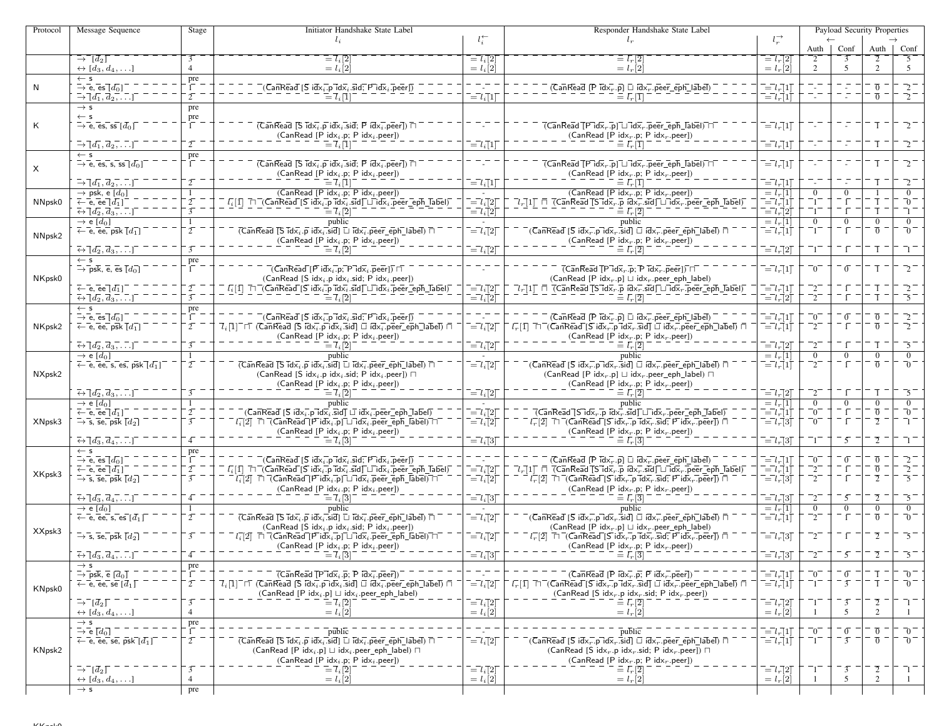| Protocol | Message Sequence                                                                                                    | Stage                            | Initiator Handshake State Label                                                                                                                                                                                                                                                                                                                                                                |                                                                                          | Responder Handshake State Label                                                                                                                                                                                                                                                                                                                                                                                                                       |                                                                                                  |                                 |                                  | Payload Security Properties        |                        |
|----------|---------------------------------------------------------------------------------------------------------------------|----------------------------------|------------------------------------------------------------------------------------------------------------------------------------------------------------------------------------------------------------------------------------------------------------------------------------------------------------------------------------------------------------------------------------------------|------------------------------------------------------------------------------------------|-------------------------------------------------------------------------------------------------------------------------------------------------------------------------------------------------------------------------------------------------------------------------------------------------------------------------------------------------------------------------------------------------------------------------------------------------------|--------------------------------------------------------------------------------------------------|---------------------------------|----------------------------------|------------------------------------|------------------------|
|          |                                                                                                                     |                                  | $l_i$                                                                                                                                                                                                                                                                                                                                                                                          | $l_i^{\leftarrow}$                                                                       | $l_{r}$                                                                                                                                                                                                                                                                                                                                                                                                                                               | $l_r^{\rightarrow}$                                                                              |                                 |                                  |                                    |                        |
|          | $\rightarrow$ $\lceil d_2 \rceil$                                                                                   |                                  | $= l_i [2]$                                                                                                                                                                                                                                                                                                                                                                                    | $\epsilon = l_i[2]$                                                                      | $= l_r  2 $                                                                                                                                                                                                                                                                                                                                                                                                                                           | $= l_r[2]$                                                                                       | Auth $\vert$                    | Conf                             | Auth                               | Conf<br>5              |
|          | $\leftrightarrow$ [d <sub>3</sub> , d <sub>4</sub> , ]                                                              | $\overline{4}$                   | $= l_i[2]$                                                                                                                                                                                                                                                                                                                                                                                     | $= l_i[2]$                                                                               | $= l_r[2]$                                                                                                                                                                                                                                                                                                                                                                                                                                            | $= l_r[2]$                                                                                       | 2                               | 5                                | $\overline{2}$                     | 5                      |
|          | $\leftarrow$ s                                                                                                      | $\frac{\text{pre}}{1}$ .         |                                                                                                                                                                                                                                                                                                                                                                                                |                                                                                          |                                                                                                                                                                                                                                                                                                                                                                                                                                                       |                                                                                                  |                                 |                                  |                                    |                        |
| N        | $\rightarrow$ e, es $[d_0]$                                                                                         |                                  | $\overline{C}$ an $\overline{\text{Read}}$ [ $\overline{S}$ id $\overline{x}_i$ .p $\overline{\text{Id}}\overline{x}_i$ .sid; $\overline{\text{P}}$ id $\overline{x}_i$ .peer])                                                                                                                                                                                                                |                                                                                          | $(\overline{Can}\overline{Real} \ [\overline{P} \ \overline{id} \overline{x_r} \ \cdot \overline{p}] \ \Box \ \overline{id} \overline{x_r} \ \cdot \overline{peer\_eph\_label})$                                                                                                                                                                                                                                                                      | $\bar{l} = l_r[1]$                                                                               |                                 |                                  | $\overline{0}$ .                   |                        |
|          | $\rightarrow \overline{[d_1, d_2, \ldots]}$                                                                         | $2^{-}$                          | $\mathsf{I} = \mathsf{I}_i \mathsf{I}$                                                                                                                                                                                                                                                                                                                                                         | $\bar{l} = l_i[1]$                                                                       | $\equiv \bar{l}_r$ [T]                                                                                                                                                                                                                                                                                                                                                                                                                                | $\bar{l} = l_r \dot{\bar{l}} 1 \dot{\bar{l}}$                                                    |                                 |                                  | $\overline{0}$ –                   | $\overline{2}^-$       |
|          | $\rightarrow$ s<br>$\leftarrow$ s                                                                                   | pre                              |                                                                                                                                                                                                                                                                                                                                                                                                |                                                                                          |                                                                                                                                                                                                                                                                                                                                                                                                                                                       |                                                                                                  |                                 |                                  |                                    |                        |
| K        | $\Rightarrow$ e, es, ss $[d_0]$                                                                                     | pre                              | $(\overline{\mathsf{Can}\mathsf{Real}} \ [\overline{\mathsf{S}} \ \overline{\mathsf{idx}}_i.\overline{\mathsf{p}} \ \mathsf{idx}_i.\overline{\mathsf{sid}}; \ \overline{\mathsf{P}} \ \mathsf{idx}_i.\overline{\mathsf{peer}}]) \ \overline{\sqcap}$                                                                                                                                           |                                                                                          | $\overline{(CanRead [P\,idx, p] \sqcup \overline{idx}, p}$ eer_eph_label) $\overline{\sqcap}$                                                                                                                                                                                                                                                                                                                                                         | $\bar{l} = l_r \bar{l}$                                                                          |                                 |                                  | T                                  | $\mathcal{L}^{-}$      |
|          |                                                                                                                     |                                  | $(CanRead [P idxi.p; P idxi.peer])$                                                                                                                                                                                                                                                                                                                                                            |                                                                                          | (CanRead [P idx <sub>r</sub> .p; P idx <sub>r</sub> .peer])                                                                                                                                                                                                                                                                                                                                                                                           |                                                                                                  |                                 |                                  |                                    |                        |
|          | $\rightarrow \lceil d_1, d_2, \ldots \rceil$                                                                        | $\overline{2}$                   | $= l_i[1]$                                                                                                                                                                                                                                                                                                                                                                                     | $\overline{=}l_i\overline{1}1$                                                           | $l_r[1]$                                                                                                                                                                                                                                                                                                                                                                                                                                              | $= l_r 1$                                                                                        |                                 | $\sim$                           | T                                  | $\sqrt{2}$             |
|          | $\leftarrow$ s                                                                                                      | pre                              |                                                                                                                                                                                                                                                                                                                                                                                                |                                                                                          |                                                                                                                                                                                                                                                                                                                                                                                                                                                       |                                                                                                  |                                 |                                  |                                    |                        |
| $\times$ | $\rightarrow$ e, es, s, ss $[d_0]$                                                                                  |                                  | $(CanRead)$ $S$ $idx_i$ , $p$ $idx_i$ , $sid$ ; $P$ $idx_i$ , $peer)$ $\Box$<br>$(CanRead [P idxi.p; P idxi.peer])$                                                                                                                                                                                                                                                                            |                                                                                          | $\overline{C}$ Can $\overline{\text{Real}}$ $\overline{CP}$ id $\overline{\text{x}}$ , $\overline{p}$ $\overline{C}$ id $\overline{\text{x}}$ , $\overline{p}$ eer $\overline{ep}$ h label) $\overline{C}$<br>$(CanRead [P idxr.p; P idxr.peer])$                                                                                                                                                                                                     | $\overline{l} = l_r \overline{l} 1 \overline{l}$                                                 |                                 |                                  | īΞ                                 |                        |
|          | $\rightarrow \lceil d_1, d_2, \ldots \rceil$                                                                        |                                  | $\bar{l} = \bar{l}_i  \bar{l} $                                                                                                                                                                                                                                                                                                                                                                | $\overline{=}l_i\overline{[}1\overline{]}$                                               | $\equiv l_r^{\dagger}[\overline{1}]$                                                                                                                                                                                                                                                                                                                                                                                                                  | $\overline{l} = l_r[1]$                                                                          |                                 | $\sim$                           | T                                  | $\frac{1}{2}$          |
|          | $\rightarrow$ psk, e [d <sub>0</sub> ]                                                                              | $\mathbf{1}$                     | (CanRead [P $idx_i$ .p; P $idx_i$ .peer])                                                                                                                                                                                                                                                                                                                                                      |                                                                                          | (CanRead [P idx <sub>r</sub> .p; P idx <sub>r</sub> .peer])                                                                                                                                                                                                                                                                                                                                                                                           | $= l_r[1]$                                                                                       | $\overline{0}$                  | $\overline{0}$                   |                                    | $\overline{0}$         |
| NNpsk0   | $\leftarrow$ e, ee $\left[d_1\right]$                                                                               | $2\overline{ }$                  | $L_i[1]$ $\Box$ (CanRead [S idx <sub>i</sub> p idx <sub>i</sub> sid] $\Box$ idx <sub>i</sub> peer_eph_label)                                                                                                                                                                                                                                                                                   | $\bar{l} = l_i [2]$                                                                      | $\lceil l_r \rceil$ 1 $\lceil$ $\lceil$ $\lceil$ $\lceil$ $\zeta$ $\lceil$ $\zeta$ $\lceil$ $\zeta$ $\lceil$ $\zeta$ $\lceil$ $\zeta$ $\lceil$ $\zeta$ $\lceil$ $\zeta$ $\lceil$ $\zeta$ $\lceil$ $\zeta$ $\lceil$ $\zeta$ $\lceil$ $\zeta$ $\lceil$ $\zeta$ $\lceil$ $\zeta$ $\lceil$ $\zeta$ $\lceil$ $\zeta$ $\lceil$ $\zeta$                                                                                                                      | $\overline{=}l_r\overline{\vec{}}1\overline{\vec{}}$                                             | $\overline{1}$                  |                                  |                                    | -0                     |
|          | $\overline{\leftrightarrow} \overline{[d_2, d_3, \ldots]}$                                                          | $\overline{3}$                   | $\overline{l} = \overline{l}_i \overline{[2]}$                                                                                                                                                                                                                                                                                                                                                 | $\vec{l} = l_i \vec{l}$                                                                  | $\equiv l_r[2]$                                                                                                                                                                                                                                                                                                                                                                                                                                       | $\overline{=}l_r\overline{2}\overline{1}$                                                        |                                 |                                  |                                    |                        |
|          | $\rightarrow$ e [d <sub>0</sub> ]<br>$\leftarrow$ e, ee, psk $\left[d_1\right]$                                     | $\mathbf{1}$<br>$\overline{2}$   | public<br>$\overline{(CanRead [S\,Idx_i.p\,idx_i.sid] \sqcup Idx_i.peer_eph\_label) \sqcap}$                                                                                                                                                                                                                                                                                                   | $\overline{a} = l_i [2]$                                                                 | public<br>$\bar{\mathsf{C}}$ (CanRead [S idx $_{r}$ .p̄idx $_{r}$ .s̄id] $\Box$ idx $_{r}^{-}$ .p̄eer_eph_lābel̄) $\bar{\mathsf{\Pi}}$                                                                                                                                                                                                                                                                                                                | $= l_r[1]$<br>$\bar{l} = l_r \bar{l}$                                                            | $\overline{0}$<br>-1.           | $\overline{0}$<br>- 1 T          | $\overline{0}$<br>$\overline{0}$   | $\overline{0}$<br>- 70 |
| NNpsk2   |                                                                                                                     |                                  | (CanRead [P $idx_i$ .p; P $idx_i$ .peer])                                                                                                                                                                                                                                                                                                                                                      |                                                                                          | $(CanRead [P idxr.p; P idxr.peer])$                                                                                                                                                                                                                                                                                                                                                                                                                   |                                                                                                  |                                 |                                  |                                    |                        |
|          | $\overline{\leftrightarrow} \overline{[d_2, d_3, \ldots]}$                                                          | $\overline{3}$                   | $= l_i[2]$                                                                                                                                                                                                                                                                                                                                                                                     | $\overline{=}l_i\overline{[}2\overline{]}$                                               | $= l_r[2]$                                                                                                                                                                                                                                                                                                                                                                                                                                            | $\overline{=}l_r[2]$                                                                             |                                 |                                  |                                    |                        |
|          | $\leftarrow$ s                                                                                                      | pre                              |                                                                                                                                                                                                                                                                                                                                                                                                |                                                                                          |                                                                                                                                                                                                                                                                                                                                                                                                                                                       |                                                                                                  |                                 |                                  |                                    |                        |
|          | $\rightarrow \bar{p}$ sk, e, es $\lceil d_0 \rceil$                                                                 |                                  | $\overline{\mathsf{C}}$ an $\mathsf{Read}\mathsf{F}$ idx, p; $\mathsf{P}\mathsf{idx}_i$ peer) $\overline{\mathsf{F}}$                                                                                                                                                                                                                                                                          |                                                                                          | $\overline{(CanRead [P\vec{1}dx, p; P\vec{1}dx, p\vec{1}dx)]}$                                                                                                                                                                                                                                                                                                                                                                                        | $\bar{l} = l_r \bar{l}$                                                                          | $\overline{0}$                  | $\sigma$                         | T                                  | $\bar{2}^-$            |
| NKpsk0   |                                                                                                                     |                                  | $(CanRead [S idxi.p idxi.sid; P idxi.peer])$                                                                                                                                                                                                                                                                                                                                                   |                                                                                          | $(CanRead [P idxr.p] \sqcup idxr.peer\_eph\_label)$                                                                                                                                                                                                                                                                                                                                                                                                   |                                                                                                  |                                 |                                  |                                    |                        |
|          | $\leftarrow$ e, ee $[d_1]$<br>$\overline{\leftrightarrow} \overline{[d_2, d_3, \ldots]}$                            | $\overline{2}$<br>$\overline{3}$ | $\overline{l_i}[\bar{1}]\ \ \overline{\sqcap}\ \overline{\mathsf{('Can}\ \mathsf{Read}\ \overline{\mathsf{[S}\ \mathsf{idx}_i.\mathsf{p}\ \mathsf{idx}_i.\mathsf{sid}\ \overline{\mathsf{[}}\ \sqcup\ \mathsf{idx}_i.\mathsf{peer\_eph\_Iabel})}}$<br>$\equiv l_i[2]$                                                                                                                          | $\overline{=}l_i\overline{[}2\overline{]}$<br>$\overline{=}l_i\overline{[}2\overline{]}$ | $\overline{l}_r[1]$ $\overline{\sqcap}$ $\overline{\zeta}$ CanRead $\overline{\zeta}$ S id $\overline{\mathsf{x}}_r$ . p $\overline{\mathsf{idx}}_r$ . sid $\overline{\sqcup}$ id $\overline{\mathsf{x}}_r$ . peer $\overline{\zeta}$ eph $\overline{\zeta}$ abel)<br>$\equiv l_r[2]$                                                                                                                                                                 | $= l_r[1]$<br>$\overline{=}l_r\overline{[}2\overline{]}$                                         | $^{-2}$<br>-2.                  |                                  |                                    | 2<br>-5                |
|          | $\leftarrow$ s                                                                                                      | pre                              |                                                                                                                                                                                                                                                                                                                                                                                                |                                                                                          |                                                                                                                                                                                                                                                                                                                                                                                                                                                       |                                                                                                  |                                 |                                  |                                    |                        |
|          | $\rightarrow$ e, es $\overline{d_0}$ ]                                                                              | $\Gamma$                         | $(\overline{\mathsf{Can}}\mathsf{Read}\overline{\mathsf{Is}}\overline{\mathsf{id}}\overline{\mathsf{x}_i}.\overline{\mathsf{p}\overline{\mathsf{id}}\mathsf{x}_i}.\overline{\mathsf{sid}}\overline{\mathsf{F}}\overline{\mathsf{id}}\overline{\mathsf{x}_i}.\overline{\mathsf{p}\mathsf{eer}}\overline{\mathsf{D}})$                                                                           |                                                                                          | $(\overline{\mathsf{Can}}\mathsf{Re}\mathsf{a}\overline{\mathsf{d}}\;[\overline{\mathsf{P}}\;\overline{\mathsf{id}}\overline{\mathsf{x}_r}.\overline{\mathsf{p}}]\;\overline{\sqcup}\;\overline{\mathsf{id}}\overline{\mathsf{x}_r}.\overline{\mathsf{peer\_eph\_label}})$                                                                                                                                                                            | $\overline{a} = l_r[1]$                                                                          | $\bar{0}^{-}$                   | $\overline{0}$                   | $\overline{0}$ .                   |                        |
| NKpsk2   | $\leftarrow$ e, ee, psk $\overline{[d_1]}$                                                                          | $\overline{2}$                   | $\overline{l}_i[1]$ $\sqcap$ (CanRead [S idx <sub>i</sub> .p idx <sub>i</sub> .sid] $\sqcup$ idx <sub>i</sub> .peer_eph_label) $\sqcap$                                                                                                                                                                                                                                                        | $\overline{=}l_i\overline{[}2\overline{]}$                                               | $l_r^-[1]$ $\Box$ (CanRead [S idx, p idx, sid] $\Box$ idx, peer_eph_label) $\Box$                                                                                                                                                                                                                                                                                                                                                                     | $\overline{=}l_r\overline{1}\overline{1}$                                                        | $^{-2}$                         | ΪĒ                               | $\overline{0}$                     | $\overline{2}$         |
|          |                                                                                                                     |                                  | $(CanRead [P idxi.p; P idxi.peer])$                                                                                                                                                                                                                                                                                                                                                            |                                                                                          | (CanRead [P idx <sub>r</sub> .p; P idx <sub>r</sub> .peer])                                                                                                                                                                                                                                                                                                                                                                                           |                                                                                                  |                                 |                                  |                                    |                        |
|          | $\overline{\leftrightarrow} \overline{d_2}, \overline{d_3}, \overline{\ldots}$<br>$\rightarrow$ e [d <sub>0</sub> ] | $\overline{3}$<br>-1             | $\equiv$ $\mathcal{I}_i$ $\lbrack 2 \rbrack$<br>public                                                                                                                                                                                                                                                                                                                                         | $\overline{a}$ = $\overline{l}$ <sub>i</sub> $\overline{a}$ ]                            | $\equiv \bar{l}_r[\bar{2}]$<br>public                                                                                                                                                                                                                                                                                                                                                                                                                 | $\overline{=}l_r\overline{]}2\overline{ }$<br>$= l_r[1]$                                         | -2.<br>$\overline{0}$           | $\overline{0}$                   | $\Omega$                           | -5<br>$\theta$         |
|          | $\leftarrow$ e, ee, s, es, psk $[d_1]$                                                                              | $\overline{2}$                   | $\overline{(CanRead \overline{[S\ idx_i, p\ idx_i].sid] \Box \overline{idx_i}.peer\_eph\_label)}$                                                                                                                                                                                                                                                                                              | $\overline{a} = l_i [2]$                                                                 | $\bar{C}$ anRead [S idx, p idx, sid] $\Box$ idx, peer_eph_label) $\bar{\Box}$                                                                                                                                                                                                                                                                                                                                                                         | $\overline{l} = l_r \overline{l}$                                                                | $^{-2}$                         |                                  | $\overline{0}$                     | -0                     |
| NXpsk2   |                                                                                                                     |                                  | (CanRead [S idx <sub>i</sub> .p idx <sub>i</sub> .sid; P idx <sub>i</sub> .peer]) $\Box$                                                                                                                                                                                                                                                                                                       |                                                                                          | (CanRead [P idx <sub>r</sub> .p] $\sqcup$ idx <sub>r</sub> .peer_eph_label) $\sqcap$                                                                                                                                                                                                                                                                                                                                                                  |                                                                                                  |                                 |                                  |                                    |                        |
|          |                                                                                                                     |                                  | $(CanRead [P idxi.p; P idxi.peer])$                                                                                                                                                                                                                                                                                                                                                            |                                                                                          | (CanRead [P idx <sub>r</sub> .p; P idx <sub>r</sub> .peer])                                                                                                                                                                                                                                                                                                                                                                                           |                                                                                                  |                                 |                                  |                                    |                        |
|          | $\overline{\leftrightarrow} \overline{[d_2, d_3, \ldots]}$                                                          |                                  | $\overline{l} = \overline{l}_i \overline{[2]}$                                                                                                                                                                                                                                                                                                                                                 | $\overline{a} = l_i [2]$                                                                 | $\equiv l_r[2]$                                                                                                                                                                                                                                                                                                                                                                                                                                       | $\overline{l} = l_r \overline{2}$                                                                | $\mathcal{L}$                   |                                  | T                                  | 5                      |
|          | $\rightarrow$ e [d <sub>0</sub> ]<br>$\overline{\leftarrow}$ e, ee $[d_1]$                                          | $2^{-}$                          | public<br>$\bar{C}$ (CanRead [S idx $\bar{i}$ .p $\bar{d}$ d $\bar{x}_i$ .sid] $\Box$ idx $\bar{i}$ .peer_eph_label)                                                                                                                                                                                                                                                                           | $\bar{l} = l_i [2]$                                                                      | public<br>$\overline{(CanReadT5idx_r.p\,idx_r.sizeJ}$ $\overline{Idx_r}$ . $\overline{sid}$ $\overline{Li}dx_r$ . $\overline{peer\_eph\_Label}$                                                                                                                                                                                                                                                                                                       | $= l_r[1]$<br>$\bar{l} = l_r \bar{l}$                                                            | $\overline{0}$<br>$\bar{0}^{-}$ | $\overline{0}$                   | $\overline{0}$<br>$\overline{0}$   | $\overline{0}$<br>- 70 |
| XNpsk3   | $\rightarrow$ s, se, psk $\lceil d_2 \rceil$                                                                        | $\overline{3}$                   | $\overline{l_i[2]}$ $\overline{\sqcap}$ $\overline{\mathsf{C}}$ an $\overline{\mathsf{Read}}$ $\overline{\mathsf{[Pidx_i[p] \sqcup idx_i, peer\_eph\_label)} \sqcap \mathsf{[Pidx_i, P]}}$                                                                                                                                                                                                     | $\overline{=} \overline{l}_i \overline{[}2\overline{]}$                                  | $l_r^{-}[2]$ $\Box$ (CanRead $[\overline{S}$ idx <sub>r</sub> .p $\overline{id}$ x <sub>r</sub> .sid; P idx <sub>r</sub> .peer]) $\Box$                                                                                                                                                                                                                                                                                                               | $\bar{l} = l_r \bar{l}3\bar{l}$                                                                  | $\bar{0}^{-}$                   | - 1                              | $\overline{2}$                     |                        |
|          |                                                                                                                     |                                  | $(CanRead [P idxi.p; P idxi.peer])$                                                                                                                                                                                                                                                                                                                                                            |                                                                                          | (CanRead [P $idxr$ .p; P $idxr$ .peer])                                                                                                                                                                                                                                                                                                                                                                                                               |                                                                                                  |                                 |                                  |                                    |                        |
|          | $\overline{\leftrightarrow} \overline{[d_3, d_4, \ldots]}$                                                          |                                  | $\bar{l} = \bar{l}_i[3]$                                                                                                                                                                                                                                                                                                                                                                       | $\bar{l} = \bar{l}_i[3]$                                                                 |                                                                                                                                                                                                                                                                                                                                                                                                                                                       | $\bar{l} = l_r \bar{3}$                                                                          | $^-1^-$                         | $\overline{5}$                   | $\overline{2}$ –                   | ⊤ ד                    |
|          | $\leftarrow$ s                                                                                                      | pre                              |                                                                                                                                                                                                                                                                                                                                                                                                |                                                                                          |                                                                                                                                                                                                                                                                                                                                                                                                                                                       |                                                                                                  |                                 |                                  |                                    |                        |
|          | $\overline{\rightarrow}$ e, es $\overline{[d_0]}$<br>$\leftarrow$ e, ee $\lceil d_1 \rceil$                         | $\overline{2}$                   | $\overline{C}$ anRead $[\overline{S}$ idx <sub>i</sub> .p <sup>-1</sup> dx <sub>i</sub> .sid; P <sup>-1</sup> dx <sub>i</sub> .peer])<br>$\overline{l_i}$ [1] $\overline{\Box}$ (CanRead Sidx <sub>i</sub> , p $\overline{\mathrm{idx}}$ , sid $\overline{\Box}$ idx <sub>i</sub> , peer eph Tabel)                                                                                            |                                                                                          | $(\overline{\mathsf{Can}\mathsf{Real}} [\overline{\mathsf{P}}\ \overline{\mathsf{idx}_r}.\overline{\mathsf{p}}] \sqcup \overline{\mathsf{idx}_r}.\overline{\mathsf{peer\_eph\_label}})$<br>$\overline{l}_r[1]$ $\overline{\Box}$ $\overline{\Box}$ CanRead $\overline{\Box}$ S $\overline{\Box}$ d $\overline{\times}_r$ . $\overline{\overline{\Box}}$ d $\overline{\Box}$ $\overline{\Box}$ d $\overline{\times}_r$ . peer_eph_label)               | $\overline{=}l_r\overline{[1]}$<br>$\overline{l} = l_r \overline{l}$                             | $^-0^-$<br>$^{-2}$              | $\bar{0}$                        | $\overline{0}$<br>$\overline{0}$   | $\bar{2}$              |
| XKpsk3   | $\rightarrow$ s, se, psk $\lceil d_2 \rceil$                                                                        | $\overline{3}$                   | $\overline{l_i[2]}$ $\overline{\sqcap}$ $\overline{\mathsf{(\mathsf{Can}\mathsf{Read}\mathsf{[P\mathsf{idx}_i\mathsf{.p}]\mathsf{L}Idx_i\mathsf{.p}\mathsf{eer}\mathsf{.eph}\mathsf{.[a\mathsf{bel}]}\mathsf{[n-1]}}$                                                                                                                                                                          | $\begin{array}{c}\n= l_i[2] \\ = l_i[2]\n\end{array}$                                    | $l_r^{-}[2]$ $\Box$ (CanRead [S idx <sub>r</sub> p $\overline{\text{Idx}}_r$ sid; P idx <sub>r</sub> peer]) $\Box$                                                                                                                                                                                                                                                                                                                                    | $\bar{l} = l_r \bar{l}3\bar{l}$                                                                  | -2.                             |                                  |                                    | -51                    |
|          |                                                                                                                     |                                  | $(CanRead [P idxi.p; P idxi.peer])$                                                                                                                                                                                                                                                                                                                                                            |                                                                                          | $(CanRead [P idxr.p; P idxr.peer])$                                                                                                                                                                                                                                                                                                                                                                                                                   |                                                                                                  |                                 |                                  |                                    |                        |
|          | $\overline{\leftrightarrow} \overline{[d_3, d_4, \ldots]}$                                                          |                                  | $\equiv l_i[3]$                                                                                                                                                                                                                                                                                                                                                                                | $\overline{a} = l_i \overline{a}$                                                        | $= l_r 3$                                                                                                                                                                                                                                                                                                                                                                                                                                             | $\overline{=}l_r\overline{3}$                                                                    | $^{-2}$                         | $\overline{5}$                   | $\overline{2}$ -                   | $\overline{5}$         |
|          | $\rightarrow$ e $[d_0]$                                                                                             | -1<br>$\overline{2}$             | public                                                                                                                                                                                                                                                                                                                                                                                         | n.                                                                                       | public<br>$\bar{C}$ (CanRead [S idx $_{r}$ .p idx $_{r}$ .sid] $\bar{\sqcup}$ idx $_{r}$ .peer_eph_label) $\bar{\sqcap}$                                                                                                                                                                                                                                                                                                                              | $= l_r[1]$                                                                                       | $\overline{0}$                  | $\overline{0}$<br>- 1            | $\overline{0}$<br>$\overline{0}$ – | $\overline{0}$<br>- 70 |
|          | $\leftarrow$ e, ee, s, es $[d_1]$                                                                                   |                                  | $\overline{(CanRead [S\,Idx_i.p\,idx_i.sid] \sqcup Idx_i.peer_eph\_label) \sqcap}$<br>(CanRead [S $idx_i$ .p $idx_i$ .sid; P $idx_i$ .peer])                                                                                                                                                                                                                                                   | $\overline{a} = l_i [2]$                                                                 | $(CanRead [P idx, p] \sqcup idx, peer\_eph\_label)$                                                                                                                                                                                                                                                                                                                                                                                                   | $\overline{=}l_{r}\left 1\right $                                                                | $^{-2}$                         |                                  |                                    |                        |
| XXpsk3   | $\overline{\rightarrow}$ s, se, psk $\overline{[d_2]}$                                                              | $\overline{3}$                   | $l_i[2] \ \sqcap \ \bar{\big}$ (CanRead [P idx <sub>i</sub> p] $\sqcup \bar{\exists}$ dx <sub>i</sub> peer_eph_label) $\sqcap$                                                                                                                                                                                                                                                                 | $\overline{\phantom{a}} = l_i [2]$                                                       | $\overline{L_r}[2]$ $\overline{\Box}$ $\overline{\Box}$ $\overline{\Box}$ $\overline{\Box}$ $\overline{\Box}$ $\overline{\Box}$ $\overline{\Box}$ $\overline{\Box}$ $\overline{\Box}$ $\overline{\Box}$ $\overline{\Box}$ $\overline{\Box}$ $\overline{\Box}$ $\overline{\Box}$ $\overline{\Box}$ $\overline{\Box}$ $\overline{\Box}$ $\overline{\Box}$ $\overline{\Box}$ $\overline{\Box}$ $\overline{\Box}$ $\overline{\Box}$ $\overline{\Box}$ $\$ | $\overline{=}l_r[3]$                                                                             | $^{-2}$                         |                                  | $\overline{2}$                     | -5                     |
|          |                                                                                                                     |                                  | $(CanRead [P idxi.p; P idxi.peer])$                                                                                                                                                                                                                                                                                                                                                            |                                                                                          | $(CanRead [P idxr.p; P idxr.peer])$                                                                                                                                                                                                                                                                                                                                                                                                                   |                                                                                                  |                                 |                                  |                                    |                        |
|          | $\overline{\leftrightarrow}$ $\overline{[d_3, d_4, \ldots]}$                                                        |                                  | $-\iota_i\cup$                                                                                                                                                                                                                                                                                                                                                                                 | $\bar{l} = l_i \bar{l} 3$                                                                | $-\iota_r\omega$                                                                                                                                                                                                                                                                                                                                                                                                                                      | $\equiv l_r[3]$                                                                                  |                                 |                                  |                                    |                        |
|          | $\rightarrow$ s                                                                                                     | $\frac{\text{pre}}{1}$           |                                                                                                                                                                                                                                                                                                                                                                                                |                                                                                          | $(\overline{Can}\overline{Read}   \overline{P} idx_{r} \overline{p}; \overline{P} idx_{r} \overline{p}$                                                                                                                                                                                                                                                                                                                                               |                                                                                                  |                                 |                                  |                                    | $\overline{0}$         |
|          | $\rightarrow$ psk, e $\lceil d_0 \rceil$<br>$\leftarrow$ e, ee, se $[\bar{d}_1]$                                    | $\overline{2}$                   | $\overline{(CanReadTPidx_i.p; Pidx_i.peer)})$<br>$\overline{l}_i$ $\overline{1}\overline{l}$ $\overline{l}$ $\overline{l}$ $\overline{l}$ $\overline{C}$ an Read $\overline{l}$ $\overline{S}$ $\overline{idx}_i$ $\overline{p}$ idx, $\overline{sid}$ $\overline{l}$ $\overline{id}$ $\overline{idx}_i$ $\overline{p}$ peer $\overline{eph}$ $\overline{label}$ $\overline{l}$ $\overline{l}$ | $\bar{l} = l_i [2]$                                                                      | $\overline{l}_r[1]$ $\overline{\sqcap}$ $\overline{\sqcap}$ $\overline{\sqcap}$ $\overline{\sqcap}$ $\overline{\mathsf{Read}}$ $\overline{\sqcap}$ $\overline{\mathsf{id}}$ $\overline{\mathsf{x}}_r$ $\overline{\mathsf{ind}}$ $\overline{\mathsf{x}}_r$ $\overline{\mathsf{side}}$ $\overline{\mathsf{ind}}$ $\overline{\mathsf{x}}_r$ $\overline{\mathsf{Dec}}$ $\overline{\mathsf{eph}}$ $\overline{\mathsf{label}}$ $\overline{\sqcap}$          | $\overline{=}l_r\overline{]}1\overline{]}$<br>$\overline{ \ } = \overline{l}_r \vec{[}1 \vec{]}$ | $\overline{0}$                  | $\overline{0}$<br>$\overline{3}$ |                                    | $\overline{0}$         |
| KNpsk0   |                                                                                                                     |                                  | $(CanRead [P idxi.p] \sqcup idxi.peer\_eph\_label)$                                                                                                                                                                                                                                                                                                                                            |                                                                                          | (CanRead [S idx <sub>r</sub> .p idx <sub>r</sub> .sid; P idx <sub>r</sub> .peer])                                                                                                                                                                                                                                                                                                                                                                     |                                                                                                  |                                 |                                  |                                    |                        |
|          | $\bar{\rightarrow} \bar{d}_2$                                                                                       | $\overline{3}$                   | $\bar{l} = \bar{l}_i \bar{[}2 \bar{]}$                                                                                                                                                                                                                                                                                                                                                         | $\overline{=}l_i\overline{[}2\overline{]}$                                               | $\equiv \bar{l}_r[\bar{2}]$                                                                                                                                                                                                                                                                                                                                                                                                                           | $\bar{l} = l_r[2]$                                                                               |                                 | $\overline{3}$                   | $\overline{2}$                     |                        |
|          | $\leftrightarrow$ [d <sub>3</sub> , d <sub>4</sub> , ]                                                              | $\overline{4}$                   | $= l_i[2]$                                                                                                                                                                                                                                                                                                                                                                                     | $= l_i [2]$                                                                              | $= l_r \dot{2}$                                                                                                                                                                                                                                                                                                                                                                                                                                       | $= l_r[2]$                                                                                       |                                 | 5                                | $\overline{2}$                     |                        |
|          | $\rightarrow$ s                                                                                                     | $\frac{pre}{1}$                  |                                                                                                                                                                                                                                                                                                                                                                                                |                                                                                          |                                                                                                                                                                                                                                                                                                                                                                                                                                                       |                                                                                                  |                                 | $\sigma$                         |                                    | - 0                    |
|          | $\rightarrow$ e $[d_0]$<br>$\leftarrow$ e, ee, se, psk $[d_1]$                                                      | $\overline{2}$                   | $\overline{public}$<br>$\overline{(CanRead \overline{S} idx_i, p idx_i.sid)} \overline{L} idx_i. peer\_eph\_label) \overline{\cap}$                                                                                                                                                                                                                                                            | $\overline{a} = l_i [2]$                                                                 | $\bar{p}$ ublic<br>$\overline{G}$ anRead $\overline{S}$ idx <sub>r</sub> .p idx <sub>r</sub> .sid] $\overline{\Box}$ idx <sub>r</sub> .peer_eph_label) $\overline{\Box}$                                                                                                                                                                                                                                                                              | $\bar{l} = l_r \bar{l}$<br>$\overline{=}l_r\overline{1}\overline{1}$                             | -0                              | $\overline{3}$                   | $\overline{0}$<br>$\overline{0}$   | - 0                    |
| KNpsk2   |                                                                                                                     |                                  | $(CanRead [P idxi.p] \sqcup idxi.peer\_eph\_label) \sqcap$                                                                                                                                                                                                                                                                                                                                     |                                                                                          | (CanRead [S idx <sub>r</sub> .p idx <sub>r</sub> .sid; P idx <sub>r</sub> .peer]) $\Box$                                                                                                                                                                                                                                                                                                                                                              |                                                                                                  |                                 |                                  |                                    |                        |
|          |                                                                                                                     |                                  | $(CanRead [P idxi.p; P idxi.peer])$                                                                                                                                                                                                                                                                                                                                                            |                                                                                          | (CanRead [P idx <sub>r</sub> .p; P idx <sub>r</sub> .peer])                                                                                                                                                                                                                                                                                                                                                                                           |                                                                                                  |                                 |                                  |                                    |                        |
|          | $\rightarrow^ \left[\overline{d}_2\right]$                                                                          | $\overline{3}$                   | $\bar{=}$ $\bar{l}_i$ $[2]$                                                                                                                                                                                                                                                                                                                                                                    | $\bar{l} = l_i [2]$                                                                      | $\equiv \bar{l}_r[\bar{2}]$                                                                                                                                                                                                                                                                                                                                                                                                                           | $\bar{l} = l_r[2]$                                                                               |                                 | $-\overline{3}$                  | $\overline{2}$                     |                        |
|          | $\leftrightarrow [d_3, d_4, \ldots]$<br>$\rightarrow$ s                                                             | $\overline{4}$                   | $= l_i[2]$                                                                                                                                                                                                                                                                                                                                                                                     | $= l_i [2]$                                                                              | $= l_r[2]$                                                                                                                                                                                                                                                                                                                                                                                                                                            | $= l_r[2]$                                                                                       |                                 | 5                                | 2                                  |                        |
|          |                                                                                                                     | pre                              |                                                                                                                                                                                                                                                                                                                                                                                                |                                                                                          |                                                                                                                                                                                                                                                                                                                                                                                                                                                       |                                                                                                  |                                 |                                  |                                    |                        |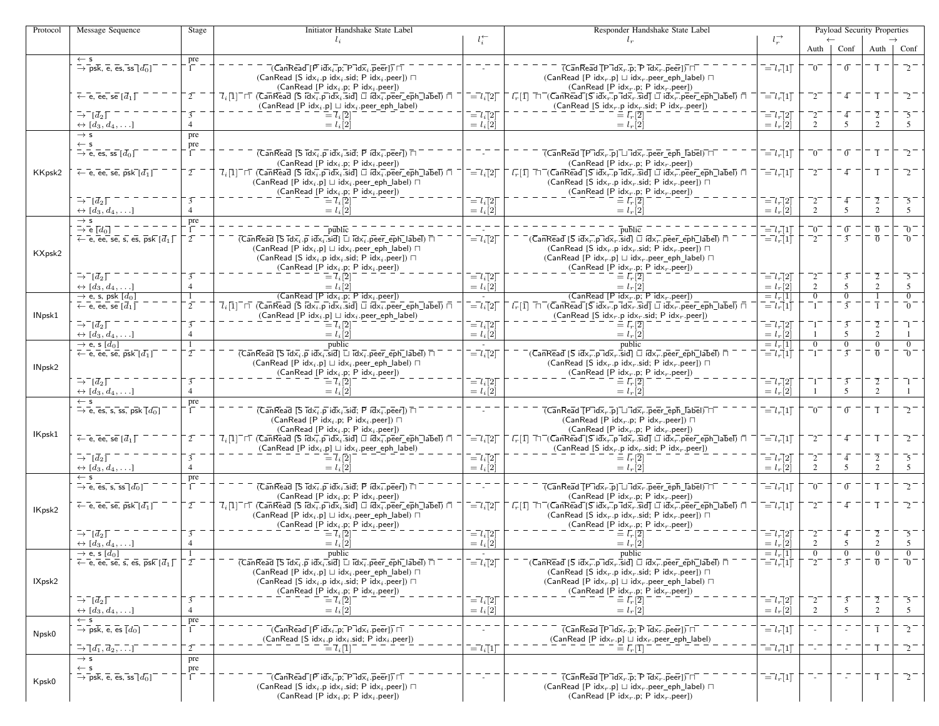| Protocol | Message Sequence                                                                          | Stage                    | Initiator Handshake State Label                                                                                                                                                                                                     |                                            | Responder Handshake State Label                                                                                                                                                                                                             |                                                       |                     | Payload Security Properties |                |                |
|----------|-------------------------------------------------------------------------------------------|--------------------------|-------------------------------------------------------------------------------------------------------------------------------------------------------------------------------------------------------------------------------------|--------------------------------------------|---------------------------------------------------------------------------------------------------------------------------------------------------------------------------------------------------------------------------------------------|-------------------------------------------------------|---------------------|-----------------------------|----------------|----------------|
|          |                                                                                           |                          | $l_i$                                                                                                                                                                                                                               | $l_i^+$                                    | $1 -$                                                                                                                                                                                                                                       | $l_{r}^{\rightarrow}$                                 | Auth                | Conf                        | Auth           | Conf           |
|          | $\leftarrow$ s                                                                            | pre                      |                                                                                                                                                                                                                                     |                                            |                                                                                                                                                                                                                                             |                                                       |                     |                             |                |                |
|          | $\rightarrow$ psk, e, es, ss $\lceil d_0 \rceil$                                          | $\Gamma$                 | $\overline{C}$ an $\overline{\text{Real}}$ $\overline{[P \text{ id} \times_i]p}$ ; $\overline{P \text{ id} \times_i]p}$ eer $\overline{[P \text{ id} \times_i]p}$                                                                   |                                            | $\overline{(CanReadTPidx_r.p; Pidx_r.pecr)})$                                                                                                                                                                                               | $\overline{=}l_r[1]$                                  | $\bar{0}^{-}$       | $\overline{0}$              |                |                |
|          |                                                                                           |                          | (CanRead [S idx <sub>i</sub> .p idx <sub>i</sub> .sid; P idx <sub>i</sub> .peer]) $\Box$                                                                                                                                            |                                            | (CanRead [P idx, p] $\sqcup$ idx, peer_eph_label) $\sqcap$                                                                                                                                                                                  |                                                       |                     |                             |                |                |
|          | $\overline{\leftarrow}$ e, ee, se $\overline{d}_1\overline{L}$                            | $\overline{2}$           | $(CanRead [P idxi.p; P idxi.peer])$<br>$7,1$ $\Box$ (CanRead S $\overline{idx}_i$ p $\overline{idx}_i$ sid) $\Box$ $\overline{idx}_i$ peer eph $\Box$ abel) $\Box$                                                                  | $\bar{l} = \bar{l}_i[2]$                   | (CanRead [P idx <sub>r</sub> .p; P idx <sub>r</sub> .peer])<br>$\bar{l}_r[1]$ $\bar{\sqcap}\bar{\sqcap}$ (CanRead [S idx $_{r}$ .p id $\bar{\mathsf{x}}_{r}$ .sid] $\bar{\sqcup}$ id $\bar{\mathsf{x}}_{r}$ .peer_eph_label) $\bar{\sqcap}$ | $\overline{=}l_r\overline{1}\overline{1}$             | $^{-2}$             | $-4$                        |                | 7.             |
|          |                                                                                           |                          | $(CanRead [P idxi.p] \sqcup idxi.peer\_eph\_label)$                                                                                                                                                                                 |                                            | (CanRead [S $idx_r.p$ $idx_r$ sid; P $idx_r.p$ eer])                                                                                                                                                                                        |                                                       |                     |                             |                |                |
|          | $\rightarrow$ $\bar{d}_2$                                                                 | $\overline{3}$           | $\overline{=}$ $\overline{l}_i$ [2]                                                                                                                                                                                                 | $\bar{l} = l_i[2]$                         | $\equiv l_r[2]$                                                                                                                                                                                                                             | $\begin{array}{c}\n= l_r[2] \\ = l_r[2]\n\end{array}$ |                     | 4                           |                |                |
|          | $\leftrightarrow [d_3, d_4, \ldots]$<br>$\rightarrow$ s                                   | $\overline{4}$           | $= l_i[2]$                                                                                                                                                                                                                          | $= l_i[2]$                                 | $= l_r[2]$                                                                                                                                                                                                                                  |                                                       | $\mathcal{L}$       | 5                           | $\overline{2}$ | .5             |
|          | $\leftarrow$ s                                                                            | pre                      |                                                                                                                                                                                                                                     |                                            |                                                                                                                                                                                                                                             |                                                       |                     |                             |                |                |
|          | $\rightarrow$ e, es, ss $[\bar{d}_0]$                                                     | $\frac{\text{pre}}{1}$ . | $(\overline{CanRead} \, \overline{[S \, idx_i, p \, idx_i, sid]}$ ; $\overline{P} \, idx_i, \overline{peer}]) \, \overline{\cap}$                                                                                                   |                                            | $\overline{(CanReadTPidx_r.p] \sqcup idx_r, peer}$ eph label) $\Box$                                                                                                                                                                        | $\overline{=}l_r[1]$                                  | $\bar{0}^{-}$       | $\overline{0}$              |                |                |
|          |                                                                                           | $\overline{2}$           | (CanRead [P $idx_i$ .p; P $idx_i$ .peer])                                                                                                                                                                                           |                                            | (CanRead [P idx <sub>r</sub> .p; P idx <sub>r</sub> .peer])<br>$\overline{l}_r[1]$ $\overline{\Box}$ (CanRead S idx, p idx, sid $\Box$ idx, peer eph label) $\overline{\Box}$                                                               |                                                       |                     | 4                           |                |                |
| KKpsk2   | $\leftarrow$ e, ee, se, psk $[d_1]$                                                       |                          | $7_i[1]$ <sup><math>-</math></sup> $\sqcap$ (CanRead [S idx <sub>i</sub> , p idx <sub>i</sub> , sid] $\sqcup$ idx <sub>i</sub> , peer_eph_label) $\sqcap$<br>$(CanRead [P idxi.p] \sqcup idxi.peer\_eph\_label) \sqcap$             | $\bar{l} = l_i \bar{l} 2 \bar{l}$          | (CanRead [S idx <sub>r</sub> .p idx <sub>r</sub> .sid; P idx <sub>r</sub> .peer]) $\Box$                                                                                                                                                    | $\overline{=}l_r\overline{]}1\overline{]}$            |                     |                             |                |                |
|          |                                                                                           |                          | $(CanRead [P idxi.p; P idxi.peer])$                                                                                                                                                                                                 |                                            | (CanRead [P idx <sub>r</sub> .p; P idx <sub>r</sub> .peer])                                                                                                                                                                                 |                                                       |                     |                             |                |                |
|          | $\overline{\rightarrow} \overline{\phantom{a}}$ $\overline{d}_2$ $\overline{\phantom{a}}$ | $\overline{3}$           | $\bar{l} = \bar{l}_i [2]$                                                                                                                                                                                                           | $\bar{l} = l_i [2]$                        | $\equiv \bar{l}_r[\bar{2}]$                                                                                                                                                                                                                 | $\begin{array}{c}\n= l_r[2] \\ = l_r[2]\n\end{array}$ | $^{-2}$             | $\overline{4}$              | $\overline{2}$ |                |
|          | $\leftrightarrow [d_3, d_4, \ldots]$<br>$\rightarrow$ s                                   | $\overline{4}$           | $= l_i[2]$                                                                                                                                                                                                                          | $= l_i[2]$                                 | $= l_r[2]$                                                                                                                                                                                                                                  |                                                       | 2                   | 5                           | $\overline{2}$ | 5              |
|          | $\rightarrow$ e $\lbrack d_0 \rbrack$                                                     | pre                      | public                                                                                                                                                                                                                              |                                            | public                                                                                                                                                                                                                                      | $\overline{=}l_r\overline{]}1\overline{]}$            | $\bar{0}$           | $\overline{0}$              | $\overline{0}$ | $\bar{0}^-$    |
|          | $\leftarrow$ e, ee, se, s, es, psk $\left[\overline{d}_1\right]$                          | $\overline{2}$           | $\overline{(CanRead \overline{Is} \overline{id} \overline{x_i} \cdot \overline{p} \overline{id} \overline{x_i} \cdot \overline{sid}]} \square \overline{id} \overline{x_i} \cdot \overline{peer\_eph\_label}$                       | $\overline{a} = l_i [2]$                   | $\overline{G}$ anRead [S idx, p idx, sid] $\Box$ idx, peer_eph_label) $\Box$                                                                                                                                                                | $\vec{l} = \vec{l}_r \vec{v}$                         | $^{-2}$             | $\overline{3}$              | $\overline{0}$ | $\overline{0}$ |
| KXpsk2   |                                                                                           |                          | $(CanRead [P idxi.p] \sqcup idxi.peer\_eph\_label) \sqcap$                                                                                                                                                                          |                                            | (CanRead [S idx <sub>r</sub> .p idx <sub>r</sub> .sid; P idx <sub>r</sub> .peer]) $\Box$                                                                                                                                                    |                                                       |                     |                             |                |                |
|          |                                                                                           |                          | (CanRead [S idx <sub>i</sub> .p idx <sub>i</sub> .sid; P idx <sub>i</sub> .peer]) $\Box$<br>(CanRead [P $idx_i$ .p; P $idx_i$ .peer])                                                                                               |                                            | (CanRead [P idx <sub>r</sub> .p] $\sqcup$ idx <sub>r</sub> .peer_eph_label) $\sqcap$<br>(CanRead [P idx <sub>r</sub> .p; P idx <sub>r</sub> .peer])                                                                                         |                                                       |                     |                             |                |                |
|          | $\bar{\rightarrow}^{\bar{-}}[\bar{d}_2]$                                                  |                          |                                                                                                                                                                                                                                     | $\bar{l} = l_i[2]$                         | $\equiv l_r[2]$                                                                                                                                                                                                                             | $\overline{=}l_r\overline{[}2\overline{]}$            |                     | $\overline{3}$              |                | $\overline{5}$ |
|          | $\leftrightarrow [d_3, d_4, \ldots]$                                                      | $\overline{4}$           | $= l_i \, \lbrack 2 \rbrack$                                                                                                                                                                                                        | $= l_i[2]$                                 | $= l_r[2]$                                                                                                                                                                                                                                  | $= l_r[2]$                                            | $\overline{2}$      | 5                           | $\mathbf{2}$   | 5              |
|          | $\rightarrow$ e, s, psk $[d_0]$                                                           | $\mathbf{1}$             | $\overline{(CanRead [P idx_i.p; P idx_i.peer])}$                                                                                                                                                                                    | $\sim$                                     | (CanRead [P $idxr$ .p; P $idxr$ .peer])                                                                                                                                                                                                     | $\frac{= l_r[1]}{= l_r[1]}$                           | $\overline{0}$      | $\overline{0}$              |                | $\overline{0}$ |
| INpsk1   | $\leftarrow$ e, ee, se $\left[\overline{d}_1\right]$                                      | $\overline{2}$           | $\overline{I}_i[1]^\top$ $\sqcap$ (CanRead [S id $\overline{\mathsf{x}_i}$ .p id $\overline{\mathsf{x}_i}$ .sid] $\Box$ id $\overline{\mathsf{x}_i}$ .peer_eph_label) $\Box$<br>$(CanRead [P idxi.p] \sqcup idxi.peer\_eph\_label)$ | $\bar{l} = l_i[2]$                         | $l_r$ [1] $\Box$ (CanRead [S idx, p idx, sid] $\Box$ idx, peer_eph_label) $\Box$<br>(CanRead [S idx <sub>r</sub> .p idx <sub>r</sub> .sid; P idx <sub>r</sub> .peer])                                                                       |                                                       | -1.                 | $\overline{3}$              |                |                |
|          | $\bar{\rightarrow} \bar{d}_2$                                                             | $\overline{3}$           | $=$ $\overline{l}_i$ $\overline{2}$                                                                                                                                                                                                 | $\bar{l} = l_i[2]$                         |                                                                                                                                                                                                                                             | $\overline{=}l_r\overline{]}2\overline{]}$            |                     | $\overline{3}$              |                |                |
|          | $\leftrightarrow [d_3, d_4, \ldots]$                                                      | $\overline{4}$           | $= l_i \overline{2}$                                                                                                                                                                                                                | $= l_i [2]$                                | $= l_r \dot{2}$                                                                                                                                                                                                                             | $= l_r \dot{2}$                                       |                     | 5                           | $\overline{2}$ |                |
|          | $\rightarrow$ e, s [d <sub>0</sub> ]                                                      | -1                       | public                                                                                                                                                                                                                              |                                            | public                                                                                                                                                                                                                                      | $= l_r[1]$                                            | $\overline{0}$      | $\overline{0}$              | $\overline{0}$ |                |
|          | $\overline{\leftarrow}$ e, ee, se, psk $[d_1]$                                            | $2^{-}$                  | $\overline{(CanRead [S\,Id\overline{x_i}.\overline{p} id\overline{x_i}.\overline{sid}]\Box id\overline{x_i}.\overline{peer\_eph\_label})\ \overline{\Box}}$                                                                         | $\overline{=}l_i\overline{[}2\overline{]}$ | $\bar{\mathsf{C}}$ (CanRead [S idx $_{r}$ .p id $\bar{\mathsf{x}}_{r}$ .sid] $\Box$ idx $_{r}^{-}$ .peer_eph_label) $\bar{\Box}$                                                                                                            | $\vec{l} = l_r \vec{u}$                               |                     | $\overline{3}$              | $\overline{0}$ |                |
| INpsk2   |                                                                                           |                          | (CanRead [P idx <sub>i</sub> .p] $\sqcup$ idx <sub>i</sub> .peer_eph_label) $\sqcap$<br>(CanRead [P $idx_i$ .p; P $idx_i$ .peer])                                                                                                   |                                            | (CanRead [S idx <sub>r</sub> .p idx <sub>r</sub> .sid; P idx <sub>r</sub> .peer]) $\Box$<br>(CanRead [P idx <sub>r</sub> .p; P idx <sub>r</sub> .peer])                                                                                     |                                                       |                     |                             |                |                |
|          | $\bar{\rightarrow}^-[d_2]$                                                                | ī                        |                                                                                                                                                                                                                                     | $\bar{l} = l_i[2]$                         |                                                                                                                                                                                                                                             | $\bar{l} = l_r \bar{l}$                               |                     | $\overline{3}$              |                |                |
|          | $\leftrightarrow [d_3, d_4, \ldots]$                                                      | $\overline{4}$           | $= l_i [2]$                                                                                                                                                                                                                         | $= l_i[2]$                                 | $= l_r \dot{2}$                                                                                                                                                                                                                             | $= l_r \dot{2}$                                       |                     | 5                           | $\overline{2}$ |                |
|          | $\leftarrow$ s                                                                            | pre<br>$\overline{1}$    |                                                                                                                                                                                                                                     |                                            |                                                                                                                                                                                                                                             |                                                       |                     |                             |                |                |
|          | $\rightarrow$ e, es, s, ss, psk $\overline{[d_0]}$                                        |                          | $(\overline{CanRead} \, \overline{[S \, idx_i, p \, idx_i, sid]}$ ; $\overline{P} \, idx_i \, \overline{p}$ eer $\overline{I}) \, \overline{\Box}$<br>(CanRead [P idx <sub>i</sub> .p; P idx <sub>i</sub> .peer]) $\Box$            |                                            | $\overline{(CanRead [P idx, p] \sqcup idx, ]}$ peer_eph_label) $\sqcap$<br>(CanRead [P idx <sub>r</sub> .p; P idx <sub>r</sub> .peer]) $\Box$                                                                                               | $\overline{=}l_r\overline{1}1\overline{1}$            | $\bar{0}^{-}$       | $\overline{0}$              |                |                |
|          |                                                                                           |                          | $(CanRead [P idxi.p; P idxi.peer])$                                                                                                                                                                                                 |                                            | (CanRead [P $idxr$ .p; P $idxr$ .peer])                                                                                                                                                                                                     |                                                       |                     |                             |                |                |
| IKpsk1   | $\overline{\leftarrow}$ e, ee, se $[\overline{d}_1]$                                      | $2^{-}$                  | $\overline{l}_i[1]$ $\sqcap$ (CanRead [S idx <sub>i</sub> .p idx <sub>i</sub> .sid] $\Box$ idx <sub>i</sub> .peer_eph_label) $\Box$                                                                                                 | $\overline{=}l_i\overline{[}2\overline{]}$ | $\bar{l}_r[1]$ $\Box$ (CanRead [S idx <sub>r</sub> .p idx <sub>r</sub> .sid] $\Box$ idx <sub>r</sub> .peer_eph_label) $\Box$                                                                                                                | $\overline{=}l_r[1]$                                  | $^{-2}$             | - 4                         |                |                |
|          | $\rightarrow^ \left[\overline{d}_2\right]$                                                | $\overline{3}$           | $(CanRead [P idxi.p] \sqcup idxi.peer\_eph\_label)$                                                                                                                                                                                 |                                            | (CanRead [S $idx_r$ .p $idx_r$ .sid; P $idx_r$ .peer])                                                                                                                                                                                      |                                                       |                     |                             |                |                |
|          | $\leftrightarrow [d_3, d_4, \ldots]$                                                      | $\overline{4}$           | $\bar{l} = l_i[2]$<br>$= l_i \, \lbrack 2 \rbrack$                                                                                                                                                                                  | $\bar{l} = l_i [2]$<br>$= l_i[2]$          | $\equiv \bar{l}_r[\overline{2}]$<br>$= l_r[2]$                                                                                                                                                                                              | $\bar{l} = l_r[2]$<br>$= l_r[2]$                      | 2                   | $\overline{4}$<br>5         | $\overline{2}$ | 5              |
|          | $\leftarrow$ s                                                                            | pre                      |                                                                                                                                                                                                                                     |                                            |                                                                                                                                                                                                                                             |                                                       |                     |                             |                |                |
|          | $\rightarrow$ e, es, s, ss $[d_0]$                                                        | $\Gamma$                 | $(\overline{CanRead} \, \overline{Is} \, \overline{idx}_i \, .\overline{p} \, idx_i \, .\overline{sid}; \, \overline{P} \, idx_i \, .\overline{p} \overline{e} \overline{er}]) \, \overline{\sqcap}$                                |                                            | $\overline{(CanReadTPidx_r.p] \sqcup idx_r.peer\_eph\_label)}$                                                                                                                                                                              | $\overline{=}l_r\overline{]}1\overline{]}$            | $\bar{0}^{-}$       | $\overline{0}$              |                |                |
|          | $\leftarrow$ e, ee, se, psk $[d_1]$                                                       | $\overline{2}$           | $(CanRead [P idxi.p; P idxi.peer])$<br>$\overline{l}_i[1]$ $\sqcap$ (CanRead [S $\overline{\text{idx}}_i$ p $\text{id}$ x $_i$ sid] $\Box$ $\overline{\text{id}}$ x $\overline{i}$ peer_eph_label) $\Box$                           | $\bar{l} = l_i [2]$                        | (CanRead [P idx, p; P idx, peer])<br>$\bar{l}_r[1]$ $\Box$ (CanRead [S idx <sub>r</sub> .p idx <sub>r</sub> .sid] $\Box$ idx <sub>r</sub> .peer_eph_label) $\Box$                                                                           | $\overline{=}l_r[1]$                                  | $^{-2}$             | $-4$                        |                |                |
| IKpsk2   |                                                                                           |                          | $(CanRead [P idxi.p] \sqcup idxi.peer\_eph\_label) \sqcap$                                                                                                                                                                          |                                            | (CanRead [S idx <sub>r</sub> .p idx <sub>r</sub> .sid; P idx <sub>r</sub> .peer]) $\Box$                                                                                                                                                    |                                                       |                     |                             |                |                |
|          |                                                                                           |                          | $(CanRead [P idxi.p; P idxi.peer])$                                                                                                                                                                                                 |                                            | (CanRead [P idx <sub>r</sub> .p; P idx <sub>r</sub> .peer])                                                                                                                                                                                 |                                                       |                     |                             |                |                |
|          | $\rightarrow^ \left[\overline{d}_2\right]$                                                | $\overline{3}$           | $\bar{l} = \bar{l}_i[2]$                                                                                                                                                                                                            | $\bar{l} = l_i[2]$                         | $\equiv l_r[2]$                                                                                                                                                                                                                             | $\bar{l} = l_r \bar{l} 2 \bar{l}$                     | $^{-2}$             | $\overline{4}$              | $\overline{2}$ | -5             |
|          | $\leftrightarrow [d_3, d_4, \ldots]$<br>$\rightarrow$ e, s $[d_0]$                        | $\overline{4}$           | $= l_i[2]$<br>public                                                                                                                                                                                                                | $= l_i[2]$                                 | $= l_r[2]$<br>public                                                                                                                                                                                                                        | $= l_r[2]$<br>$= l_r 11$                              | 2<br>$\overline{0}$ | 5<br>$\overline{0}$         | $\overline{2}$ | 5              |
|          | $\overline{\leftarrow}$ e, ee, se, s, es, psk $[d_1]$                                     | $\overline{2}$           | $\overline{(CanRead [S\ \overline{idx}_i.p\ \overline{idx}_i \overline{.}sid] \sqcup \overline{idx}_i \overline{.}peer\_eph\_label) \sqcap}$                                                                                        | $\bar{l} = l_i [2]$                        | $\bar{C}$ (CanRead [S idx, p idx, sid] $\Box$ idx, peer_eph_label) $\Box$                                                                                                                                                                   | $\overline{=}l_{r}\left[1\right]$                     |                     | $\overline{3}$              |                | _ດ<br>-        |
|          |                                                                                           |                          | (CanRead [P idx <sub>i</sub> .p] $\sqcup$ idx <sub>i</sub> .peer_eph_label) $\sqcap$                                                                                                                                                |                                            | (CanRead [S idx <sub>r</sub> .p idx <sub>r</sub> .sid; P idx <sub>r</sub> .peer]) $\Box$                                                                                                                                                    |                                                       |                     |                             |                |                |
| IXpsk2   |                                                                                           |                          | (CanRead [S idx <sub>i</sub> .p idx <sub>i</sub> .sid; P idx <sub>i</sub> .peer]) $\Box$                                                                                                                                            |                                            | (CanRead [P idx <sub>r</sub> .p] $\sqcup$ idx <sub>r</sub> .peer_eph_label) $\sqcap$                                                                                                                                                        |                                                       |                     |                             |                |                |
|          | $\bar{\rightarrow} \bar{d}_2 \bar{d}$                                                     | $\overline{3}$           | $(CanRead [P idxi.p; P idxi.peer])$<br>$\equiv \overline{l}_i \overline{[2]}$                                                                                                                                                       | $\bar{l} = l_i [2]$                        | (CanRead [P idx, p; P idx, peer])<br>$\equiv \bar{l}_r[\bar{2}]$                                                                                                                                                                            |                                                       | 2                   | $\overline{3}$              | 2              | 5              |
|          | $\leftrightarrow [d_3, d_4, \ldots]$                                                      | $\overline{4}$           | $= l_i[2]$                                                                                                                                                                                                                          | $= l_i[2]$                                 | $= l_r[2]$                                                                                                                                                                                                                                  | $\begin{array}{c}\n= l_r[2] \\ = l_r[2]\n\end{array}$ | $\mathcal{D}$       | 5                           | $\overline{2}$ | 5              |
|          | $\leftarrow$ s                                                                            | $\frac{\text{pre}}{1}$   |                                                                                                                                                                                                                                     |                                            |                                                                                                                                                                                                                                             |                                                       |                     |                             |                |                |
| Npsk0    | $\rightarrow$ psk, e, es $\overline{[d_0]}$                                               |                          | $\overline{\phantom{a}}$ (CanRead [P idx $_i$ .p; P id $\overline{\phantom{a}}$ , peer]) $\Box$                                                                                                                                     |                                            | $\overline{(CanRead [P\vec{\cdot}id\vec{x}_r.p;P\vec{\cdot}id\vec{x}_r.peer])\top}$                                                                                                                                                         | $\overline{=}l_r[1]$                                  |                     |                             |                | $-2-$          |
|          | $\overline{\rightarrow} \overline{d_1}, \overline{d_2}, \overline{\ldots}$                | $\overline{2}$           | (CanRead [S idx <sub>i</sub> .p idx <sub>i</sub> .sid; P idx <sub>i</sub> .peer])<br>$\equiv$ $\overline{l}_i$ $\overline{1}$                                                                                                       | $\bar{l} = l_i[1]$                         | (CanRead [P idx <sub>r</sub> .p] $\sqcup$ idx <sub>r</sub> .peer_eph_label)<br>$\equiv \bar{l_r}[\bar{1}]$                                                                                                                                  | $\overline{=}l_r\overline{]}1\overline{]}$            |                     |                             |                | $-2-$          |
|          | $\rightarrow$ s                                                                           | pre                      |                                                                                                                                                                                                                                     |                                            |                                                                                                                                                                                                                                             |                                                       |                     |                             |                |                |
|          | $\leftarrow$ s                                                                            | $-\frac{pre}{1}$         |                                                                                                                                                                                                                                     |                                            |                                                                                                                                                                                                                                             |                                                       |                     |                             |                |                |
| Kpsk0    | $\rightarrow$ psk, e, es, ss $[d_0]$                                                      |                          | $\overline{C}$ an $\overline{\text{Real}}$ $\overline{[P \text{ idx}_i]p}$ ; $\overline{P \text{ idx}_i}$ , $\overline{\text{peer}}$ $\overline{[P \text{ idx}_i]p}$                                                                |                                            | $\overline{(CanReal [P] d\bar{x}_r.p; P] d\bar{x}_r.p}$                                                                                                                                                                                     | $\bar{l} = l_r[1]$                                    |                     |                             |                | $-2 -$         |
|          |                                                                                           |                          | (CanRead [S idx <sub>i</sub> .p idx <sub>i</sub> .sid; P idx <sub>i</sub> .peer]) $\Box$<br>(CanRead [P $idx_i$ .p; P $idx_i$ .peer])                                                                                               |                                            | (CanRead [P idx <sub>r</sub> .p] $\sqcup$ idx <sub>r</sub> .peer_eph_label) $\sqcap$<br>(CanRead [P idx <sub>r</sub> .p; P idx <sub>r</sub> .peer])                                                                                         |                                                       |                     |                             |                |                |
|          |                                                                                           |                          |                                                                                                                                                                                                                                     |                                            |                                                                                                                                                                                                                                             |                                                       |                     |                             |                |                |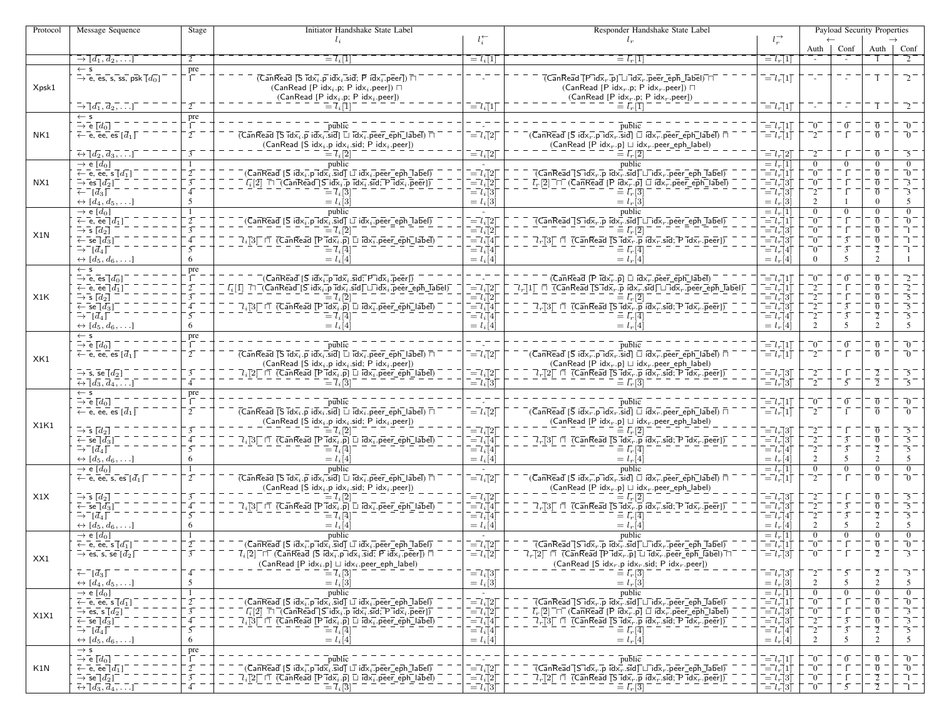| Protocol | Message Sequence                                                                                     | Stage                    | Initiator Handshake State Label                                                                                                                                                                                                                                                                                                                                                          |                                                                                                                                                                                                                                                                                                                                                                                                                                                                                                                 | Responder Handshake State Label                                                                                                                                                                                                                                                                                                                                                                                                                                                                                                                                                                                                                                                                                                                                                                              |                                                                                                                                         |                                | Payload Security Properties      |                                  |                                |
|----------|------------------------------------------------------------------------------------------------------|--------------------------|------------------------------------------------------------------------------------------------------------------------------------------------------------------------------------------------------------------------------------------------------------------------------------------------------------------------------------------------------------------------------------------|-----------------------------------------------------------------------------------------------------------------------------------------------------------------------------------------------------------------------------------------------------------------------------------------------------------------------------------------------------------------------------------------------------------------------------------------------------------------------------------------------------------------|--------------------------------------------------------------------------------------------------------------------------------------------------------------------------------------------------------------------------------------------------------------------------------------------------------------------------------------------------------------------------------------------------------------------------------------------------------------------------------------------------------------------------------------------------------------------------------------------------------------------------------------------------------------------------------------------------------------------------------------------------------------------------------------------------------------|-----------------------------------------------------------------------------------------------------------------------------------------|--------------------------------|----------------------------------|----------------------------------|--------------------------------|
|          |                                                                                                      |                          | $l_i$                                                                                                                                                                                                                                                                                                                                                                                    | $l_i^{\leftarrow}$                                                                                                                                                                                                                                                                                                                                                                                                                                                                                              | $l_r$                                                                                                                                                                                                                                                                                                                                                                                                                                                                                                                                                                                                                                                                                                                                                                                                        | $l_r^{\rightarrow}$                                                                                                                     |                                |                                  |                                  |                                |
|          | $\overline{\rightarrow} \overline{d_1}, \overline{d_2}, \ldots$                                      |                          |                                                                                                                                                                                                                                                                                                                                                                                          |                                                                                                                                                                                                                                                                                                                                                                                                                                                                                                                 |                                                                                                                                                                                                                                                                                                                                                                                                                                                                                                                                                                                                                                                                                                                                                                                                              |                                                                                                                                         | Auth                           | Conf                             |                                  | Auth   Conf                    |
|          |                                                                                                      |                          | $\equiv l_i[1]$                                                                                                                                                                                                                                                                                                                                                                          | $\overline{\phantom{a}} = l_i[1]$                                                                                                                                                                                                                                                                                                                                                                                                                                                                               | $= l_r   1$                                                                                                                                                                                                                                                                                                                                                                                                                                                                                                                                                                                                                                                                                                                                                                                                  | $= lr$ [1]                                                                                                                              |                                |                                  |                                  |                                |
|          | $\leftarrow$ s<br>$\rightarrow$ e, es, s, ss, psk $\overline{[d_0]}$                                 | pre<br>$\Gamma$          | $($ CanRead [S $idx_i p$ id $x_i$ sid; P $idx_i$ peer]) $\Box$                                                                                                                                                                                                                                                                                                                           |                                                                                                                                                                                                                                                                                                                                                                                                                                                                                                                 | $\overline{( {\sf CanRead}[{\sf P}] {\sf id} \overline{\sf x}_r.\overline{\sf p} ] \sqcup \overline{{\sf id} \overline{\sf x}_r.\overline{\sf p} {\sf e} {\sf e} {\sf r\_ep} \overline{\sf h}\_ {\sf I} \overline{\sf a} {\sf b} \overline{\sf e} } ) \sqcap }$                                                                                                                                                                                                                                                                                                                                                                                                                                                                                                                                              | $\overline{=}l_r\overline{]}1\overline{]}$                                                                                              |                                | 77                               | $\overline{1}$                   |                                |
| Xpsk1    |                                                                                                      |                          | (CanRead [P idx <sub>i</sub> .p; P idx <sub>i</sub> .peer]) $\Box$                                                                                                                                                                                                                                                                                                                       |                                                                                                                                                                                                                                                                                                                                                                                                                                                                                                                 | (CanRead [P idx <sub>r</sub> .p; P idx <sub>r</sub> .peer]) $\Box$                                                                                                                                                                                                                                                                                                                                                                                                                                                                                                                                                                                                                                                                                                                                           |                                                                                                                                         |                                |                                  |                                  |                                |
|          |                                                                                                      |                          | $(CanRead [P idxi.p; P idxi.peer])$                                                                                                                                                                                                                                                                                                                                                      |                                                                                                                                                                                                                                                                                                                                                                                                                                                                                                                 | (CanRead [P idx <sub>r</sub> .p; P idx <sub>r</sub> .peer])                                                                                                                                                                                                                                                                                                                                                                                                                                                                                                                                                                                                                                                                                                                                                  |                                                                                                                                         |                                |                                  |                                  |                                |
|          | $\rightarrow \lceil d_1, d_2, \ldots \rceil$                                                         |                          | $=$ $\overline{l}_i$ $\overline{1}$                                                                                                                                                                                                                                                                                                                                                      | $\overline{=}l_i\overline{[}1\overline{]}$                                                                                                                                                                                                                                                                                                                                                                                                                                                                      |                                                                                                                                                                                                                                                                                                                                                                                                                                                                                                                                                                                                                                                                                                                                                                                                              | $\overline{=}l_r\overline{1}\overline{1}$                                                                                               |                                | $\sim 10^{-1}$                   | $\overline{1}$ $\overline{1}$    | $\mathcal{L}^{-}$              |
|          | $\leftarrow$ s                                                                                       | pre                      |                                                                                                                                                                                                                                                                                                                                                                                          |                                                                                                                                                                                                                                                                                                                                                                                                                                                                                                                 |                                                                                                                                                                                                                                                                                                                                                                                                                                                                                                                                                                                                                                                                                                                                                                                                              |                                                                                                                                         |                                |                                  |                                  |                                |
|          | $\stackrel{\scriptscriptstyle{\leftarrow}}{\scriptscriptstyle{\rightarrow}}$ e $\lbrack d_0 \rbrack$ | E                        | public                                                                                                                                                                                                                                                                                                                                                                                   |                                                                                                                                                                                                                                                                                                                                                                                                                                                                                                                 | public                                                                                                                                                                                                                                                                                                                                                                                                                                                                                                                                                                                                                                                                                                                                                                                                       | $\overline{l} = l_r \overline{l}$                                                                                                       | $\overline{\phantom{0}}0^-$    | $\sigma$                         | $\overline{0}$                   | $\Omega$                       |
| NK1      | $\leftarrow$ e, ee, es $[\overline{d}_1]$                                                            | $\overline{2}$           | $\overline{(CanRead [S\;idx_i.p\;idx_i.x)]}$ $\overline{\sqcup}$ $\overline{\mathsf{id}x_i}$ .peer_eph_label) $\overline{\sqcap}$                                                                                                                                                                                                                                                        | $\overline{a} = l_i [2]$                                                                                                                                                                                                                                                                                                                                                                                                                                                                                        | $\bar{C}$ (CanRead [S idx $_{r}$ .p idx $_{r}$ .sid] $\Box$ idx $_{r}$ .peer_eph_label) $\Box$                                                                                                                                                                                                                                                                                                                                                                                                                                                                                                                                                                                                                                                                                                               | $\overline{-l}r\overline{1}\overline{1}$                                                                                                | $\mathbf{r}_{2}$               | ĒΓ                               | $\overline{0}$                   |                                |
|          |                                                                                                      |                          | $(CanRead [S idxi.p idxi.sid; P idxi.peer])$                                                                                                                                                                                                                                                                                                                                             |                                                                                                                                                                                                                                                                                                                                                                                                                                                                                                                 | (CanRead [P idx <sub>r</sub> .p] $\sqcup$ idx <sub>r</sub> .peer_eph_label)                                                                                                                                                                                                                                                                                                                                                                                                                                                                                                                                                                                                                                                                                                                                  |                                                                                                                                         |                                |                                  |                                  |                                |
|          | $\overline{\leftrightarrow} \overline{[d_2, d_3, \ldots]}$                                           | 3                        | $\mathsf{Z}^{\mathsf{T}}$                                                                                                                                                                                                                                                                                                                                                                | $\overline{a} = l_i [2]$                                                                                                                                                                                                                                                                                                                                                                                                                                                                                        | $\equiv \bar{l}_r[\bar{2}]$                                                                                                                                                                                                                                                                                                                                                                                                                                                                                                                                                                                                                                                                                                                                                                                  | $\overline{l} = l_r \overline{l}$                                                                                                       | $\overline{2}$                 |                                  | $\overline{0}$                   | -5                             |
|          | $\rightarrow$ e $[d_0]$<br>$\leftarrow$ e, ee, s $\left\lceil d_1 \right\rceil$                      | $\bar{2}$                | public                                                                                                                                                                                                                                                                                                                                                                                   |                                                                                                                                                                                                                                                                                                                                                                                                                                                                                                                 | public<br>$\overline{( {\sf Can}\text{\sf Real}\text{\sf T} {\sf S}\text{\sf id} {\sf x}_r.\text{\sf p}\text{\sf id} {\sf x}_r.\text{\sf s}\text{\sf id}\text{\sf l}\text{\sf l}\text{\sf id} {\sf x}_r.\text{\sf p}\text{\sf e}\text{\sf e}\text{\sf r}\text{\sf e}\text{\sf p}\text{\sf h}\text{\sf l}\text{\sf a}\text{\sf b}\text{\sf e}\text{\sf l})}$                                                                                                                                                                                                                                                                                                                                                                                                                                                  | $= l_r[1]$<br>$\overline{=}l_r\overline{1}1\overline{1}$                                                                                | $\sim$                         | $\Omega$                         | $\overline{0}$<br>$\overline{0}$ | $\Omega$                       |
| NX1      | $\rightarrow$ es $[d_2]$                                                                             | $\overline{3}$           | $\overline{(\mathsf{Can}\mathsf{Read}\,[\mathsf{S}\,\mathsf{id} \mathsf{x}_i.\mathsf{p}\,\mathsf{Id} \mathsf{x}_i.\mathsf{s}\mathsf{id}]}\sqcup \overline{\mathsf{id} \mathsf{x}_i.\mathsf{p}\mathsf{eer}\_\mathsf{p}\mathsf{p}\mathsf{h}\_\mathsf{p}\mathsf{d}\mathsf{d}}$<br>$\overline{l_i}[2]$ $\Box$ (CanRead [S idx <sub>i</sub> p idx <sub>i</sub> sid; P idx <sub>i</sub> peer]) | $\overline{a} = l_i [2]$<br>$\overline{=} \overline{l}_i \overline{[}2\overline{]}$                                                                                                                                                                                                                                                                                                                                                                                                                             | $\overline{l}_r[\overline{2}]$ $\overline{\Box}$ (CanRead [P idx $_{r}$ .p] $\overline{\Box}$ idx $_{r}$ .peer_eph_label)                                                                                                                                                                                                                                                                                                                                                                                                                                                                                                                                                                                                                                                                                    | $\overline{=}l_r\overline{3}$                                                                                                           | $\sim$                         |                                  | $\overline{0}$                   | 3                              |
|          | $\bar{L}^{-}[\bar{d}_3]$                                                                             |                          |                                                                                                                                                                                                                                                                                                                                                                                          | $\vec{a} = l_i \vec{a}$                                                                                                                                                                                                                                                                                                                                                                                                                                                                                         |                                                                                                                                                                                                                                                                                                                                                                                                                                                                                                                                                                                                                                                                                                                                                                                                              | $\overline{=}l_r\overline{3}$                                                                                                           | $\overline{2}$                 |                                  | $\overline{0}$                   | 3                              |
|          | $\leftrightarrow [d_4, d_5, \ldots]$                                                                 | .5                       | $= l_i 3$                                                                                                                                                                                                                                                                                                                                                                                | $= l_i[3]$                                                                                                                                                                                                                                                                                                                                                                                                                                                                                                      | $= l_r 3$                                                                                                                                                                                                                                                                                                                                                                                                                                                                                                                                                                                                                                                                                                                                                                                                    | $= l_r[3]$                                                                                                                              | 2                              |                                  | $\Omega$                         | 5                              |
|          | $\overline{\rightarrow}$ e $[d_0]$                                                                   |                          | public                                                                                                                                                                                                                                                                                                                                                                                   |                                                                                                                                                                                                                                                                                                                                                                                                                                                                                                                 | public                                                                                                                                                                                                                                                                                                                                                                                                                                                                                                                                                                                                                                                                                                                                                                                                       | $= l_r[1]$                                                                                                                              | $\Omega$                       | $\Omega$                         |                                  | $\Omega$                       |
|          | $\leftarrow$ e, ee $\lceil d_1 \rceil$                                                               |                          | $(\overline{\mathsf{Can}\mathsf{Real}} [\overline{\mathsf{S}}\ \mathsf{id} \overline{\mathsf{x}_i}.\overline{\mathsf{p}}\ \mathsf{id} \overline{\mathsf{x}_i}.\overline{\mathsf{sid}}] \sqcup \mathsf{id} \overline{\mathsf{x}_i}.\overline{\mathsf{peer\_eph\_label}})$                                                                                                                 | $\overline{=}l_i\overline{[}2\overline{]}$                                                                                                                                                                                                                                                                                                                                                                                                                                                                      | $\overline{( {\sf Can}\text{\sf Real}({\sf S}{\sf id}\text{\sf x}_r.\text{\sf p}\ {\sf id}\text{\sf x}_r.\text{\sf s}{\sf id})}\sqcup \overline{{\sf id}\text{\sf x}_r.\text{\sf peer\_eph\_label})}$                                                                                                                                                                                                                                                                                                                                                                                                                                                                                                                                                                                                        | $\overline{=}l_r\overline{1}\overline{1}$                                                                                               | $\sqrt{0}$                     |                                  | $\Omega$                         | $\Omega$                       |
| X1N      | $\rightarrow$ s $\lceil d_2 \rceil$                                                                  |                          |                                                                                                                                                                                                                                                                                                                                                                                          | $\bar{l} = l_i [2]$                                                                                                                                                                                                                                                                                                                                                                                                                                                                                             | $\equiv l_r[2]$                                                                                                                                                                                                                                                                                                                                                                                                                                                                                                                                                                                                                                                                                                                                                                                              | $\bar{l} = l_r \bar{l}$ 3                                                                                                               | -0                             |                                  | $\overline{0}$                   |                                |
|          | $\overline{\leftarrow}$ se $[d_3]$                                                                   | $\overline{4}$           | $\overline{\mathcal{U}}_i[3]^\top$ $\Box$ (CanRead [P $\overline{\mathsf{id}}\overline{\mathsf{x}_i}$ .p] $\overline{\mathsf{U}}$ $\overline{\mathsf{id}}\overline{\mathsf{x}_i}$ .peer_eph_label)                                                                                                                                                                                       | $\overline{ }= \stackrel{.}{\overline{l}}\stackrel{.}{\overline{l}}\stackrel{.}{\overline{4}}\stackrel{.}{\overline{l}}$                                                                                                                                                                                                                                                                                                                                                                                        | $\overline{\mathcal{U}_r[3]} \ \sqcap \ \overline{(\mathsf{CanRead}[\mathsf{S}\ \overline{\mathsf{idx}_r}.\overline{\mathsf{p}}\ \mathsf{idx}_r.\mathsf{sid};\mathsf{P}\ \overline{\mathsf{idx}_r}.\overline{\mathsf{peer}}])}$                                                                                                                                                                                                                                                                                                                                                                                                                                                                                                                                                                              | $\overline{=}l_r\overline{3}$                                                                                                           | $\sim$                         | $\overline{3}$                   |                                  |                                |
|          | $\rightarrow$ $\bar{d}_4$                                                                            |                          | $= l_i 4$                                                                                                                                                                                                                                                                                                                                                                                | $\overline{a} = l_i \overline{a}$                                                                                                                                                                                                                                                                                                                                                                                                                                                                               | $= l$                                                                                                                                                                                                                                                                                                                                                                                                                                                                                                                                                                                                                                                                                                                                                                                                        | $\bar{l} = l_r  4 $                                                                                                                     | $\sim$                         | $\overline{3}$                   |                                  |                                |
|          | $\leftrightarrow [d_5, d_6, \ldots]$                                                                 | 6                        | $= l_i 4$                                                                                                                                                                                                                                                                                                                                                                                | $= l_i[4]$                                                                                                                                                                                                                                                                                                                                                                                                                                                                                                      | $= lr 4$                                                                                                                                                                                                                                                                                                                                                                                                                                                                                                                                                                                                                                                                                                                                                                                                     | $= l_r[4]$                                                                                                                              | $\Omega$                       | 5                                |                                  |                                |
|          | $\leftarrow$ s<br>$\rightarrow$ e, es $\lceil d_0 \rceil$                                            | pre                      | $(\overline{\mathsf{Can}}\mathsf{Read}\overline{\mathsf{Is}}\mathsf{id}\overline{\mathsf{x}_i}.\overline{\mathsf{p}\mathsf{id}}\overline{\mathsf{x}_i}.\overline{\mathsf{sid}};\overline{\mathsf{P}\mathsf{id}}\overline{\mathsf{x}_i}.\overline{\mathsf{p}\mathsf{eer}})$                                                                                                               |                                                                                                                                                                                                                                                                                                                                                                                                                                                                                                                 | $(\overline{\mathsf{Can}}\mathsf{Re}\mathsf{a}\overline{\mathsf{d}} \; [\overline{\mathsf{P}} \; \overline{\mathsf{id}}\overline{\mathsf{x}_r}.\overline{\mathsf{p}}] \sqcup \overline{\mathsf{id}}\overline{\mathsf{x}_r}.\overline{\mathsf{peer\_eph\_label}})$                                                                                                                                                                                                                                                                                                                                                                                                                                                                                                                                            | $\bar{l} = l_r \bar{l}$                                                                                                                 | $\sim$                         | $\overline{0}$                   | $\overline{0}$                   |                                |
|          | $\overline{\leftarrow}$ e, ee $\overline{[d_1]}$                                                     | $\overline{2}$           | $\bar{l_i}[1]$ $\Box$ (CanRead [S idx <sub>i</sub> p idx <sub>i</sub> sid] $\Box$ idx <sub>i</sub> peer_eph_label)                                                                                                                                                                                                                                                                       |                                                                                                                                                                                                                                                                                                                                                                                                                                                                                                                 |                                                                                                                                                                                                                                                                                                                                                                                                                                                                                                                                                                                                                                                                                                                                                                                                              |                                                                                                                                         | $^{-2}$                        |                                  | $\overline{0}$                   |                                |
| X1K      | $\rightarrow$ s $\overline{[d_2]}$                                                                   | $\overline{3}$           |                                                                                                                                                                                                                                                                                                                                                                                          | $\begin{array}{c}\n= l_i[2] \\ = l_i[2]\n\end{array}$                                                                                                                                                                                                                                                                                                                                                                                                                                                           | $\equiv \bar{l_r}[\overline{2}]$                                                                                                                                                                                                                                                                                                                                                                                                                                                                                                                                                                                                                                                                                                                                                                             | $\begin{array}{c} = l_r[1] \\ = l_r[3] \end{array}$                                                                                     | $\mathbf{r}_{2}$               |                                  |                                  |                                |
|          | $\overline{\leftarrow}$ se $\lceil d_3 \rceil$                                                       | Ā                        | $\overline{\mathcal{U}}_i$ [3] $\sqcap$ $\overline{\mathcal{U}}$ (Can $\overline{\mathsf{Read}}$ [P $\overline{\mathsf{id}}$ x $\overline{\mathsf{x}}_i$ .p $\overline{\mathsf{p}}$ ] $\overline{\mathsf{id}}$ $\overline{\mathsf{x}}_i$ .peer_eph_label) $\overline{\mathsf{d}}$                                                                                                        | $\vec{a} = \vec{l}_i \vec{a}$                                                                                                                                                                                                                                                                                                                                                                                                                                                                                   | $\lceil l_r \rceil 3 \rceil \ \sqcap \ \overline{(\mathsf{Can}\,\mathsf{Real}\,\mathsf{I}\,\mathsf{S}\,\mathsf{Id}\,\mathsf{x}_r.\mathsf{p}}$ id $\mathsf{x}_r$ sid; $\mathsf{P}\,\mathsf{Id}\,\mathsf{x}_r.\mathsf{peer}]\overline{\mathsf{C}}$                                                                                                                                                                                                                                                                                                                                                                                                                                                                                                                                                             | $\overline{=}l_r\overline{3}$                                                                                                           | $\overline{2}$                 | $\overline{3}$                   | $\overline{0}$                   | -5                             |
|          | $\bar{\rightarrow} \bar{d}_4$                                                                        |                          | $\overline{l} = \overline{l}$                                                                                                                                                                                                                                                                                                                                                            | $\vec{l} = l_i \vec{l}4$                                                                                                                                                                                                                                                                                                                                                                                                                                                                                        | $\equiv l_r 4 $                                                                                                                                                                                                                                                                                                                                                                                                                                                                                                                                                                                                                                                                                                                                                                                              | $\overline{l} = l_r \overline{l}4\overline{l}$                                                                                          | $^{-2}$                        | $\overline{3}$                   |                                  | -5                             |
|          | $\leftrightarrow [d_5, d_6, \ldots]$                                                                 | 6                        | $= l_i 4$                                                                                                                                                                                                                                                                                                                                                                                | $= l_i[4]$                                                                                                                                                                                                                                                                                                                                                                                                                                                                                                      | $= l_r 4$                                                                                                                                                                                                                                                                                                                                                                                                                                                                                                                                                                                                                                                                                                                                                                                                    | $= l_r[4]$                                                                                                                              | 2                              | 5                                | $\mathcal{D}$                    | 5                              |
|          | $\leftarrow$ s                                                                                       | pre                      |                                                                                                                                                                                                                                                                                                                                                                                          |                                                                                                                                                                                                                                                                                                                                                                                                                                                                                                                 |                                                                                                                                                                                                                                                                                                                                                                                                                                                                                                                                                                                                                                                                                                                                                                                                              |                                                                                                                                         |                                |                                  |                                  |                                |
|          | $\xrightarrow{} \mathsf{\bar{e}}$ $\overline{[d_0]}$                                                 | $2^{-}$                  | public                                                                                                                                                                                                                                                                                                                                                                                   |                                                                                                                                                                                                                                                                                                                                                                                                                                                                                                                 | $pu\overline{b}$ lic                                                                                                                                                                                                                                                                                                                                                                                                                                                                                                                                                                                                                                                                                                                                                                                         | $\bar{l} = l_r \bar{l}$<br>$\overline{=}l_{r}\left[1\right]$                                                                            | $\sim$ <sup>-0</sup>           | $\sigma$                         | $\overline{0}$ –                 | $\overline{0}$                 |
| XK1      | $\leftarrow$ e, ee, es $[\bar{d}_1]$                                                                 |                          | $\overline{(CanRead \overline{[s} idx_i.p idx_i.sid] \Box idx_i.peer\_eph\_label)}$<br>(CanRead [S $idx_i$ .p $idx_i$ .sid; P $idx_i$ .peer])                                                                                                                                                                                                                                            | $\overline{=}l_i\overline{[}2\overline{]}$                                                                                                                                                                                                                                                                                                                                                                                                                                                                      | $\overline{G}$ anRead $\overline{S}$ idx <sub>r</sub> .p idx <sub>r</sub> .sid $\overline{G}$ idx <sub>r</sub> .peer_eph_label) $\overline{G}$<br>(CanRead [P idx <sub>r</sub> .p] $\sqcup$ idx <sub>r</sub> .peer_eph_label)                                                                                                                                                                                                                                                                                                                                                                                                                                                                                                                                                                                |                                                                                                                                         | $^{-2}$                        | $\top$                           | $\overline{0}$                   | -0                             |
|          | $\rightarrow$ s, se $\overline{[d_2]}$                                                               | $\overline{3}$           | $\overline{l}_i$ [2 $\overline{\Box}$ $\overline{\Box}$ (CanRead [P $\overline{\mathrm{id}}\overline{\mathrm{x}}_i$ .p] $\overline{\Box}$ $\overline{\mathrm{id}}\overline{\mathrm{x}}_i$ .peer_eph_label)                                                                                                                                                                               | $\bar{l} = l_i [2]$                                                                                                                                                                                                                                                                                                                                                                                                                                                                                             | $\lceil l_r \rceil$ 2 $\lceil$ $\lceil$ $\lceil$ $\lceil$ $\lceil$ $\lceil$ $\lceil$ $\lceil$ $\lceil$ $\lceil$ $\lceil$ $\lceil$ $\lceil$ $\lceil$ $\lceil$ $\lceil$ $\lceil$ $\lceil$ $\lceil$ $\lceil$ $\lceil$ $\lceil$ $\lceil$ $\lceil$ $\lceil$ $\lceil$ $\lceil$ $\lceil$ $\lceil$ $\lceil$ $\lceil$ $\lceil$ $\lceil$ $\lceil$ $\lceil$                                                                                                                                                                                                                                                                                                                                                                                                                                                             | $\overline{=}l_r\overline{3}$                                                                                                           | -2.                            |                                  | $\overline{2}$                   | -5                             |
|          | $\overline{\leftrightarrow} \overline{[d_3, d_4, \ldots]}$                                           | $\sqrt{4}$               |                                                                                                                                                                                                                                                                                                                                                                                          | $\vec{a} = \vec{l}_i \vec{a}$                                                                                                                                                                                                                                                                                                                                                                                                                                                                                   |                                                                                                                                                                                                                                                                                                                                                                                                                                                                                                                                                                                                                                                                                                                                                                                                              | $\vec{a} = \vec{a} \cdot \vec{a}$                                                                                                       | $^{-2}$                        | 5                                | $\overline{2}$                   | -5                             |
|          | $\leftarrow$ s                                                                                       | pre                      |                                                                                                                                                                                                                                                                                                                                                                                          |                                                                                                                                                                                                                                                                                                                                                                                                                                                                                                                 |                                                                                                                                                                                                                                                                                                                                                                                                                                                                                                                                                                                                                                                                                                                                                                                                              |                                                                                                                                         |                                |                                  |                                  |                                |
|          | $\rightarrow$ e $\lbrack d_0 \rbrack$                                                                |                          | public                                                                                                                                                                                                                                                                                                                                                                                   |                                                                                                                                                                                                                                                                                                                                                                                                                                                                                                                 | public                                                                                                                                                                                                                                                                                                                                                                                                                                                                                                                                                                                                                                                                                                                                                                                                       | $\overline{=}l_r[1]$                                                                                                                    | $^-0^-$                        | $\overline{0}$                   | $\overline{0}$                   | -0                             |
|          | $\leftarrow$ e, ee, es $[\bar{d}_1]$                                                                 | $\overline{2}$           | $\overline{(CanRead \overline{[s \overline{ids}_i \overline{p} idx_i]})}$ $\Box$ $\overline{id}x_i$ peer_eph_label) $\overline{\Box}$                                                                                                                                                                                                                                                    | $\overline{a} = l_i [2]$                                                                                                                                                                                                                                                                                                                                                                                                                                                                                        | $\bar{C}$ (CanRead [S idx, p idx, sid] $\Box$ idx, peer_eph_label) $\bar{\Box}$                                                                                                                                                                                                                                                                                                                                                                                                                                                                                                                                                                                                                                                                                                                              | $\overline{=}l_r\overline{1}\overline{1}$                                                                                               | $^{-2}$                        | ĒΓ                               | $\overline{0}$                   | - 70                           |
| X1K1     |                                                                                                      |                          | (CanRead [S $idx_i$ .p $idx_i$ .sid; P $idx_i$ .peer])                                                                                                                                                                                                                                                                                                                                   |                                                                                                                                                                                                                                                                                                                                                                                                                                                                                                                 | $(CanRead [P idx_r.p] \sqcup idx_r.peer_eph\_label)$                                                                                                                                                                                                                                                                                                                                                                                                                                                                                                                                                                                                                                                                                                                                                         |                                                                                                                                         |                                |                                  |                                  |                                |
|          | $\overline{\rightarrow}$ $\overline{\mathsf{s}}$ $\overline{[d_2]}$                                  |                          |                                                                                                                                                                                                                                                                                                                                                                                          | $\overline{=}l_i\overline{[}2\overline{]}$                                                                                                                                                                                                                                                                                                                                                                                                                                                                      | $\equiv \bar{l}_r[2]$                                                                                                                                                                                                                                                                                                                                                                                                                                                                                                                                                                                                                                                                                                                                                                                        | $\overline{=}l_r\overline{3}$                                                                                                           |                                |                                  | $\overline{0}$                   | -5                             |
|          | $\leftarrow$ se $[d_3]$<br>$\rightarrow^ \left[\overline{d}_4\right]$                                | 4                        | $\overline{l}_i$ [3] $\overline{\sqcap}$ (CanRead [P idx $_i$ .p] $\overline{\sqcup}$ idx $\overline{i}$ .peer_eph_label)                                                                                                                                                                                                                                                                | $\vec{a} = l_i [4]$<br>$\overline{=} \overline{l}_i \overline{1}4$                                                                                                                                                                                                                                                                                                                                                                                                                                              | $\lceil l_r \rceil$ 3 $\lceil$ $\lceil$ $\lceil$ $\zeta$ $\rceil$ $\lceil$ $\zeta$ $\lceil$ $\zeta$ $\lceil$ $\zeta$ $\rceil$ $\lceil$ $\zeta$ $\lceil$ $\zeta$ $\rceil$ $\lceil$ $\zeta$ $\lceil$ $\zeta$ $\rceil$ $\zeta$ $\lceil$ $\zeta$ $\rceil$ $\zeta$ $\lceil$ $\zeta$ $\lceil$ $\zeta$ $\rceil$ $\zeta$ $\lceil$ $\zeta$ $\rceil$                                                                                                                                                                                                                                                                                                                                                                                                                                                                   | $\bar{l} = l_r \dot{3}$<br>$\overline{l} = l_r \overline{l}4\overline{l}$                                                               | $\mathbf{r}_{2}$               | $\overline{3}$<br>$\overline{3}$ | $\overline{0}$                   | -5                             |
|          | $\leftrightarrow [d_5, d_6, \ldots]$                                                                 | 6                        | $= l_i 4$                                                                                                                                                                                                                                                                                                                                                                                | $= l_i[4]$                                                                                                                                                                                                                                                                                                                                                                                                                                                                                                      | $= l_r 4$                                                                                                                                                                                                                                                                                                                                                                                                                                                                                                                                                                                                                                                                                                                                                                                                    | $= l_r[4]$                                                                                                                              | $\overline{2}$                 | 5                                | 2                                | -5<br>5 <sup>5</sup>           |
|          | $\rightarrow$ e [d <sub>0</sub> ]                                                                    |                          | public                                                                                                                                                                                                                                                                                                                                                                                   |                                                                                                                                                                                                                                                                                                                                                                                                                                                                                                                 | public                                                                                                                                                                                                                                                                                                                                                                                                                                                                                                                                                                                                                                                                                                                                                                                                       | $= l_r[1]$                                                                                                                              | $\overline{0}$                 | $\mathbf{0}$                     | $\overline{0}$                   | $\overline{0}$                 |
|          | $\overline{\leftarrow}$ e, ee, s, es $[\overline{d_1}]$                                              | $\overline{2}$           | $\overline{(CanRead [S\,idx_i.p\,idx_i.isid] \sqcup idx_i7i}$ .peer_eph_label) $\sqcap$                                                                                                                                                                                                                                                                                                  | $\overline{=}l_i\overline{[}2\overline{]}$                                                                                                                                                                                                                                                                                                                                                                                                                                                                      | $\overline{C}$ anRead $\overline{S}$ idx <sub>r</sub> .p idx <sub>r</sub> .sid $\overline{C}$ idx <sub>r</sub> .peer_eph_label) $\overline{C}$                                                                                                                                                                                                                                                                                                                                                                                                                                                                                                                                                                                                                                                               | $\overline{=}l_r\overline{[}1\overline{]}$                                                                                              | $^{-2}$                        | $\top$                           | $\overline{0}$                   | -0                             |
|          |                                                                                                      |                          | (CanRead [S idx <sub>i</sub> .p idx <sub>i</sub> .sid; P idx <sub>i</sub> .peer])                                                                                                                                                                                                                                                                                                        |                                                                                                                                                                                                                                                                                                                                                                                                                                                                                                                 | (CanRead [P idx <sub>r</sub> .p] $\sqcup$ idx <sub>r</sub> .peer_eph_label)                                                                                                                                                                                                                                                                                                                                                                                                                                                                                                                                                                                                                                                                                                                                  |                                                                                                                                         |                                |                                  |                                  |                                |
| X1X      | $\overline{\rightarrow}$ s $\overline{[d_2]}$                                                        | $\overline{3}$           |                                                                                                                                                                                                                                                                                                                                                                                          | $\begin{array}{c}\n-\\ -\\ \overline{\phantom{0}}\\ -\\ \overline{\phantom{0}}\\ \overline{\phantom{0}}\\ -\\ \overline{\phantom{0}}\\ \overline{\phantom{0}}\\ \overline{\phantom{0}}\\ -\overline{\phantom{0}}\\ \overline{\phantom{0}}\\ \overline{\phantom{0}}\\ \overline{\phantom{0}}\\ -\overline{\phantom{0}}\\ \overline{\phantom{0}}\\ \overline{\phantom{0}}\\ -\overline{\phantom{0}}\\ \overline{\phantom{0}}\\ \overline{\phantom{0}}\\ -\overline{\phantom{0}}\\ \overline{\phantom{0}}\\ \over$ |                                                                                                                                                                                                                                                                                                                                                                                                                                                                                                                                                                                                                                                                                                                                                                                                              | $\begin{array}{c} \begin{array}{c} \begin{bmatrix} = l_r \end{bmatrix} 3 \\ \begin{array}{c} = l_r \end{array} \end{array} \end{array}$ |                                |                                  | $\overline{0}$                   | -5                             |
|          | $\overline{\leftarrow}$ se $\overline{d_3}$ ]                                                        | $\overline{4}$           | $\overline{l}_i$ [3] $\overline{\sqcap}$ (CanRead [P id $\overline{x}_i$ .p] $\overline{\sqcup}$ id $\overline{x}_i$ .peer_eph_label)                                                                                                                                                                                                                                                    |                                                                                                                                                                                                                                                                                                                                                                                                                                                                                                                 | $\overline{l}_r$ 3 $\overline{l}$ $\overline{l}$ $\overline{l}$ $\overline{C}$ an Read $\overline{l}$ $\overline{S}$ $\overline{l}$ d $\overline{x}_r$ or $\overline{l}$ $\overline{d}$ $\overline{x}_r$ or $\overline{S}$ $\overline{l}$ $\overline{d}$ $\overline{x}_r$ or $\overline{l}$ $\overline{d}$ $\overline{x}_r$ or $\overline{p}$ eer $\overline{l}$                                                                                                                                                                                                                                                                                                                                                                                                                                             |                                                                                                                                         | $^{-2}$                        | $\overline{3}$                   | $\overline{0}$                   | -5.                            |
|          | $\rightarrow$ $\bar{d}_4$                                                                            |                          | $\bar{l} = \bar{l}_i \bar{l}_i$                                                                                                                                                                                                                                                                                                                                                          | $\vec{l} = l_i \vec{l}$                                                                                                                                                                                                                                                                                                                                                                                                                                                                                         | $\equiv l_{\infty}$ [4]                                                                                                                                                                                                                                                                                                                                                                                                                                                                                                                                                                                                                                                                                                                                                                                      | $\bar{l} = l_r  4 $                                                                                                                     | $^{-2}$                        | $\overline{3}$                   | $\overline{2}$                   | $\overline{\phantom{1}}5$ .    |
|          | $\leftrightarrow [d_5, d_6, \ldots]$                                                                 | 6                        | $= l_i 4$                                                                                                                                                                                                                                                                                                                                                                                | $= l_i[4]$                                                                                                                                                                                                                                                                                                                                                                                                                                                                                                      | $= l_r[4]$                                                                                                                                                                                                                                                                                                                                                                                                                                                                                                                                                                                                                                                                                                                                                                                                   | $= l_r[4]$                                                                                                                              | $\overline{2}$                 | 5                                | $\overline{2}$                   | 5                              |
|          | $\rightarrow$ e $[d_0]$                                                                              |                          | public<br>$\overline{C}$ an $\overline{\text{Re}}$ ad $[\overline{S}$ id $\overline{x_i}$ .p $\overline{\text{id}}\overline{x_i}$ .sid $\overline{I}$ $\overline{\text{Id}}\overline{x_i}$ .peer_eph_label)                                                                                                                                                                              |                                                                                                                                                                                                                                                                                                                                                                                                                                                                                                                 | public                                                                                                                                                                                                                                                                                                                                                                                                                                                                                                                                                                                                                                                                                                                                                                                                       | $= l_r[1]$<br>$\overline{=}l_r\overline{1}1\overline{1}$                                                                                | $\mathbf{0}$<br>$\overline{0}$ | $\mathbf{0}$                     | $\overline{0}$                   | $\overline{0}$                 |
|          | $\leftarrow$ e, ee, s $[d_1]$<br>$\rightarrow$ es, s, se $[d_2]$                                     |                          | $\overline{l}_i$ [2] $\Box$ (CanRead [S idx <sub>i</sub> .p idx <sub>i</sub> .sid; P idx <sub>i</sub> .peer]) $\Box$                                                                                                                                                                                                                                                                     | $\overline{=}l_i\overline{1}2\overline{1}$<br>$=$ $li$ $\uparrow$ 2 $\uparrow$                                                                                                                                                                                                                                                                                                                                                                                                                                  | $\overline{( {\sf CanRead} \mid {\sf S} \mid {\sf d} \overline{\sf x}_r.\overline{\sf p} \mid {\sf d} \overline{\sf x}_r.\overline{\sf s} {\sf id} \overline{\sf l} \sqcup \overline{\sf d} \overline{\sf x}_r.\overline{\sf p} {\sf e} {\sf e} {\sf r} \_ {\sf e} {\sf p} {\sf h} \_ {\sf I} {\sf a} {\sf b} {\sf e} {\sf l} \overline{\sf l}} }$<br>$\overline{l}_r$ 2 $\overline{\sqcap}$ $\overline{\sqcap}$ $\overline{\sqcap}$ $\overline{\sqcap}$ $\overline{\sqcap}$ $\overline{\sqcap}$ $\overline{\sqcap}$ $\overline{\sqcap}$ $\overline{\sqcap}$ $\overline{\sqcap}$ $\overline{\sqcap}$ $\overline{\sqcap}$ $\overline{\sqcap}$ $\overline{\sqcap}$ $\overline{\sqcap}$ $\overline{\sqcap}$ $\overline{\sqcap}$ $\overline{\sqcap}$ $\overline{\sqcap}$ $\overline{\sqcap}$ $\overline{\sqcap}$ | $\bar{l} = l_r \bar{l} 3 \bar{l}$                                                                                                       | $\sim$ <sup>-0</sup>           |                                  | $\mathbf{0}$<br>$\overline{2}$   | $\overline{0}$                 |
| XXI      |                                                                                                      |                          | $(\mathsf{CanRead}\;[\mathsf{P}\; \mathsf{idx}_i.\mathsf{p}]\;\sqcup\;\mathsf{idx}_i.\mathsf{peer\_eph\_label})$                                                                                                                                                                                                                                                                         |                                                                                                                                                                                                                                                                                                                                                                                                                                                                                                                 | (CanRead [S idx <sub>r</sub> .p idx <sub>r</sub> .sid; P idx <sub>r</sub> .peer])                                                                                                                                                                                                                                                                                                                                                                                                                                                                                                                                                                                                                                                                                                                            |                                                                                                                                         |                                |                                  |                                  |                                |
|          | $\bar{L}^{-}[\bar{d}_3]$                                                                             | 4                        | $\equiv \bar{l}_i[3]$                                                                                                                                                                                                                                                                                                                                                                    | $\overline{a} = l_i \overline{a}$                                                                                                                                                                                                                                                                                                                                                                                                                                                                               | $\equiv \bar{l}_r[3]$                                                                                                                                                                                                                                                                                                                                                                                                                                                                                                                                                                                                                                                                                                                                                                                        | $\overline{=}l_r\overline{3}$                                                                                                           | $\sqrt{2}$                     | 5                                |                                  | 3                              |
|          | $\leftrightarrow [d_4, d_5, \ldots]$                                                                 | 5                        | $= l_i[3]$                                                                                                                                                                                                                                                                                                                                                                               | $= l_i[3]$                                                                                                                                                                                                                                                                                                                                                                                                                                                                                                      | $= l_r 3$                                                                                                                                                                                                                                                                                                                                                                                                                                                                                                                                                                                                                                                                                                                                                                                                    | $= l_r[3]$                                                                                                                              | $\mathcal{D}$                  | 5                                | $\overline{2}$                   | 5                              |
|          | $\rightarrow$ e $[d_0]$                                                                              |                          | public                                                                                                                                                                                                                                                                                                                                                                                   |                                                                                                                                                                                                                                                                                                                                                                                                                                                                                                                 | public                                                                                                                                                                                                                                                                                                                                                                                                                                                                                                                                                                                                                                                                                                                                                                                                       | $= l_r[1]$                                                                                                                              | $\overline{0}$                 | $\mathbf{0}$                     | $\overline{0}$                   | $\overline{0}$                 |
|          | $\leftarrow$ e, ee, s $\left\lceil d_1 \right\rceil$                                                 | $rac{2}{3}$              | $\overline{(\mathsf{Can}\mathsf{Read}\;[\mathsf{S}\;\mathsf{id}\mathsf{x}_i\text{-}\mathsf{p}\;\mathsf{id}\mathsf{x}_i\;\mathsf{sid}]\sqcup\mathsf{id}\mathsf{x}_i\;\mathsf{p}\mathsf{eer}\mathsf{\_}\mathsf{e}\mathsf{p}\mathsf{h}\mathsf{\_}\mathsf{label})}$                                                                                                                          | $\bar{l} = l_i [2]$                                                                                                                                                                                                                                                                                                                                                                                                                                                                                             | $\overline{\mathcal{C}}$ Can $\overline{\mathsf{Real}}$ $\overline{\mathsf{I}}$ S $\overline{\mathsf{Id}}$ x $\overline{\mathsf{I}}$ , $\overline{\mathsf{Id}}$ x $\overline{\mathsf{I}}$ , $\overline{\mathsf{Id}}$ s $\overline{\mathsf{Id}}$ x $\overline{\mathsf{I}}$ , $\overline{\mathsf{I}}$ peer $\overline{\mathsf{I}}$ eph $\overline{\mathsf{I}}$ abel $\overline{\mathsf{I}}$                                                                                                                                                                                                                                                                                                                                                                                                                    | $\overline{=}l_r\overline{1}\overline{1}$                                                                                               | $\mathbf{C}^{-}$               |                                  | $\overline{0}$                   | $\overline{0}$                 |
| X1X1     | $\rightarrow$ es, s $\overline{[d_2]}$                                                               |                          | $\bar{l}_i[2] \ \sqcap \ \bar{\big(}$ CanRead $[\mathsf{S}\ \mathsf{id} \bar{\mathsf{x}}_i]$ .p $\bar{\mathsf{id}} \bar{\mathsf{x}}_i$ .sid; P $\bar{\mathsf{id}} \bar{\mathsf{x}}_i$ .peer])                                                                                                                                                                                            |                                                                                                                                                                                                                                                                                                                                                                                                                                                                                                                 | $\overline{l}_r[\overline{2}]$ $\overline{\Box}\top$ (CanRead [P $\overline{\mathrm{idx}_r}$ .p] $\overline{\Box}$ idx $\overline{r}$ .peer_eph_label)                                                                                                                                                                                                                                                                                                                                                                                                                                                                                                                                                                                                                                                       | $\begin{array}{c}\n= l_r[3] \\ = l_r[3]\n\end{array}$                                                                                   | $\sim$                         |                                  | $\overline{0}$                   | $\frac{1}{3}$                  |
|          | $\leftarrow$ se $[d_3]$                                                                              | $\overline{4}$<br>5      | $\overline{\mathcal{U}}_i[\dot{3}]^{\dot{-}}$ $\Box$ (Can Read [P $\overline{\mathsf{id}}\overline{\mathsf{x}}_i.\overline{\mathsf{p}}]$ $\Box$ $\overline{\mathsf{id}}\overline{\mathsf{x}}_i.\overline{\mathsf{p}}$ eer_eph_label)                                                                                                                                                     | $\begin{array}{c}\n= \overline{l}_i[2] \\ = \overline{l}_i[4] \\ = \overline{l}_i[4]\n\end{array}$                                                                                                                                                                                                                                                                                                                                                                                                              | $\overline{l}_r$ [3] $\overline{\Box}$ (CanRead [S idx <sub>r</sub> .p idx <sub>r</sub> .sid; P idx <sub>r</sub> .peer])                                                                                                                                                                                                                                                                                                                                                                                                                                                                                                                                                                                                                                                                                     |                                                                                                                                         | $^{-2}$                        | $\overline{3}$                   | $\overline{0}$                   | $\overline{\mathbf{3}}$        |
|          | $\rightarrow^ \left[\overline{d}_4\right]$<br>$\leftrightarrow [d_5, d_6, \ldots]$                   | 6                        | $\equiv \overline{l}_i[4]$<br>$= l_i 4$                                                                                                                                                                                                                                                                                                                                                  | $= l_i[4]$                                                                                                                                                                                                                                                                                                                                                                                                                                                                                                      | $\equiv \bar{l}_r[4]$<br>$= l_r 4$                                                                                                                                                                                                                                                                                                                                                                                                                                                                                                                                                                                                                                                                                                                                                                           | $\vec{l} = l_r  4 $<br>$= l_r[4]$                                                                                                       | $^{-2}$<br>2                   | $\overline{3}$<br>5              | $\mathcal{D}$                    | $\overline{\phantom{1}}5$<br>5 |
|          | $\rightarrow$ s                                                                                      |                          |                                                                                                                                                                                                                                                                                                                                                                                          |                                                                                                                                                                                                                                                                                                                                                                                                                                                                                                                 |                                                                                                                                                                                                                                                                                                                                                                                                                                                                                                                                                                                                                                                                                                                                                                                                              |                                                                                                                                         |                                |                                  |                                  |                                |
|          | $\rightarrow$ e $\overline{[d_0]}$                                                                   | $\frac{\text{pre}}{1}$ . | public                                                                                                                                                                                                                                                                                                                                                                                   |                                                                                                                                                                                                                                                                                                                                                                                                                                                                                                                 | public                                                                                                                                                                                                                                                                                                                                                                                                                                                                                                                                                                                                                                                                                                                                                                                                       | $\overline{l} = l_r[1]$                                                                                                                 | $\bf{0}$                       | $\sigma$                         | $\bf{0}$                         | $\overline{0}$                 |
| K1N      | $\leftarrow$ e, ee $[d_1]$                                                                           |                          | $(\overline{\mathsf{Can}}\mathsf{Read}\;[\overline{\mathsf{S}}\;\mathsf{id} \mathsf{x}_i\overline{\_}\mathsf{.}\mathsf{p}\;\mathsf{\overline{Id}} \mathsf{x}_i\overline{\_}\mathsf{.}\mathsf{sid}] \sqcup \mathsf{id} \mathsf{x}_i\overline{\_}\mathsf{p}\mathsf{e}\mathsf{e}\mathsf{r}\_\mathsf{e}\mathsf{p}\mathsf{h}\_\mathsf{f}$ label)                                              |                                                                                                                                                                                                                                                                                                                                                                                                                                                                                                                 | $\overline{(}$ Can $\overline{\text{Real}}$ $\overline{[}S\overline{\text{ idx}}_r\overline{\text{.p}}\overline{\text{ idx}}_r\overline{\text{.sid}}\overline{\text{]}}$ $\overline{\sqcup}\text{ idx}_r\overline{\text{.p} }$ eer $\overline{\text{.eph}}\overline{\text{.label}}$                                                                                                                                                                                                                                                                                                                                                                                                                                                                                                                          | $\vec{l} = \vec{l}_r \vec{l}$                                                                                                           | -0                             |                                  | $\overline{0}$                   | -0                             |
|          | $\rightarrow$ se $[d_2]$                                                                             | $\frac{2}{3}^-$          | $\overline{l}_i$ [2] $\Box$ (CanRead [P idx $_i$ .p] $\Box$ idx $\overline{i}$ .peer_eph_label)                                                                                                                                                                                                                                                                                          | $\begin{bmatrix} -l_i[2] \\ -l_i[2] \end{bmatrix}$                                                                                                                                                                                                                                                                                                                                                                                                                                                              | $\overline{l}_r[2]$ $\overline{\sqcap}$ $\overline{\zeta}$ CanRead $\overline{\zeta}$ S $\overline{\text{Id}}\overline{x}_r$ . p $\overline{\text{Id}}\overline{x}_r$ . sid; $\overline{\text{P}}$ $\overline{\text{Id}}\overline{x}_r$ . peer] $\overline{\zeta}$                                                                                                                                                                                                                                                                                                                                                                                                                                                                                                                                           | $\bar{l} = l_r \dot{3}$                                                                                                                 | $\bar{0}^{-}$                  |                                  |                                  | $\mathbf{1}$                   |
|          | $\overline{\leftrightarrow} \overline{[d_3, d_4, \ldots]}$                                           | $\overline{4}$           | $\overline{=}$ $\overline{l}_i$ $\overline{3}$ $\overline{1}$                                                                                                                                                                                                                                                                                                                            | $\overline{=}l_i\overline{3}$                                                                                                                                                                                                                                                                                                                                                                                                                                                                                   | $\equiv l_r[3]$                                                                                                                                                                                                                                                                                                                                                                                                                                                                                                                                                                                                                                                                                                                                                                                              | $\overline{l} = l_r \overline{3}$                                                                                                       | $\overline{0}$                 | 5                                |                                  | $\mathbf{1}$                   |
|          |                                                                                                      |                          |                                                                                                                                                                                                                                                                                                                                                                                          |                                                                                                                                                                                                                                                                                                                                                                                                                                                                                                                 |                                                                                                                                                                                                                                                                                                                                                                                                                                                                                                                                                                                                                                                                                                                                                                                                              |                                                                                                                                         |                                |                                  |                                  |                                |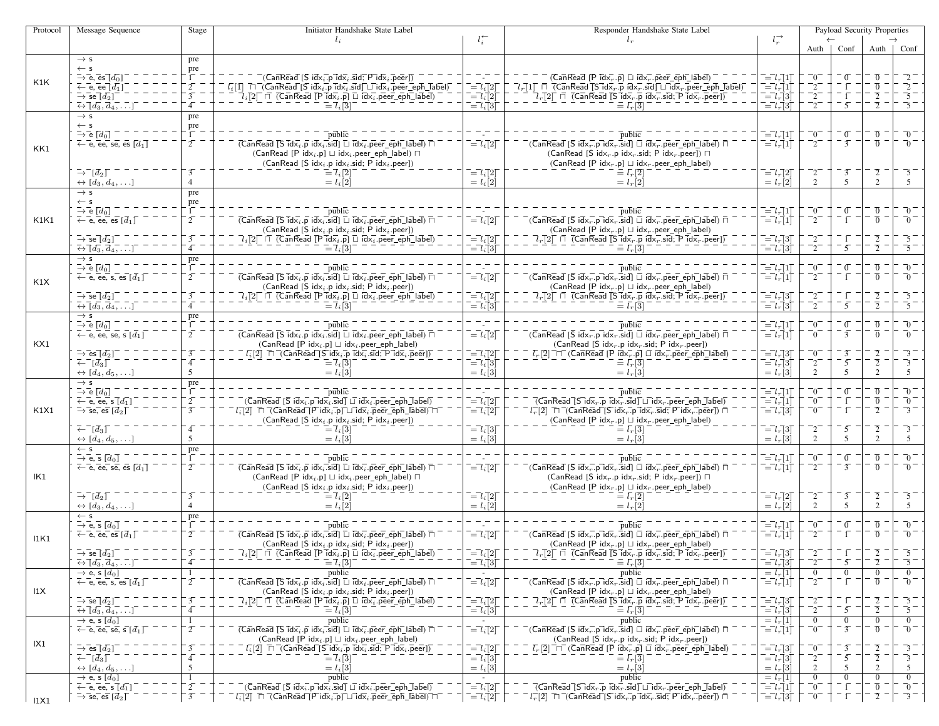| Protocol | Message Sequence                                                                                | Initiator Handshake State Label<br>Stage |                                                                                                                                                                                                                                                                                                                                                                                                                                                                                |                                                                                                                                                            | Responder Handshake State Label                                                                                                                                                                                                                                                                                                                                             |                                                                                                                                                  | Payload Security Properties  |                                  |                                  |                                                     |
|----------|-------------------------------------------------------------------------------------------------|------------------------------------------|--------------------------------------------------------------------------------------------------------------------------------------------------------------------------------------------------------------------------------------------------------------------------------------------------------------------------------------------------------------------------------------------------------------------------------------------------------------------------------|------------------------------------------------------------------------------------------------------------------------------------------------------------|-----------------------------------------------------------------------------------------------------------------------------------------------------------------------------------------------------------------------------------------------------------------------------------------------------------------------------------------------------------------------------|--------------------------------------------------------------------------------------------------------------------------------------------------|------------------------------|----------------------------------|----------------------------------|-----------------------------------------------------|
|          |                                                                                                 |                                          | $l_i$                                                                                                                                                                                                                                                                                                                                                                                                                                                                          | $l_i^{\leftarrow}$                                                                                                                                         | $l_r$                                                                                                                                                                                                                                                                                                                                                                       | $l_r^{\rightarrow}$                                                                                                                              |                              |                                  |                                  |                                                     |
|          | $\rightarrow$ s                                                                                 | pre                                      |                                                                                                                                                                                                                                                                                                                                                                                                                                                                                |                                                                                                                                                            |                                                                                                                                                                                                                                                                                                                                                                             |                                                                                                                                                  |                              | Auth   Conf                      |                                  | Auth $\vert$ Conf                                   |
|          | $\leftarrow$ s                                                                                  | pre                                      |                                                                                                                                                                                                                                                                                                                                                                                                                                                                                |                                                                                                                                                            |                                                                                                                                                                                                                                                                                                                                                                             |                                                                                                                                                  |                              |                                  |                                  |                                                     |
| K1K      | $\overline{\rightarrow} \overline{e}$ , $\overline{e}$ s $\overline{d}$ <sub>0</sub> ]          |                                          | $(\overline{\mathsf{Can}}\mathsf{Read}\,[\overline{\mathsf{S}}\,\mathsf{id} \overline{\mathsf{x}_i}.\overline{\mathsf{p}}\,\mathsf{\overline{id}} \overline{\mathsf{x}_i}.\overline{\mathsf{sid}};\overline{\mathsf{P}}\,\mathsf{id} \overline{\mathsf{x}_i}.\overline{\mathsf{p}}\mathsf{eer}])$                                                                                                                                                                              |                                                                                                                                                            | $(CanRead [P idx, p] \sqcup idx, peer_eph_label)$                                                                                                                                                                                                                                                                                                                           | $\overline{=}l_r\overline{]}1\overline{]}$                                                                                                       | $\overline{0}$               | $\overline{0}$                   |                                  |                                                     |
|          | $\leftarrow$ e, ee $[d_1]$                                                                      | $2^{-}$                                  | $\overline{l_i}[\bar{1}]\ \ \overline{\sqcap}\ \overline{\mathsf{(\mathsf{Can}\mathsf{Read}\ [\mathsf{S}\ \mathsf{id}\mathsf{x}_i\ \overline{\mathsf{.p}}\ \mathsf{\overline{id}\mathsf{x}_i}\ \mathsf{.sid}]\sqcup\mathsf{id}\mathsf{x}_i\ \mathsf{.peer\_eph\_label})}$                                                                                                                                                                                                      | $\bar{l} = l_i[2]$                                                                                                                                         | $\overline{l}_r[1]$ $\overline{\Box}$ $\overline{(}$ Can $\overline{\mathrm{Real}}$ $\overline{[}S\overline{\mathrm{Idx}}_r\hspace{-1mm}]\overline{\mathrm{p}}$ $\overline{\mathrm{Idx}}_r\hspace{-1mm}\overline{\mathrm{Id}}\overline{\mathrm{x}}_r$ .sid $\overline{\Box}\hspace{-1mm}\Box$ $\overline{\mathrm{Idx}}_r\hspace{-1mm}\overline{\mathrm{I}}$ peer_eph_label) | $\overline{l} = l_r \overline{l}$                                                                                                                | $\mathbf{r}_{2}$             |                                  | $\overline{0}$                   | $\bar{2}^-$                                         |
|          | $\bar{\rightarrow}$ se $[d_2]$                                                                  | $\overline{3}$                           | $\vec{l}_i$ [2] $\Box$ (CanRead [P $\vec{l}$ d $\vec{x}_i$ p] $\Box$ $\vec{l}$ d $\vec{x}_i$ peer_eph_label)                                                                                                                                                                                                                                                                                                                                                                   | $\overline{ }= \overline{l}_i \overline{\uparrow} 2 \overline{\uparrow}$                                                                                   | $\overline{A}_r$ [2] $\bar{\sqcap}$ $\bar{\sqcap}$ (CanRead [S $\overline{\mathsf{id}}\bar{\mathsf{x}}_r$ , $\bar{\mathsf{p}}$ $\overline{\mathsf{id}}\bar{\mathsf{x}}_r$ .sid; $\bar{\mathsf{P}}$ $\overline{\mathsf{id}}\bar{\mathsf{x}}_r$ . $\overline{\mathsf{p}}$ eer])                                                                                               | $\overline{a} = l_r \overline{a}$                                                                                                                | $^{-2}$                      |                                  |                                  | -2.                                                 |
|          | $\overline{\leftrightarrow} \overline{[d_3, d_4, \ldots]}$<br>$\rightarrow$ s                   |                                          | $\overline{l} = \overline{l}_i \overline{3}$                                                                                                                                                                                                                                                                                                                                                                                                                                   | $\overline{=} \overline{l}_i \overline{l}_3 \overline{l}$                                                                                                  | $\equiv \bar{l}_r[3]$                                                                                                                                                                                                                                                                                                                                                       | $\overline{=}l_r\overline{3}$                                                                                                                    | $^{-2}$                      | $\overline{5}$                   | $\overline{2}$ –                 | -5-                                                 |
|          |                                                                                                 | pre<br>pre                               |                                                                                                                                                                                                                                                                                                                                                                                                                                                                                |                                                                                                                                                            |                                                                                                                                                                                                                                                                                                                                                                             |                                                                                                                                                  |                              |                                  |                                  |                                                     |
|          | $\stackrel{\leftarrow}{\rightarrow}\stackrel{\mathsf{s}}{\mathsf{e}}\,\overline{[d_0]}$         |                                          | public                                                                                                                                                                                                                                                                                                                                                                                                                                                                         |                                                                                                                                                            | риblic                                                                                                                                                                                                                                                                                                                                                                      | $\bar{l} = l_r \bar{l}$                                                                                                                          | $^-0^-$                      | $\overline{0}$                   | $\overline{0}$                   | − 70                                                |
| KK1      | $\overline{\leftarrow}$ e, ee, se, es $\overline{[d_1]}$                                        | $\overline{2}$                           | $\overline{(\mathsf{Can}\mathsf{Real}\;[\mathsf{S}\;\overline{\mathsf{id}}\overline{\mathsf{x}_i}.\overline{\mathsf{p}}\;\overline{\mathsf{id}}\overline{\mathsf{x}_i}.\overline{\mathsf{sid}}]\;\sqcup\;\overline{\mathsf{id}}\overline{\mathsf{x}_i}.\overline{\mathsf{peer\_eph\_label}})\;\sqcap\;$                                                                                                                                                                        | $\overline{a} = l_i [2]$                                                                                                                                   | $\overline{C}$ anRead $\overline{S}$ idx <sub>r</sub> .p idx <sub>r</sub> .sid] $\overline{\cup}$ idx <sub>r</sub> .peer_eph_label) $\overline{\cap}$                                                                                                                                                                                                                       | $\overline{=}l_{r}[1]$                                                                                                                           | $^{-2}$                      | $\overline{3}$                   | $\overline{0}$                   | _0_                                                 |
|          |                                                                                                 |                                          | (CanRead [P idx <sub>i</sub> .p] $\sqcup$ idx <sub>i</sub> .peer_eph_label) $\sqcap$                                                                                                                                                                                                                                                                                                                                                                                           |                                                                                                                                                            | (CanRead [S idx <sub>r</sub> .p idx <sub>r</sub> .sid; P idx <sub>r</sub> .peer]) $\Box$                                                                                                                                                                                                                                                                                    |                                                                                                                                                  |                              |                                  |                                  |                                                     |
|          |                                                                                                 |                                          | (CanRead [S idx <sub>i</sub> .p idx <sub>i</sub> .sid; P idx <sub>i</sub> .peer])                                                                                                                                                                                                                                                                                                                                                                                              |                                                                                                                                                            | (CanRead [P idx <sub>r</sub> .p] $\sqcup$ idx <sub>r</sub> .peer_eph_label)                                                                                                                                                                                                                                                                                                 |                                                                                                                                                  |                              |                                  |                                  |                                                     |
|          | $\bar{\rightarrow}^ [\bar{d}_2]$                                                                | $\overline{3}$<br>$\overline{4}$         | $\Xi$ $7_i$ [2]                                                                                                                                                                                                                                                                                                                                                                                                                                                                | $\bar{l} = l_i [2]$                                                                                                                                        | $\equiv l_r[\overline{2}]$                                                                                                                                                                                                                                                                                                                                                  | $\overline{=}l_r[2]$                                                                                                                             | $^{-2}$                      | $\overline{3}$<br>$\overline{5}$ | $\overline{2}$<br>$\overline{2}$ | -5                                                  |
|          | $\leftrightarrow [d_3, d_4, \ldots]$<br>$\rightarrow$ s                                         | pre                                      | $= l_i[2]$                                                                                                                                                                                                                                                                                                                                                                                                                                                                     | $= l_i[2]$                                                                                                                                                 | $= l_r[2]$                                                                                                                                                                                                                                                                                                                                                                  | $= l_r[2]$                                                                                                                                       | $\overline{2}$               |                                  |                                  | .5                                                  |
|          | $\leftarrow$ s                                                                                  |                                          |                                                                                                                                                                                                                                                                                                                                                                                                                                                                                |                                                                                                                                                            |                                                                                                                                                                                                                                                                                                                                                                             |                                                                                                                                                  |                              |                                  |                                  |                                                     |
|          | $\rightarrow$ e [do]                                                                            | $\frac{\text{pre}}{1}$ .                 | public                                                                                                                                                                                                                                                                                                                                                                                                                                                                         |                                                                                                                                                            | public                                                                                                                                                                                                                                                                                                                                                                      |                                                                                                                                                  | $\bar{0}$                    | $\overline{0}$                   | $\overline{0}$                   | $\overline{0}$                                      |
| K1K1     | $\overline{\leftarrow}$ e, ee, es $\lceil \overline{d}_1 \rceil$                                | $2^{-}$                                  | $\overline{(CanRead \overline{[S\, idx_i.p\, idx_i.sid] \Box idx_i.peer\_eph\_label)}$                                                                                                                                                                                                                                                                                                                                                                                         | $\overline{=}l_i\overline{[}2\overline{]}$                                                                                                                 | $\bar{C}$ (CanRead [S idx $_{r}$ .p idx $_{r}$ .sid] $\Box$ idx $_{r}$ .peer_eph_label) $\Box$                                                                                                                                                                                                                                                                              | $\begin{array}{c} \begin{array}{c} = l_r[1] \end{array} \\ = \begin{array}{c} l_r[1] \end{array} \end{array}$                                    | $\sqrt{2}$                   | $\bar{1}$                        | $\Omega$                         | $\sqrt{0}$                                          |
|          |                                                                                                 |                                          | (CanRead [S $idx_i$ .p $idx_i$ .sid; P $idx_i$ .peer])                                                                                                                                                                                                                                                                                                                                                                                                                         |                                                                                                                                                            | $(CanRead [P idx, p] \sqcup idx, peer\_eph\_label)$                                                                                                                                                                                                                                                                                                                         |                                                                                                                                                  |                              |                                  |                                  |                                                     |
|          | $\rightarrow$ se $[d_2]$                                                                        |                                          | $\overline{\mathcal{U}}_i[2]^\top$ $\overline{\mathcal{U}}$ (Can $\overline{\mathsf{Real}}$ $\overline{\mathsf{[P \:\: \mathsf{Idx}_i.\overline{p}] \:\: \mathsf{Idx}_i}$ , peer_eph_label)                                                                                                                                                                                                                                                                                    | $\begin{array}{c}\n-\\ -\\ \begin{array}{c}\n-\\ \end{array}\n\end{array}\n\begin{bmatrix}\n-\\ i\\ \end{bmatrix} = l_i \begin{bmatrix}\n3\n\end{bmatrix}$ | $\overline{Q}_r[2] \ \sqcap \ \overline{C}$ anRead [S idx, p idx, sid; P idx, peer])                                                                                                                                                                                                                                                                                        | $\begin{array}{c} \overline{-l}_{r}[3] \\ \overline{-l}_{r}[3] \\ \end{array}$                                                                   |                              |                                  |                                  | $\overline{5}$                                      |
|          | $\overline{\leftrightarrow} \overline{\phantom{a}}\phantom{a} d_3, \overline{d}_4, \dots$       |                                          | $\overline{=} \overline{l}_i \overline{1}$ 3                                                                                                                                                                                                                                                                                                                                                                                                                                   |                                                                                                                                                            | $l_r[3]$                                                                                                                                                                                                                                                                                                                                                                    |                                                                                                                                                  | $^{-2}$                      | $\overline{5}$                   | $\overline{2}$                   | -5 –                                                |
|          | $\rightarrow$ s<br>$\bar{\rightarrow}$ e $\bar{[d_0]}$                                          | pre                                      | public                                                                                                                                                                                                                                                                                                                                                                                                                                                                         |                                                                                                                                                            | public                                                                                                                                                                                                                                                                                                                                                                      |                                                                                                                                                  | -0                           | $\overline{0}$                   | $\overline{0}$                   | $\overline{0}$                                      |
|          | $\leftarrow$ e, ee, s, es $[d_1]$                                                               | $2^{-}$                                  | $\overline{(CanRead \, \overline{[S \, idx_i, p \, idx_i, sid] \, \Box \, idx_i, peer\_eph\_label) \, \overline{[A \, idx_i, p \, def]}}$                                                                                                                                                                                                                                                                                                                                      | $\bar{l} = l_i [2]$                                                                                                                                        | $\bar{C}$ (CanRead [S idx $_{r}$ .p idx $_{r}$ .sid] $\Box$ idx $_{r}$ .peer_eph_label) $\Box$                                                                                                                                                                                                                                                                              | $\begin{array}{c} \bar{r} = l_r[1] \\ \bar{r} = l_r[1] \end{array}$                                                                              | -2.                          | ĒΓ                               | π.                               | - 0                                                 |
| K1X      |                                                                                                 |                                          | (CanRead [S $idx_i$ .p $idx_i$ .sid; P $idx_i$ .peer])                                                                                                                                                                                                                                                                                                                                                                                                                         |                                                                                                                                                            | $(\mathsf{CanRead}\;[\mathsf{P}\; \mathsf{idx}_r.\mathsf{p}]\; \sqcup\; \mathsf{idx}_r.\mathsf{peer\_eph\_label})$                                                                                                                                                                                                                                                          |                                                                                                                                                  |                              |                                  |                                  |                                                     |
|          | $\rightarrow \overline{\mathsf{se}\, [d_2]}$                                                    |                                          | $\overline{l}_i$ [2] $\Box$ (CanRead [P idx $_i$ .p] $\Box$ idx $_i$ .peer_eph_label)                                                                                                                                                                                                                                                                                                                                                                                          | $\begin{array}{c}\n= l_i \quad \boxed{2} \\ = l_i \quad \boxed{3}\n\end{array}$                                                                            | $\overline{l}_r[2]$ $\overline{\Box}$ (CanRead [S $\overline{id} \overline{x}_r \cdot \overline{p}$ $\overline{id} \overline{x}_r \cdot \overline{sid} \cdot \overline{p} \cdot \overline{id} \overline{x}_r \cdot \overline{p} \cdot \overline{e} \overline{ef}]$ )                                                                                                        | $= l_r 3$                                                                                                                                        |                              |                                  |                                  | -5                                                  |
|          | $\overline{\leftrightarrow} \overline{[d_3, d_4, \ldots]}$                                      |                                          | $=$ $7.5$                                                                                                                                                                                                                                                                                                                                                                                                                                                                      |                                                                                                                                                            | $\equiv L \Box$                                                                                                                                                                                                                                                                                                                                                             | $\vec{l} = \vec{l}_r \vec{3}$                                                                                                                    | $^{-2}$                      | $\overline{5}$                   | $\overline{2}$                   | -5                                                  |
|          | $\rightarrow$ s                                                                                 | pre                                      |                                                                                                                                                                                                                                                                                                                                                                                                                                                                                |                                                                                                                                                            |                                                                                                                                                                                                                                                                                                                                                                             |                                                                                                                                                  |                              |                                  |                                  |                                                     |
|          | $\overline{\rightarrow}$ $\overline{e}$ $\overline{[d_0]}$<br>$\leftarrow$ e, ee, se, s $[d_1]$ | $\overline{2}$                           | public<br>$\overline{(\mathsf{Can}\mathsf{Real}\ [\mathsf{S}\ \overline{\mathsf{idx}}_i.\overline{\mathsf{p}}\ \mathsf{idx}_i.\overline{\mathsf{sid}}]\ \Box\ \overline{\mathsf{idx}}_i.\overline{\mathsf{peer\_eph\_label}})\ \overline{\sqcap}$                                                                                                                                                                                                                              | $\overline{=}l_i\overline{[}2\overline{]}$                                                                                                                 | $\bar{C}$ (CanRead [S idx $_{r}$ .p idx $_{r}$ .sid] $\bar{\sqcup}$ idx $_{r}$ .peer_eph_label) $\bar{\sqcap}$                                                                                                                                                                                                                                                              | $\begin{array}{c} \begin{array}{c} \overline{-l} \\ \overline{-l} \\ \overline{-l} \end{array} \begin{bmatrix} 1 \\ 1 \end{bmatrix} \end{array}$ | $\bar{0}^{-}$<br>$\bar{0}$   | $\overline{0}$<br>$\overline{3}$ | $\overline{0}$<br>$\Omega$       | - 0<br>$\overline{0}$                               |
| KX1      |                                                                                                 |                                          | $(CanRead [P idxi.p] \sqcup idxi.peer\_eph\_label)$                                                                                                                                                                                                                                                                                                                                                                                                                            |                                                                                                                                                            | (CanRead [S idx <sub>r</sub> .p idx <sub>r</sub> .sid; P idx <sub>r</sub> .peer])                                                                                                                                                                                                                                                                                           |                                                                                                                                                  |                              |                                  |                                  |                                                     |
|          | $\rightarrow$ es $[d_2]$                                                                        |                                          |                                                                                                                                                                                                                                                                                                                                                                                                                                                                                | $\bar{l} = l_i [2]$                                                                                                                                        | $\overline{L}_r[2]$ $\overline{\Box}$ (Can Read [P $\overline{idx}_r.\overline{p}]$ $\Box$ $\overline{idx}_r.\overline{p}$ eer eph label)                                                                                                                                                                                                                                   | $\bar{l} = l_r \bar{l}$ 3 $\bar{l}$                                                                                                              | -0.                          | $\overline{3}$                   |                                  | 3                                                   |
|          | $\bar{f}$ $\bar{d}_3$                                                                           |                                          | $= l_i 3$                                                                                                                                                                                                                                                                                                                                                                                                                                                                      | $\overline{a} = \overline{l}_i \overline{a}$                                                                                                               | $= l$                                                                                                                                                                                                                                                                                                                                                                       | $=$ $l_r$ [3]                                                                                                                                    | $\sqrt{2}$                   | $\overline{5}$                   |                                  | $\overline{\mathbf{3}}$                             |
|          | $\leftrightarrow [d_4, d_5, \ldots]$                                                            | 5                                        | $= l_i 3$                                                                                                                                                                                                                                                                                                                                                                                                                                                                      | $= l_i[3]$                                                                                                                                                 | $= l_{r} 3$                                                                                                                                                                                                                                                                                                                                                                 | $= l_r[3]$                                                                                                                                       | 2                            | 5                                | $\mathcal{D}_{\alpha}$           | 5                                                   |
|          | $\rightarrow$ s                                                                                 | pre                                      |                                                                                                                                                                                                                                                                                                                                                                                                                                                                                |                                                                                                                                                            |                                                                                                                                                                                                                                                                                                                                                                             |                                                                                                                                                  |                              | $\overline{0}$                   | $\overline{0}$                   | -0                                                  |
|          | $\rightarrow$ e $\lbrack d_0 \rbrack$<br>$\leftarrow$ e, ee, s $\overline{[d_1]}$               | $2^{-}$                                  | public<br>$\overline{S}$ (CanRead [S idx $\overline{i}$ .p idx $\overline{i}$ .sid] $\Box$ idx $\overline{i}$ .peer_eph_label)                                                                                                                                                                                                                                                                                                                                                 | $\overline{=}l_i\overline{1}2\overline{1}$                                                                                                                 | public<br>$\overline{( {\sf CanRead}[\sf S\,idx_r.p\,idx_r.size]{\sf Id} }$ $\sqcup$ $\overline{{\sf idx}_r.{\sf peer} }$ eph $\overline{\sf label)}$                                                                                                                                                                                                                       | $\bar{l} = l_r \bar{l} 1 \bar{l}$<br>$\vec{l} = l_r   1$                                                                                         | $\sim$<br>$\bar{0}^{-}$      |                                  | $\overline{0}$                   | 70                                                  |
| K1X1     | $\rightarrow$ se, es $\lceil \overline{d}_2 \rceil$                                             | $\overline{3}$                           | $l_i$ [2] $\Box$ (CanRead [P id $\bar{x}_i$ .p] $\Box$ id $\bar{x}_i$ .peer_eph_label) $\Box$                                                                                                                                                                                                                                                                                                                                                                                  | $\vec{l} = l_i \vec{l}$                                                                                                                                    | $l_r^{-}[2]$ $\Box$ (CanRead [S idx <sub>r</sub> .p idx <sub>r</sub> .sid; P idx <sub>r</sub> .peer]) $\Box$                                                                                                                                                                                                                                                                | $\overline{=}l_r\overline{3}\overline{1}$                                                                                                        | -0.                          | ÎΓ                               | $\overline{2}$                   | $\bar{3}^-$                                         |
|          |                                                                                                 |                                          | (CanRead [S idx <sub>i</sub> .p idx <sub>i</sub> .sid; P idx <sub>i</sub> .peer])                                                                                                                                                                                                                                                                                                                                                                                              |                                                                                                                                                            | $(CanRead [P idxr.p] \sqcup idxr.peer\_eph\_label)$                                                                                                                                                                                                                                                                                                                         |                                                                                                                                                  |                              |                                  |                                  |                                                     |
|          | $\bar{z}$ $\bar{d}_3$ $\bar{d}$                                                                 |                                          | $= l_i[3]$                                                                                                                                                                                                                                                                                                                                                                                                                                                                     | $\bar{l} = l_i \bar{l} 3$                                                                                                                                  | $\equiv \bar{l}_r[3]$                                                                                                                                                                                                                                                                                                                                                       | $\overline{l} = l_r \overline{3}$                                                                                                                |                              | 5                                |                                  | 3                                                   |
|          | $\leftrightarrow$ [d <sub>4</sub> , d <sub>5</sub> , ]                                          | 5                                        | $= l_i[3]$                                                                                                                                                                                                                                                                                                                                                                                                                                                                     | $= l_i[3]$                                                                                                                                                 | $= l_r 3$                                                                                                                                                                                                                                                                                                                                                                   | $= l_r \dot{3}$                                                                                                                                  | $\mathcal{D}$                | 5                                |                                  | 5                                                   |
|          | $\leftarrow$ s<br>$\rightarrow$ e, s $[d_0]$                                                    | pre                                      | public                                                                                                                                                                                                                                                                                                                                                                                                                                                                         |                                                                                                                                                            | $\overline{\text{public}}$                                                                                                                                                                                                                                                                                                                                                  | $\bar{l} = l_r \bar{l}$                                                                                                                          | -0                           | $\sigma$                         | $\overline{0}$                   | $\overline{0}$                                      |
|          | $\leftarrow$ e, ee, se, es $\lceil d_1 \rceil$                                                  | $2^{-}$                                  | $\overline{\text{(CanRead [S\ \overline{idx}_i.p\ \overline{idx}_i.\overline{sid}]}\ \Box\ \overline{\text{id}x_i}.\overline{\text{peer\_eph\_label})}\ \overline{\sqcap}$                                                                                                                                                                                                                                                                                                     | $\overline{a} = l_i [2]$                                                                                                                                   | $\bar{C}$ (CanRead [S idx $_{r}$ .p idx $_{r}$ .sid] $\bar{\sqcup}$ idx $_{r}$ .peer_eph_label) $\bar{\sqcap}$                                                                                                                                                                                                                                                              | $\overline{=}l_r\overline{1}1\overline{1}$                                                                                                       | -2-                          | $\overline{3}$                   | $\overline{0}$                   | - 70                                                |
| IK1      |                                                                                                 |                                          | (CanRead [P idx <sub>i</sub> .p] $\sqcup$ idx <sub>i</sub> .peer_eph_label) $\sqcap$                                                                                                                                                                                                                                                                                                                                                                                           |                                                                                                                                                            | (CanRead [S idx <sub>r</sub> .p idx <sub>r</sub> .sid; P idx <sub>r</sub> .peer]) $\Box$                                                                                                                                                                                                                                                                                    |                                                                                                                                                  |                              |                                  |                                  |                                                     |
|          |                                                                                                 |                                          | (CanRead [S idx <sub>i</sub> .p idx <sub>i</sub> .sid; P idx <sub>i</sub> .peer])                                                                                                                                                                                                                                                                                                                                                                                              |                                                                                                                                                            | $(CanRead [P idx, p] \sqcup idx, peer\_eph\_label)$                                                                                                                                                                                                                                                                                                                         |                                                                                                                                                  |                              |                                  |                                  |                                                     |
|          | $\rightarrow^ \left[d_2\right]$                                                                 |                                          | $\mathsf{Z}_i[2]$                                                                                                                                                                                                                                                                                                                                                                                                                                                              | $\overline{a} = l_i [2]$                                                                                                                                   | $\equiv \bar{l}_r[2]$                                                                                                                                                                                                                                                                                                                                                       | $=$ $l_r$ $2$ $\Gamma$                                                                                                                           | $\mathbf{r}$                 | $\overline{3}$                   |                                  | -5                                                  |
|          | $\leftrightarrow [d_3, d_4, \ldots]$                                                            | $\overline{4}$                           | $= l_i \overline{2}$                                                                                                                                                                                                                                                                                                                                                                                                                                                           | $= l_i[2]$                                                                                                                                                 | $= l_r \overline{[2]}$                                                                                                                                                                                                                                                                                                                                                      | $= l_r[2]$                                                                                                                                       | 2                            | 5                                | $\mathfrak{2}$                   | 5                                                   |
|          | $\leftarrow$ s<br>$\rightarrow$ e, s $[d_0]$                                                    | pre                                      | public                                                                                                                                                                                                                                                                                                                                                                                                                                                                         |                                                                                                                                                            | public                                                                                                                                                                                                                                                                                                                                                                      | $\bar{l} = l_r \bar{l} \cdot 1 \bar{l}$                                                                                                          | $\overline{0}$               | $\sigma$                         | $\overline{0}$                   | $\overline{0}$                                      |
|          | $\overline{\leftarrow}$ e, ee, es $\overline{d_1}\overline{D}$                                  | $2^{-}$                                  | $\overline{( {\sf CanRead} \ [\overline{ {\sf S} \ idx_i} . \overline{p} \ idx_i \ \overline{\hspace{-1.25pt} .} \overline{\hspace{-1.25pt} .} \overline{\hspace{-1.25pt} .} \overline{\hspace{-1.25pt} \mathrm{Id}x_i \ \overline{\hspace{-1.25pt} .} \overline{\hspace{-1.25pt} \mathrm{Id}x_i \ \overline{\hspace{-1.25pt} .} \overline{\hspace{-1.25pt} \mathrm{peer}} \ \overline{\hspace{-1.25pt} \mathrm{eph} \ \hspace{-1.25pt} .} \ \Box\ \overline{\hspace{-1.25pt}$ | $\bar{l} = l_i [2]$                                                                                                                                        | $\overline{C}$ (CanRead [S idx, p idx, sid] $\Box$ idx, peer_eph_label) $\Box$                                                                                                                                                                                                                                                                                              | $\overline{=}l_r\overline{\vec{}}1\overline{\vec{l}}$                                                                                            | $^{-2}$                      |                                  | ក                                | − 70                                                |
| 11K1     |                                                                                                 |                                          | $(CanRead [S idxi.p idxi.sid; P idxi.peer])$                                                                                                                                                                                                                                                                                                                                                                                                                                   |                                                                                                                                                            | (CanRead [P idx <sub>r</sub> .p] $\sqcup$ idx <sub>r</sub> .peer_eph_label)                                                                                                                                                                                                                                                                                                 |                                                                                                                                                  |                              |                                  |                                  |                                                     |
|          | $\rightarrow$ se $[d_2]$                                                                        |                                          | $\overline{l}_i$ [2] $\overline{\Box}$ (Can Read [P $\overline{\mathrm{Id}}\overline{\mathrm{x}}_i$ .p] $\overline{\Box}$ $\overline{\mathrm{Id}}\overline{\mathrm{x}}_i$ .peer_eph_label)                                                                                                                                                                                                                                                                                     | $\overline{=}l_i\overline{[}2\overline{]}$                                                                                                                 | $\overline{l}_r[2] \ \sqcap \ \overline{(}$ CanRead $\overline{[}S\ \overline{id} \overline{x}_r.p \ \overline{id} \overline{x}_r.\overline{sid};$ P $\overline{id} \overline{x}_r.\overline{peer}$ ]                                                                                                                                                                       | $\overline{=}l_r\overline{3}\overline{1}$                                                                                                        | $\mathcal{L}$                |                                  |                                  |                                                     |
|          | $\overline{\leftrightarrow} \overline{[d_3, d_4, \ldots]}$                                      | 4                                        | $\bar{l} = \bar{l}_i[\bar{3}]$                                                                                                                                                                                                                                                                                                                                                                                                                                                 | $\vec{a} = l_i \vec{a}$                                                                                                                                    | $\equiv l_r[\overline{3}]$                                                                                                                                                                                                                                                                                                                                                  | $\bar{l} = l_r \dot{3}$                                                                                                                          | $^{-2}$                      | $\overline{5}$                   | $\overline{2}$                   | -5                                                  |
|          | $\rightarrow$ e, s $[d_0]$                                                                      | -1                                       | public                                                                                                                                                                                                                                                                                                                                                                                                                                                                         |                                                                                                                                                            | public                                                                                                                                                                                                                                                                                                                                                                      | $= l_r[1]$                                                                                                                                       | $\overline{0}$               | $\overline{0}$                   | $\overline{0}$                   | $\bf{0}$                                            |
| 11X      | $\leftarrow$ e, ee, s, es $\left[\overline{d_1}\right]$                                         | $\overline{2}$                           | $\overline{(CanRead [S\ \overline{idx_i} . p\ \overline{idx_i}. \overline{sid}] \Box\ \overline{idx_i}. \overline{peer\_eph\_label}) \ \overline{\sqcap}$<br>(CanRead [S $idx_i$ .p $idx_i$ .sid; P $idx_i$ .peer])                                                                                                                                                                                                                                                            | $\overline{=}l_i\overline{[}2\overline{]}$                                                                                                                 | $\bar{C}$ (CanRead [S idx $_r$ .p idx $_r$ .sid] $\Box$ idx $\bar{r}$ .peer_eph_label) $\Box$<br>$(CanRead [P idxr.p] \sqcup idxr.peer\_eph\_label)$                                                                                                                                                                                                                        | $=$ $l_r$ [1]                                                                                                                                    | $^{-2}$                      | ĒΓ                               | $\overline{0}$                   | -0                                                  |
|          | $\rightarrow$ se $[d_2]$                                                                        | $\overline{3}$                           | $\overline{\mathcal{U}}_i$ [2] $\Box$ (CanRead [P id $\overline{\mathsf{x}}_i$ p] $\Box$ id $\overline{\mathsf{x}}_i$ peer_eph_label)                                                                                                                                                                                                                                                                                                                                          | $\bar{l} = l_i [2]$                                                                                                                                        | $\lceil l_r \rceil$ 2 $\lceil \sqcap$ (Can Read TS idx, .p idx, sid; P idx, .peer)                                                                                                                                                                                                                                                                                          | $\overline{a} = l_r \overline{a}$                                                                                                                | $^{-2}$                      | $\Gamma$                         |                                  | -5                                                  |
|          | $\overline{\leftrightarrow}$ $\overline{[d_3, d_4, \ldots]}$                                    | $\overline{4}$                           | $\bar{l} = \bar{l}_i[3]$                                                                                                                                                                                                                                                                                                                                                                                                                                                       | $\overline{=}l_i\overline{3}$                                                                                                                              | $\equiv \bar{l_r}$ [3]                                                                                                                                                                                                                                                                                                                                                      | $\vec{v} = \vec{l}_r \vec{3}$                                                                                                                    | $^{-2}$                      | $\overline{5}$                   | $\overline{2}$                   | $\overline{\phantom{1}}$ 5 $\overline{\phantom{1}}$ |
| IX1      | $\rightarrow$ e, s $[d_0]$                                                                      | -1                                       | public                                                                                                                                                                                                                                                                                                                                                                                                                                                                         |                                                                                                                                                            | public                                                                                                                                                                                                                                                                                                                                                                      | $\frac{= l_r[1]}{= l_r[1]}$                                                                                                                      | $\overline{0}$               | $\mathbf{0}$                     | $\mathbf{0}$                     | $\mathbf{0}$                                        |
|          | $\overline{\leftarrow}$ e, ee, se, s $\overline{[d_1]}$                                         | $\overline{2}$                           | $\overline{(CanRead [S\,Idx_i, p\,Idx_i].sid]} \square \overline{Idx_i}.peer\_eph\_label) \sqcap$                                                                                                                                                                                                                                                                                                                                                                              | $\overline{a} = l_i [2]$                                                                                                                                   | $\bar{C}$ (CanRead [S idx $_{r}$ .p idx $_{r}$ .sid] $\Box$ idx $_{r}$ .peer_eph_label) $\Box$                                                                                                                                                                                                                                                                              |                                                                                                                                                  | $\bar{0}^{-}$                | $\overline{3}$                   | $\overline{0}$                   | $\overline{0}$                                      |
|          |                                                                                                 |                                          | $(CanRead [P idx, p] \sqcup idx, peer\_eph\_label)$                                                                                                                                                                                                                                                                                                                                                                                                                            |                                                                                                                                                            | (CanRead [S idx <sub>r</sub> .p idx <sub>r</sub> .sid; P idx <sub>r</sub> .peer])                                                                                                                                                                                                                                                                                           |                                                                                                                                                  |                              |                                  |                                  |                                                     |
|          | $\bar{\rightarrow}$ es $[d_2]$<br>$\bar{f}$ $\bar{d}_3$                                         | $\overline{3}$<br>$\overline{4}$         | $\overline{l_i}[2]$ $\Box$ (CanRead [S idx <sub>i</sub> , p idx <sub>i</sub> , sid; P idx <sub>i</sub> , peer])<br>$\bar{l} = \bar{l}_i[3]$                                                                                                                                                                                                                                                                                                                                    | $\begin{array}{c}\n= l_i \n\begin{bmatrix}\n2 \\ -i\n\end{bmatrix}\n\\ = l_i \n\begin{bmatrix}\n3\n\end{bmatrix}\n\end{array}$                             | $\overline{l}_r[2]$ $\overline{\Box}$ (Can Read $[\overline{P}$ idx <sub>r</sub> , p] $\overline{\Box}$ idx <sub>r</sub> , peer_eph_label)<br>$\equiv \bar{l}_r \, \vert \bar{3} \vert$                                                                                                                                                                                     | $\begin{array}{c}\n= l_r[3] \\ = l_r[3]\n\end{array}$                                                                                            | $\sim 0$<br>$\mathbf{r}_{2}$ | $\overline{3}$<br>$\overline{5}$ | $\overline{2}$<br>$\overline{2}$ | $\frac{1}{3}$<br>$\overline{\overline{3}}$          |
|          | $\leftrightarrow [d_4, d_5, \ldots]$                                                            | 5                                        | $= l_i[3]$                                                                                                                                                                                                                                                                                                                                                                                                                                                                     | $= l_i[3]$                                                                                                                                                 | $= l_r[3]$                                                                                                                                                                                                                                                                                                                                                                  | $= l_r[3]$                                                                                                                                       | 2                            | 5                                | 2                                | 5                                                   |
|          | $\rightarrow$ e, s $[d_0]$                                                                      | -1                                       | public                                                                                                                                                                                                                                                                                                                                                                                                                                                                         |                                                                                                                                                            | public                                                                                                                                                                                                                                                                                                                                                                      | $= l_r[1]$                                                                                                                                       | $\mathbf{0}$                 | $\bf{0}$                         | $\overline{0}$                   | $\overline{0}$                                      |
|          | $\leftarrow$ e, ee, s $\overline{[d_1]}$                                                        | $\frac{2}{3}$                            | $\overline{G}$ an $\overline{\text{Read}}$ $\overline{S}$ $\overline{\text{idx}}_i$ .p $\overline{\text{idx}}_i$ .sid $\overline{I}$ $\overline{\sqcup}$ id $\overline{\text{idx}}_i$ .peer_eph_label)                                                                                                                                                                                                                                                                         | $\overline{a} = l_i [2]$                                                                                                                                   | $\overline{( {\sf Can}\text{\sf Real}\text{\sf T} {\sf S}\text{\sf id}\text{\sf x}_r.\text{\sf p}\text{\sf id}\text{\sf x}_r.\text{\sf s}\text{\sf id}\text{\sf J}\sqcup\text{\sf id}\text{\sf x}_r.\text{\sf p}\text{\sf e}\text{\sf e}\text{\sf r}\text{\sf -}\text{\sf e}\text{\sf p}\text{\sf h}\text{\sf -}\text{\sf label})}$                                         | $\begin{array}{c}\n-ir[1] \\ \hline\n=[r][1] \\ \hline\n=[r][3]\n\end{array}$                                                                    | $\bar{0}^{-}$                | $\bar{1}$                        | $\overline{0}$                   | $\overline{0}$                                      |
| 11X1     | $\rightarrow$ se, es $[\bar{d}_2]$                                                              |                                          | $l_i$ [2] $\Box$ (CanRead [P id $\bar{x}_i$ p] $\Box$ id $\bar{x}_i$ peer eph [abel) $\Box$                                                                                                                                                                                                                                                                                                                                                                                    | $\overline{ \phantom{a}} = \overline{l}_i \overline{l}_i \overline{l}_j$                                                                                   | $l_r$ [2] $\Box$ (CanRead [S idx <sub>r</sub> .p idx <sub>r</sub> .sid; P idx <sub>r</sub> .peer]) $\Box$                                                                                                                                                                                                                                                                   |                                                                                                                                                  | $\overline{0}$               | $\mathbf{1}$                     | $\overline{2}$                   | $-3-$                                               |
|          |                                                                                                 |                                          |                                                                                                                                                                                                                                                                                                                                                                                                                                                                                |                                                                                                                                                            |                                                                                                                                                                                                                                                                                                                                                                             |                                                                                                                                                  |                              |                                  |                                  |                                                     |